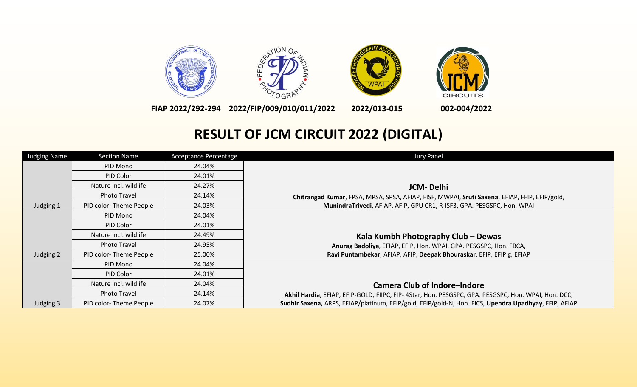

**FIAP 2022/292-294 2022/FIP/009/010/011/2022 2022/013-015 002-004/2022**

## **RESULT OF JCM CIRCUIT 2022 (DIGITAL)**

| Judging Name | <b>Section Name</b>    | <b>Acceptance Percentage</b> | Jury Panel                                                                                            |
|--------------|------------------------|------------------------------|-------------------------------------------------------------------------------------------------------|
|              | PID Mono               | 24.04%                       |                                                                                                       |
|              | PID Color              | 24.01%                       |                                                                                                       |
|              | Nature incl. wildlife  | 24.27%                       | JCM-Delhi                                                                                             |
|              | Photo Travel           | 24.14%                       | Chitrangad Kumar, FPSA, MPSA, SPSA, AFIAP, FISF, MWPAI, Sruti Saxena, EFIAP, FFIP, EFIP/gold,         |
| Judging 1    | PID color-Theme People | 24.03%                       | MunindraTrivedi, AFIAP, AFIP, GPU CR1, R-ISF3, GPA. PESGSPC, Hon. WPAI                                |
|              | PID Mono               | 24.04%                       |                                                                                                       |
|              | PID Color              | 24.01%                       |                                                                                                       |
|              | Nature incl. wildlife  | 24.49%                       | Kala Kumbh Photography Club – Dewas                                                                   |
|              | <b>Photo Travel</b>    | 24.95%                       | Anurag Badoliya, EFIAP, EFIP, Hon. WPAI, GPA. PESGSPC, Hon. FBCA,                                     |
| Judging 2    | PID color-Theme People | 25.00%                       | Ravi Puntambekar, AFIAP, AFIP, Deepak Bhouraskar, EFIP, EFIP g, EFIAP                                 |
|              | PID Mono               | 24.04%                       |                                                                                                       |
|              | PID Color              | 24.01%                       |                                                                                                       |
|              | Nature incl. wildlife  | 24.04%                       | <b>Camera Club of Indore-Indore</b>                                                                   |
|              | <b>Photo Travel</b>    | 24.14%                       | Akhil Hardia, EFIAP, EFIP-GOLD, FIIPC, FIP-4Star, Hon. PESGSPC, GPA. PESGSPC, Hon. WPAI, Hon. DCC,    |
| Judging 3    | PID color-Theme People | 24.07%                       | Sudhir Saxena, ARPS, EFIAP/platinum, EFIP/gold, EFIP/gold-N, Hon. FICS, Upendra Upadhyay, FFIP, AFIAP |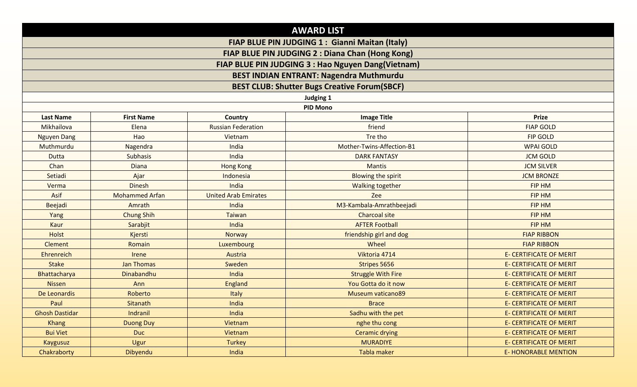|                                                                                                        |                       |                             | <b>AWARD LIST</b>                                   |                                |
|--------------------------------------------------------------------------------------------------------|-----------------------|-----------------------------|-----------------------------------------------------|--------------------------------|
|                                                                                                        |                       |                             | FIAP BLUE PIN JUDGING 1 : Gianni Maitan (Italy)     |                                |
| FIAP BLUE PIN JUDGING 2 : Diana Chan (Hong Kong)<br>FIAP BLUE PIN JUDGING 3 : Hao Nguyen Dang(Vietnam) |                       |                             |                                                     |                                |
|                                                                                                        |                       |                             |                                                     |                                |
|                                                                                                        |                       |                             | <b>BEST CLUB: Shutter Bugs Creative Forum(SBCF)</b> |                                |
|                                                                                                        |                       |                             | Judging 1                                           |                                |
|                                                                                                        |                       |                             | <b>PID Mono</b>                                     |                                |
| <b>Last Name</b>                                                                                       | <b>First Name</b>     | <b>Country</b>              | <b>Image Title</b>                                  | <b>Prize</b>                   |
| Mikhailova                                                                                             | Elena                 | <b>Russian Federation</b>   | friend                                              | <b>FIAP GOLD</b>               |
| <b>Nguyen Dang</b>                                                                                     | Hao                   | Vietnam                     | Tre tho                                             | <b>FIP GOLD</b>                |
| Muthmurdu                                                                                              | Nagendra              | India                       | Mother-Twins-Affection-B1                           | <b>WPAI GOLD</b>               |
| <b>Dutta</b>                                                                                           | <b>Subhasis</b>       | India                       | <b>DARK FANTASY</b>                                 | <b>JCM GOLD</b>                |
| Chan                                                                                                   | <b>Diana</b>          | <b>Hong Kong</b>            | Mantis                                              | <b>JCM SILVER</b>              |
| Setiadi                                                                                                | Ajar                  | Indonesia                   | <b>Blowing the spirit</b>                           | <b>JCM BRONZE</b>              |
| Verma                                                                                                  | <b>Dinesh</b>         | India                       | <b>Walking together</b>                             | <b>FIP HM</b>                  |
| Asif                                                                                                   | <b>Mohammed Arfan</b> | <b>United Arab Emirates</b> | Zee                                                 | <b>FIP HM</b>                  |
| <b>Beejadi</b>                                                                                         | Amrath                | India                       | M3-Kambala-Amrathbeejadi                            | <b>FIP HM</b>                  |
| Yang                                                                                                   | <b>Chung Shih</b>     | <b>Taiwan</b>               | <b>Charcoal site</b>                                | <b>FIP HM</b>                  |
| Kaur                                                                                                   | Sarabjit              | India                       | <b>AFTER Football</b>                               | <b>FIP HM</b>                  |
| <b>Holst</b>                                                                                           | Kjersti               | <b>Norway</b>               | friendship girl and dog                             | <b>FIAP RIBBON</b>             |
| <b>Clement</b>                                                                                         | Romain                | Luxembourg                  | Wheel                                               | <b>FIAP RIBBON</b>             |
| Ehrenreich                                                                                             | Irene                 | Austria                     | Viktoria 4714                                       | <b>E- CERTIFICATE OF MERIT</b> |
| <b>Stake</b>                                                                                           | <b>Jan Thomas</b>     | Sweden                      | Stripes 5656                                        | <b>E- CERTIFICATE OF MERIT</b> |
| Bhattacharya                                                                                           | Dinabandhu            | India                       | <b>Struggle With Fire</b>                           | <b>E- CERTIFICATE OF MERIT</b> |
| <b>Nissen</b>                                                                                          | Ann                   | <b>England</b>              | You Gotta do it now                                 | <b>E- CERTIFICATE OF MERIT</b> |
| De Leonardis                                                                                           | Roberto               | Italy                       | <b>Museum vaticano89</b>                            | <b>E- CERTIFICATE OF MERIT</b> |
| Paul                                                                                                   | Sitanath              | India                       | <b>Brace</b>                                        | <b>E- CERTIFICATE OF MERIT</b> |
| <b>Ghosh Dastidar</b>                                                                                  | Indranil              | India                       | Sadhu with the pet                                  | <b>E- CERTIFICATE OF MERIT</b> |
| <b>Khang</b>                                                                                           | <b>Duong Duy</b>      | Vietnam                     | nghe thu cong                                       | <b>E- CERTIFICATE OF MERIT</b> |
| <b>Bui Viet</b>                                                                                        | <b>Duc</b>            | Vietnam                     | <b>Ceramic drying</b>                               | <b>E- CERTIFICATE OF MERIT</b> |
| <b>Kaygusuz</b>                                                                                        | Ugur                  | Turkey                      | <b>MURADIYE</b>                                     | <b>E- CERTIFICATE OF MERIT</b> |
| Chakraborty                                                                                            | Dibyendu              | India                       | Tabla maker                                         | <b>E- HONORABLE MENTION</b>    |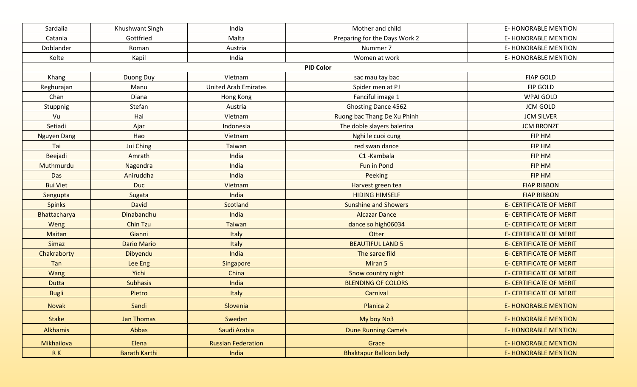| Sardalia           | Khushwant Singh      | India                       | Mother and child              | <b>E- HONORABLE MENTION</b>    |
|--------------------|----------------------|-----------------------------|-------------------------------|--------------------------------|
| Catania            | Gottfried            | Malta                       | Preparing for the Days Work 2 | <b>E- HONORABLE MENTION</b>    |
| Doblander          | Roman                | Austria                     | Nummer 7                      | <b>E- HONORABLE MENTION</b>    |
| Kolte              | Kapil                | India                       | Women at work                 | E-HONORABLE MENTION            |
|                    |                      |                             | <b>PID Color</b>              |                                |
| Khang              | Duong Duy            | Vietnam                     | sac mau tay bac               | <b>FIAP GOLD</b>               |
| Reghurajan         | Manu                 | <b>United Arab Emirates</b> | Spider men at PJ              | FIP GOLD                       |
| Chan               | Diana                | Hong Kong                   | Fanciful image 1              | <b>WPAI GOLD</b>               |
| Stuppnig           | Stefan               | Austria                     | <b>Ghosting Dance 4562</b>    | <b>JCM GOLD</b>                |
| Vu                 | Hai                  | Vietnam                     | Ruong bac Thang De Xu Phinh   | <b>JCM SILVER</b>              |
| Setiadi            | Ajar                 | Indonesia                   | The doble slayers balerina    | <b>JCM BRONZE</b>              |
| <b>Nguyen Dang</b> | Hao                  | Vietnam                     | Nghi le cuoi cung             | <b>FIP HM</b>                  |
| Tai                | Jui Ching            | Taiwan                      | red swan dance                | FIP HM                         |
| Beejadi            | Amrath               | India                       | C1-Kambala                    | FIP HM                         |
| Muthmurdu          | Nagendra             | India                       | Fun in Pond                   | <b>FIP HM</b>                  |
| Das                | Aniruddha            | India                       | Peeking                       | FIP HM                         |
| <b>Bui Viet</b>    | <b>Duc</b>           | Vietnam                     | Harvest green tea             | <b>FIAP RIBBON</b>             |
| Sengupta           | Sugata               | India                       | <b>HIDING HIMSELF</b>         | <b>FIAP RIBBON</b>             |
| <b>Spinks</b>      | <b>David</b>         | Scotland                    | <b>Sunshine and Showers</b>   | <b>E- CERTIFICATE OF MERIT</b> |
| Bhattacharya       | Dinabandhu           | India                       | <b>Alcazar Dance</b>          | <b>E- CERTIFICATE OF MERIT</b> |
| Weng               | <b>Chin Tzu</b>      | <b>Taiwan</b>               | dance so high06034            | <b>E- CERTIFICATE OF MERIT</b> |
| <b>Maitan</b>      | Gianni               | Italy                       | Otter                         | <b>E- CERTIFICATE OF MERIT</b> |
| Simaz              | <b>Dario Mario</b>   | Italy                       | <b>BEAUTIFUL LAND 5</b>       | <b>E- CERTIFICATE OF MERIT</b> |
| Chakraborty        | Dibyendu             | India                       | The saree fild                | <b>E- CERTIFICATE OF MERIT</b> |
| Tan                | Lee Eng              | Singapore                   | Miran 5                       | <b>E- CERTIFICATE OF MERIT</b> |
| <b>Wang</b>        | Yichi                | China                       | Snow country night            | <b>E- CERTIFICATE OF MERIT</b> |
| <b>Dutta</b>       | <b>Subhasis</b>      | India                       | <b>BLENDING OF COLORS</b>     | <b>E- CERTIFICATE OF MERIT</b> |
| <b>Bugli</b>       | Pietro               | Italy                       | Carnival                      | <b>E- CERTIFICATE OF MERIT</b> |
| Novak              | Sandi                | Slovenia                    | Planica 2                     | <b>E- HONORABLE MENTION</b>    |
| <b>Stake</b>       | Jan Thomas           | Sweden                      | My boy No3                    | <b>E-HONORABLE MENTION</b>     |
| Alkhamis           | Abbas                | Saudi Arabia                | <b>Dune Running Camels</b>    | <b>E- HONORABLE MENTION</b>    |
| Mikhailova         | Elena                | <b>Russian Federation</b>   | Grace                         | <b>E- HONORABLE MENTION</b>    |
| RK                 | <b>Barath Karthi</b> | India                       | <b>Bhaktapur Balloon lady</b> | <b>E-HONORABLE MENTION</b>     |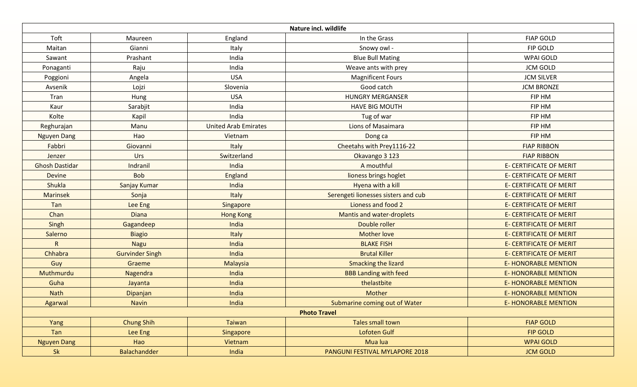|                       |                        |                             | Nature incl. wildlife               |                                |
|-----------------------|------------------------|-----------------------------|-------------------------------------|--------------------------------|
| Toft                  | Maureen                | England                     | In the Grass                        | <b>FIAP GOLD</b>               |
| Maitan                | Gianni                 | Italy                       | Snowy owl -                         | FIP GOLD                       |
| Sawant                | Prashant               | India                       | <b>Blue Bull Mating</b>             | <b>WPAI GOLD</b>               |
| Ponaganti             | Raju                   | India                       | Weave ants with prey                | <b>JCM GOLD</b>                |
| Poggioni              | Angela                 | <b>USA</b>                  | <b>Magnificent Fours</b>            | <b>JCM SILVER</b>              |
| Avsenik               | Lojzi                  | Slovenia                    | Good catch                          | <b>JCM BRONZE</b>              |
| Tran                  | Hung                   | <b>USA</b>                  | <b>HUNGRY MERGANSER</b>             | FIP HM                         |
| Kaur                  | Sarabjit               | India                       | <b>HAVE BIG MOUTH</b>               | FIP HM                         |
| Kolte                 | Kapil                  | India                       | Tug of war                          | FIP HM                         |
| Reghurajan            | Manu                   | <b>United Arab Emirates</b> | Lions of Masaimara                  | FIP HM                         |
| <b>Nguyen Dang</b>    | Hao                    | Vietnam                     | Dong ca                             | FIP HM                         |
| Fabbri                | Giovanni               | Italy                       | Cheetahs with Prey1116-22           | <b>FIAP RIBBON</b>             |
| Jenzer                | Urs                    | Switzerland                 | Okavango 3 123                      | <b>FIAP RIBBON</b>             |
| <b>Ghosh Dastidar</b> | Indranil               | India                       | A mouthful                          | <b>E- CERTIFICATE OF MERIT</b> |
| <b>Devine</b>         | <b>Bob</b>             | England                     | lioness brings hoglet               | <b>E- CERTIFICATE OF MERIT</b> |
| Shukla                | Sanjay Kumar           | India                       | Hyena with a kill                   | <b>E- CERTIFICATE OF MERIT</b> |
| <b>Marinsek</b>       | Sonja                  | Italy                       | Serengeti lionesses sisters and cub | <b>E- CERTIFICATE OF MERIT</b> |
| Tan                   | Lee Eng                | Singapore                   | Lioness and food 2                  | <b>E- CERTIFICATE OF MERIT</b> |
| Chan                  | <b>Diana</b>           | <b>Hong Kong</b>            | <b>Mantis and water-droplets</b>    | <b>E- CERTIFICATE OF MERIT</b> |
| Singh                 | Gagandeep              | India                       | Double roller                       | <b>E- CERTIFICATE OF MERIT</b> |
| Salerno               | <b>Biagio</b>          | Italy                       | <b>Mother love</b>                  | <b>E- CERTIFICATE OF MERIT</b> |
| $\mathsf{R}$          | <b>Nagu</b>            | India                       | <b>BLAKE FISH</b>                   | <b>E- CERTIFICATE OF MERIT</b> |
| Chhabra               | <b>Gurvinder Singh</b> | India                       | <b>Brutal Killer</b>                | <b>E- CERTIFICATE OF MERIT</b> |
| Guy                   | Graeme                 | Malaysia                    | <b>Smacking the lizard</b>          | <b>E- HONORABLE MENTION</b>    |
| Muthmurdu             | Nagendra               | India                       | <b>BBB Landing with feed</b>        | <b>E- HONORABLE MENTION</b>    |
| Guha                  | Jayanta                | India                       | thelastbite                         | <b>E- HONORABLE MENTION</b>    |
| <b>Nath</b>           | Dipanjan               | India                       | Mother                              | <b>E- HONORABLE MENTION</b>    |
| Agarwal               | <b>Navin</b>           | India                       | Submarine coming out of Water       | <b>E-HONORABLE MENTION</b>     |
|                       |                        |                             | <b>Photo Travel</b>                 |                                |
| Yang                  | <b>Chung Shih</b>      | Taiwan                      | Tales small town                    | <b>FIAP GOLD</b>               |
| Tan                   | Lee Eng                | Singapore                   | Lofoten Gulf                        | <b>FIP GOLD</b>                |
| <b>Nguyen Dang</b>    | Hao                    | Vietnam                     | Mua lua                             | <b>WPAI GOLD</b>               |
| <b>Sk</b>             | Balachandder           | India                       | PANGUNI FESTIVAL MYLAPORE 2018      | <b>JCM GOLD</b>                |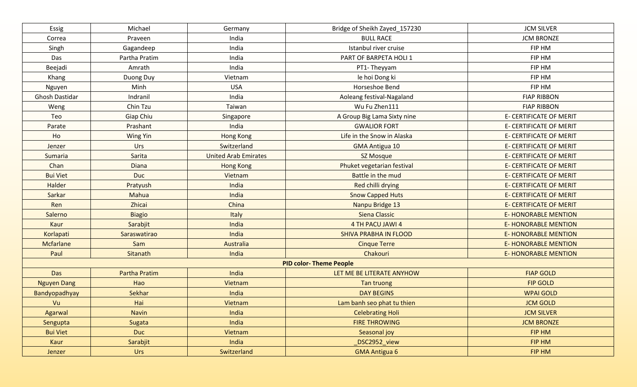| Essig              | Michael              | Germany                     | Bridge of Sheikh Zayed_157230  | <b>JCM SILVER</b>              |
|--------------------|----------------------|-----------------------------|--------------------------------|--------------------------------|
| Correa             | Praveen              | India                       | <b>BULL RACE</b>               | <b>JCM BRONZE</b>              |
| Singh              | Gagandeep            | India                       | Istanbul river cruise          | FIP HM                         |
| Das                | Partha Pratim        | India                       | PART OF BARPETA HOLI 1         | FIP HM                         |
| Beejadi            | Amrath               | India                       | PT1-Theyyam                    | FIP HM                         |
| Khang              | Duong Duy            | Vietnam                     | le hoi Dong ki                 | FIP HM                         |
| Nguyen             | Minh                 | <b>USA</b>                  | Horseshoe Bend                 | FIP HM                         |
| Ghosh Dastidar     | Indranil             | India                       | Aoleang festival-Nagaland      | <b>FIAP RIBBON</b>             |
| Weng               | Chin Tzu             | Taiwan                      | Wu Fu Zhen111                  | <b>FIAP RIBBON</b>             |
| Teo                | Giap Chiu            | Singapore                   | A Group Big Lama Sixty nine    | E- CERTIFICATE OF MERIT        |
| Parate             | Prashant             | India                       | <b>GWALIOR FORT</b>            | E- CERTIFICATE OF MERIT        |
| Ho                 | <b>Wing Yin</b>      | <b>Hong Kong</b>            | Life in the Snow in Alaska     | <b>E- CERTIFICATE OF MERIT</b> |
| Jenzer             | Urs                  | Switzerland                 | <b>GMA Antigua 10</b>          | E- CERTIFICATE OF MERIT        |
| Sumaria            | Sarita               | <b>United Arab Emirates</b> | SZ Mosque                      | <b>E- CERTIFICATE OF MERIT</b> |
| Chan               | <b>Diana</b>         | <b>Hong Kong</b>            | Phuket vegetarian festival     | <b>E- CERTIFICATE OF MERIT</b> |
| <b>Bui Viet</b>    | <b>Duc</b>           | Vietnam                     | Battle in the mud              | <b>E- CERTIFICATE OF MERIT</b> |
| Halder             | Pratyush             | India                       | Red chilli drying              | <b>E- CERTIFICATE OF MERIT</b> |
| Sarkar             | Mahua                | India                       | <b>Snow Capped Huts</b>        | <b>E- CERTIFICATE OF MERIT</b> |
| Ren                | Zhicai               | China                       | Nanpu Bridge 13                | <b>E- CERTIFICATE OF MERIT</b> |
| Salerno            | <b>Biagio</b>        | Italy                       | Siena Classic                  | <b>E- HONORABLE MENTION</b>    |
| Kaur               | Sarabjit             | India                       | 4 TH PACU JAWI 4               | <b>E- HONORABLE MENTION</b>    |
| Korlapati          | Saraswatirao         | India                       | SHIVA PRABHA IN FLOOD          | <b>E- HONORABLE MENTION</b>    |
| Mcfarlane          | Sam                  | Australia                   | <b>Cinque Terre</b>            | <b>E- HONORABLE MENTION</b>    |
| Paul               | Sitanath             | India                       | Chakouri                       | <b>E- HONORABLE MENTION</b>    |
|                    |                      |                             | <b>PID color- Theme People</b> |                                |
| <b>Das</b>         | <b>Partha Pratim</b> | India                       | LET ME BE LITERATE ANYHOW      | <b>FIAP GOLD</b>               |
| <b>Nguyen Dang</b> | Hao                  | Vietnam                     | Tan truong                     | <b>FIP GOLD</b>                |
| Bandyopadhyay      | Sekhar               | India                       | <b>DAY BEGINS</b>              | <b>WPAI GOLD</b>               |
| Vu                 | Hai                  | Vietnam                     | Lam banh seo phat tu thien     | <b>JCM GOLD</b>                |
| Agarwal            | <b>Navin</b>         | India                       | <b>Celebrating Holi</b>        | <b>JCM SILVER</b>              |
| Sengupta           | Sugata               | India                       | <b>FIRE THROWING</b>           | <b>JCM BRONZE</b>              |
| <b>Bui Viet</b>    | Duc                  | Vietnam                     | Seasonal joy                   | FIP HM                         |
| Kaur               | Sarabjit             | India                       | DSC2952_view                   | FIP HM                         |
| Jenzer             | Urs                  | Switzerland                 | <b>GMA Antigua 6</b>           | FIP HM                         |
|                    |                      |                             |                                |                                |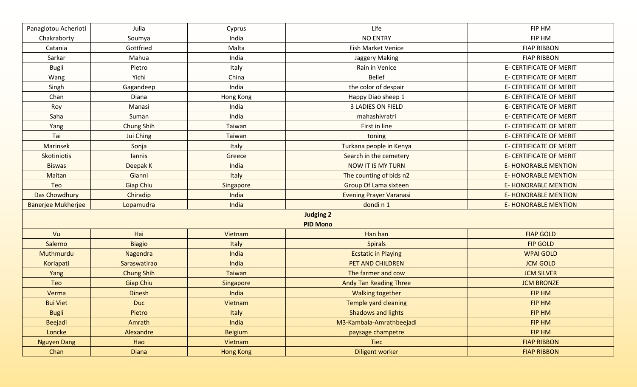| Panagiotou Acherioti      | Julia             | Cyprus           | Life                           | FIP HM                         |
|---------------------------|-------------------|------------------|--------------------------------|--------------------------------|
| Chakraborty               | Soumya            | India            | <b>NO ENTRY</b>                | FIP HM                         |
| Catania                   | Gottfried         | Malta            | Fish Market Venice             | <b>FIAP RIBBON</b>             |
| Sarkar                    | Mahua             | India            | Jaggery Making                 | <b>FIAP RIBBON</b>             |
| <b>Bugli</b>              | Pietro            | Italy            | Rain in Venice                 | E- CERTIFICATE OF MERIT        |
| Wang                      | Yichi             | China            | <b>Belief</b>                  | E- CERTIFICATE OF MERIT        |
| Singh                     | Gagandeep         | India            | the color of despair           | E- CERTIFICATE OF MERIT        |
| Chan                      | Diana             | Hong Kong        | Happy Diao sheep 1             | <b>E- CERTIFICATE OF MERIT</b> |
| Roy                       | Manasi            | India            | 3 LADIES ON FIELD              | E- CERTIFICATE OF MERIT        |
| Saha                      | Suman             | India            | mahashivratri                  | E- CERTIFICATE OF MERIT        |
| Yang                      | <b>Chung Shih</b> | Taiwan           | First in line                  | E- CERTIFICATE OF MERIT        |
| Tai                       | Jui Ching         | Taiwan           | toning                         | <b>E- CERTIFICATE OF MERIT</b> |
| Marinsek                  | Sonja             | Italy            | Turkana people in Kenya        | E- CERTIFICATE OF MERIT        |
| Skotiniotis               | lannis            | Greece           | Search in the cemetery         | E- CERTIFICATE OF MERIT        |
| <b>Biswas</b>             | Deepak K          | India            | NOW IT IS MY TURN              | <b>E- HONORABLE MENTION</b>    |
| Maitan                    | Gianni            | Italy            | The counting of bids n2        | <b>E- HONORABLE MENTION</b>    |
| Teo                       | <b>Giap Chiu</b>  | Singapore        | <b>Group Of Lama sixteen</b>   | <b>E- HONORABLE MENTION</b>    |
| Das Chowdhury             | Chiradip          | India            | <b>Evening Prayer Varanasi</b> | <b>E- HONORABLE MENTION</b>    |
| <b>Banerjee Mukherjee</b> | Lopamudra         | India            | dondin1                        | <b>E- HONORABLE MENTION</b>    |
|                           |                   |                  | <b>Judging 2</b>               |                                |
|                           |                   |                  | <b>PID Mono</b>                |                                |
| Vu                        | Hai               | Vietnam          | Han han                        | <b>FIAP GOLD</b>               |
| Salerno                   | <b>Biagio</b>     | Italy            | <b>Spirals</b>                 | <b>FIP GOLD</b>                |
| Muthmurdu                 | Nagendra          | India            | <b>Ecstatic in Playing</b>     | <b>WPAI GOLD</b>               |
| Korlapati                 | Saraswatirao      | India            | PET AND CHILDREN               | <b>JCM GOLD</b>                |
| Yang                      | <b>Chung Shih</b> | <b>Taiwan</b>    | The farmer and cow             | <b>JCM SILVER</b>              |
| Teo                       | <b>Giap Chiu</b>  | Singapore        | <b>Andy Tan Reading Three</b>  | <b>JCM BRONZE</b>              |
| Verma                     | <b>Dinesh</b>     | India            | <b>Walking together</b>        | <b>FIP HM</b>                  |
| <b>Bui Viet</b>           | <b>Duc</b>        | Vietnam          | <b>Temple yard cleaning</b>    | <b>FIP HM</b>                  |
| <b>Bugli</b>              | Pietro            | Italy            | <b>Shadows and lights</b>      | FIP HM                         |
| <b>Beejadi</b>            | Amrath            | India            | M3-Kambala-Amrathbeejadi       | FIP HM                         |
| Loncke                    | Alexandre         | <b>Belgium</b>   | paysage champetre              | FIP HM                         |
| <b>Nguyen Dang</b>        | Hao               | Vietnam          | Tiec                           | <b>FIAP RIBBON</b>             |
| Chan                      | <b>Diana</b>      | <b>Hong Kong</b> | <b>Diligent worker</b>         | <b>FIAP RIBBON</b>             |
|                           |                   |                  |                                |                                |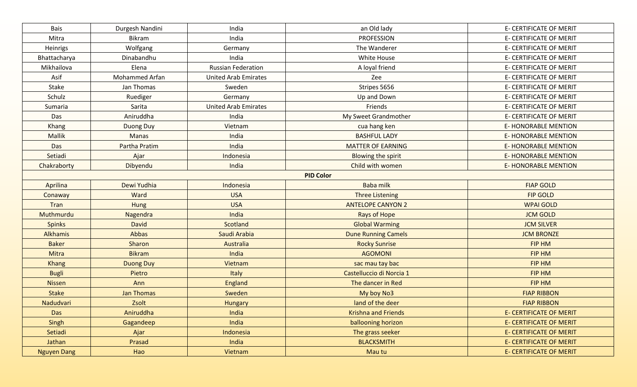| Bais               | Durgesh Nandini   | India                       | an Old lady                | <b>E- CERTIFICATE OF MERIT</b> |
|--------------------|-------------------|-----------------------------|----------------------------|--------------------------------|
| Mitra              | <b>Bikram</b>     | India                       | <b>PROFESSION</b>          | <b>E- CERTIFICATE OF MERIT</b> |
| Heinrigs           | Wolfgang          | Germany                     | The Wanderer               | E- CERTIFICATE OF MERIT        |
| Bhattacharya       | Dinabandhu        | India                       | White House                | E- CERTIFICATE OF MERIT        |
| Mikhailova         | Elena             | <b>Russian Federation</b>   | A loyal friend             | E- CERTIFICATE OF MERIT        |
| Asif               | Mohammed Arfan    | <b>United Arab Emirates</b> | Zee                        | E- CERTIFICATE OF MERIT        |
| Stake              | Jan Thomas        | Sweden                      | Stripes 5656               | E- CERTIFICATE OF MERIT        |
| Schulz             | Ruediger          | Germany                     | Up and Down                | E- CERTIFICATE OF MERIT        |
| Sumaria            | Sarita            | <b>United Arab Emirates</b> | Friends                    | E- CERTIFICATE OF MERIT        |
| Das                | Aniruddha         | India                       | My Sweet Grandmother       | E- CERTIFICATE OF MERIT        |
| <b>Khang</b>       | Duong Duy         | Vietnam                     | cua hang ken               | <b>E-HONORABLE MENTION</b>     |
| Mallik             | Manas             | India                       | <b>BASHFUL LADY</b>        | <b>E-HONORABLE MENTION</b>     |
| Das                | Partha Pratim     | India                       | <b>MATTER OF EARNING</b>   | <b>E-HONORABLE MENTION</b>     |
| Setiadi            | Ajar              | Indonesia                   | Blowing the spirit         | <b>E-HONORABLE MENTION</b>     |
| Chakraborty        | Dibyendu          | India                       | Child with women           | <b>E- HONORABLE MENTION</b>    |
|                    |                   |                             | <b>PID Color</b>           |                                |
| Aprilina           | Dewi Yudhia       | Indonesia                   | Baba milk                  | <b>FIAP GOLD</b>               |
| Conaway            | Ward              | <b>USA</b>                  | <b>Three Listening</b>     | <b>FIP GOLD</b>                |
| Tran               | Hung              | <b>USA</b>                  | <b>ANTELOPE CANYON 2</b>   | <b>WPAI GOLD</b>               |
| Muthmurdu          | Nagendra          | India                       | Rays of Hope               | <b>JCM GOLD</b>                |
| <b>Spinks</b>      | <b>David</b>      | Scotland                    | <b>Global Warming</b>      | <b>JCM SILVER</b>              |
| Alkhamis           | Abbas             | Saudi Arabia                | <b>Dune Running Camels</b> | <b>JCM BRONZE</b>              |
| <b>Baker</b>       | Sharon            | Australia                   | <b>Rocky Sunrise</b>       | FIP HM                         |
| <b>Mitra</b>       | <b>Bikram</b>     | India                       | <b>AGOMONI</b>             | <b>FIP HM</b>                  |
| <b>Khang</b>       | <b>Duong Duy</b>  | Vietnam                     | sac mau tay bac            | <b>FIP HM</b>                  |
| <b>Bugli</b>       | Pietro            | <b>Italy</b>                | Castelluccio di Norcia 1   | FIP HM                         |
| <b>Nissen</b>      | Ann               | <b>England</b>              | The dancer in Red          | <b>FIP HM</b>                  |
| <b>Stake</b>       | <b>Jan Thomas</b> | Sweden                      | My boy No3                 | <b>FIAP RIBBON</b>             |
| Nadudvari          | Zsolt             | <b>Hungary</b>              | land of the deer           | <b>FIAP RIBBON</b>             |
| Das                | Aniruddha         | India                       | <b>Krishna and Friends</b> | <b>E- CERTIFICATE OF MERIT</b> |
| Singh              | Gagandeep         | India                       | ballooning horizon         | <b>E- CERTIFICATE OF MERIT</b> |
| Setiadi            | Ajar              | Indonesia                   | The grass seeker           | <b>E- CERTIFICATE OF MERIT</b> |
| Jathan             | Prasad            | India                       | <b>BLACKSMITH</b>          | <b>E- CERTIFICATE OF MERIT</b> |
| <b>Nguyen Dang</b> | Hao               | Vietnam                     | Mau tu                     | <b>E- CERTIFICATE OF MERIT</b> |
|                    |                   |                             |                            |                                |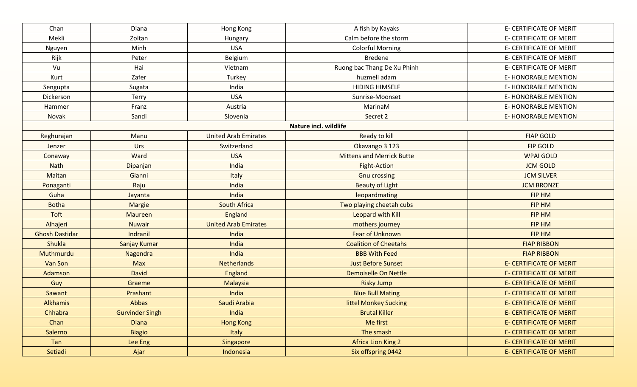| Chan                  | Diana                  | Hong Kong                   | A fish by Kayaks                 | E- CERTIFICATE OF MERIT        |
|-----------------------|------------------------|-----------------------------|----------------------------------|--------------------------------|
| Mekli                 | Zoltan                 | Hungary                     | Calm before the storm            | E- CERTIFICATE OF MERIT        |
| Nguyen                | Minh                   | <b>USA</b>                  | <b>Colorful Morning</b>          | E- CERTIFICATE OF MERIT        |
| Rijk                  | Peter                  | Belgium                     | <b>Bredene</b>                   | E- CERTIFICATE OF MERIT        |
| Vu                    | Hai                    | Vietnam                     | Ruong bac Thang De Xu Phinh      | E- CERTIFICATE OF MERIT        |
| Kurt                  | Zafer                  | Turkey                      | huzmeli adam                     | <b>E- HONORABLE MENTION</b>    |
| Sengupta              | Sugata                 | India                       | <b>HIDING HIMSELF</b>            | <b>E-HONORABLE MENTION</b>     |
| Dickerson             | Terry                  | <b>USA</b>                  | Sunrise-Moonset                  | E-HONORABLE MENTION            |
| Hammer                | Franz                  | Austria                     | MarinaM                          | <b>E- HONORABLE MENTION</b>    |
| Novak                 | Sandi                  | Slovenia                    | Secret 2                         | E-HONORABLE MENTION            |
|                       |                        |                             | <b>Nature incl. wildlife</b>     |                                |
| Reghurajan            | Manu                   | <b>United Arab Emirates</b> | Ready to kill                    | <b>FIAP GOLD</b>               |
| Jenzer                | Urs                    | Switzerland                 | Okavango 3 123                   | <b>FIP GOLD</b>                |
| Conaway               | Ward                   | <b>USA</b>                  | <b>Mittens and Merrick Butte</b> | <b>WPAI GOLD</b>               |
| Nath                  | Dipanjan               | India                       | <b>Fight-Action</b>              | <b>JCM GOLD</b>                |
| Maitan                | Gianni                 | Italy                       | <b>Gnu crossing</b>              | <b>JCM SILVER</b>              |
| Ponaganti             | Raju                   | India                       | <b>Beauty of Light</b>           | <b>JCM BRONZE</b>              |
| Guha                  | Jayanta                | India                       | leopardmating                    | FIP HM                         |
| <b>Botha</b>          | Margie                 | <b>South Africa</b>         | Two playing cheetah cubs         | FIP HM                         |
| Toft                  | Maureen                | <b>England</b>              | Leopard with Kill                | FIP HM                         |
| Alhajeri              | <b>Nuwair</b>          | <b>United Arab Emirates</b> | mothers journey                  | <b>FIP HM</b>                  |
| <b>Ghosh Dastidar</b> | Indranil               | India                       | <b>Fear of Unknown</b>           | FIP HM                         |
| Shukla                | Sanjay Kumar           | India                       | <b>Coalition of Cheetahs</b>     | <b>FIAP RIBBON</b>             |
| Muthmurdu             | Nagendra               | India                       | <b>BBB With Feed</b>             | <b>FIAP RIBBON</b>             |
| Van Son               | <b>Max</b>             | <b>Netherlands</b>          | <b>Just Before Sunset</b>        | <b>E- CERTIFICATE OF MERIT</b> |
| Adamson               | <b>David</b>           | <b>England</b>              | Demoiselle On Nettle             | <b>E- CERTIFICATE OF MERIT</b> |
| Guy                   | Graeme                 | Malaysia                    | <b>Risky Jump</b>                | <b>E- CERTIFICATE OF MERIT</b> |
| Sawant                | Prashant               | India                       | <b>Blue Bull Mating</b>          | <b>E- CERTIFICATE OF MERIT</b> |
| <b>Alkhamis</b>       | Abbas                  | Saudi Arabia                | littel Monkey Sucking            | <b>E- CERTIFICATE OF MERIT</b> |
| Chhabra               | <b>Gurvinder Singh</b> | India                       | <b>Brutal Killer</b>             | <b>E- CERTIFICATE OF MERIT</b> |
| Chan                  | <b>Diana</b>           | <b>Hong Kong</b>            | Me first                         | <b>E- CERTIFICATE OF MERIT</b> |
| Salerno               | <b>Biagio</b>          | Italy                       | The smash                        | <b>E- CERTIFICATE OF MERIT</b> |
| Tan                   | Lee Eng                | Singapore                   | <b>Africa Lion King 2</b>        | <b>E- CERTIFICATE OF MERIT</b> |
| Setiadi               | Ajar                   | Indonesia                   | Six offspring 0442               | <b>E- CERTIFICATE OF MERIT</b> |
|                       |                        |                             |                                  |                                |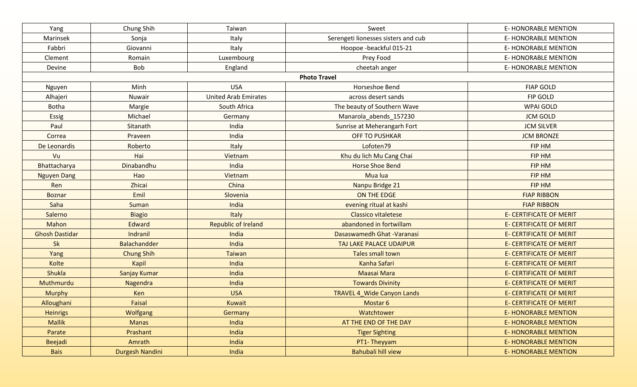| Yang                  | Chung Shih        | Taiwan                      | Sweet                               | <b>E-HONORABLE MENTION</b>     |
|-----------------------|-------------------|-----------------------------|-------------------------------------|--------------------------------|
| Marinsek              | Sonja             | Italy                       | Serengeti lionesses sisters and cub | <b>E-HONORABLE MENTION</b>     |
| Fabbri                | Giovanni          | Italy                       | Hoopoe -beackful 015-21             | <b>E- HONORABLE MENTION</b>    |
| Clement               | Romain            | Luxembourg                  | Prey Food                           | <b>E- HONORABLE MENTION</b>    |
| Devine                | Bob               | England                     | cheetah anger                       | E-HONORABLE MENTION            |
|                       |                   |                             | <b>Photo Travel</b>                 |                                |
| Nguyen                | Minh              | <b>USA</b>                  | Horseshoe Bend                      | <b>FIAP GOLD</b>               |
| Alhajeri              | Nuwair            | <b>United Arab Emirates</b> | across desert sands                 | FIP GOLD                       |
| <b>Botha</b>          | Margie            | South Africa                | The beauty of Southern Wave         | <b>WPAI GOLD</b>               |
| Essig                 | Michael           | Germany                     | Manarola abends 157230              | <b>JCM GOLD</b>                |
| Paul                  | Sitanath          | India                       | Sunrise at Meherangarh Fort         | <b>JCM SILVER</b>              |
| Correa                | Praveen           | India                       | <b>OFF TO PUSHKAR</b>               | <b>JCM BRONZE</b>              |
| De Leonardis          | Roberto           | Italy                       | Lofoten79                           | FIP HM                         |
| Vu                    | Hai               | Vietnam                     | Khu du lich Mu Cang Chai            | FIP HM                         |
| Bhattacharya          | Dinabandhu        | India                       | <b>Horse Shoe Bend</b>              | <b>FIP HM</b>                  |
| <b>Nguyen Dang</b>    | Hao               | Vietnam                     | Mua lua                             | FIP HM                         |
| Ren                   | Zhicai            | China                       | Nanpu Bridge 21                     | FIP HM                         |
| <b>Boznar</b>         | Emil              | Slovenia                    | ON THE EDGE                         | <b>FIAP RIBBON</b>             |
| Saha                  | Suman             | India                       | evening ritual at kashi             | <b>FIAP RIBBON</b>             |
| Salerno               | <b>Biagio</b>     | Italy                       | <b>Classico vitaletese</b>          | <b>E- CERTIFICATE OF MERIT</b> |
| Mahon                 | Edward            | <b>Republic of Ireland</b>  | abandoned in fortwillam             | <b>E- CERTIFICATE OF MERIT</b> |
| <b>Ghosh Dastidar</b> | Indranil          | India                       | Dasaswamedh Ghat - Varanasi         | <b>E- CERTIFICATE OF MERIT</b> |
| Sk                    | Balachandder      | India                       | TAJ LAKE PALACE UDAIPUR             | <b>E- CERTIFICATE OF MERIT</b> |
| Yang                  | <b>Chung Shih</b> | <b>Taiwan</b>               | <b>Tales small town</b>             | <b>E- CERTIFICATE OF MERIT</b> |
| Kolte                 | Kapil             | India                       | Kanha Safari                        | <b>E- CERTIFICATE OF MERIT</b> |
| <b>Shukla</b>         | Sanjay Kumar      | India                       | <b>Maasai Mara</b>                  | <b>E- CERTIFICATE OF MERIT</b> |
| Muthmurdu             | Nagendra          | India                       | <b>Towards Divinity</b>             | <b>E- CERTIFICATE OF MERIT</b> |
| <b>Murphy</b>         | Ken               | <b>USA</b>                  | <b>TRAVEL 4 Wide Canyon Lands</b>   | <b>E- CERTIFICATE OF MERIT</b> |
| Alloughani            | Faisal            | Kuwait                      | Mostar 6                            | <b>E- CERTIFICATE OF MERIT</b> |
| <b>Heinrigs</b>       | Wolfgang          | Germany                     | Watchtower                          | <b>E- HONORABLE MENTION</b>    |
| <b>Mallik</b>         | <b>Manas</b>      | India                       | AT THE END OF THE DAY               | <b>E-HONORABLE MENTION</b>     |
| Parate                | Prashant          | India                       | <b>Tiger Sighting</b>               | <b>E-HONORABLE MENTION</b>     |
| Beejadi               | Amrath            | India                       | PT1-Theyyam                         | <b>E- HONORABLE MENTION</b>    |
| <b>Bais</b>           | Durgesh Nandini   | India                       | Bahubali hill view                  | <b>E-HONORABLE MENTION</b>     |
|                       |                   |                             |                                     |                                |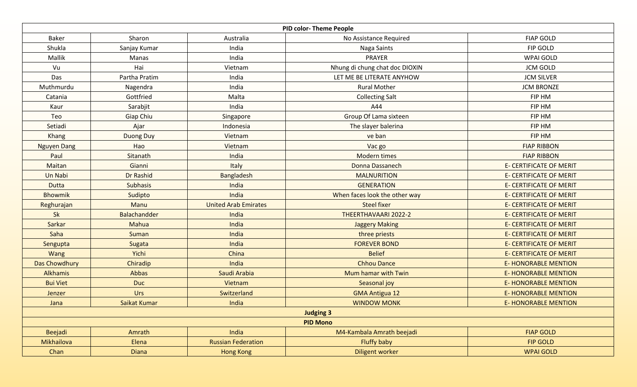|                    |                 |                             | <b>PID color-Theme People</b>  |                                |
|--------------------|-----------------|-----------------------------|--------------------------------|--------------------------------|
| Baker              | Sharon          | Australia                   | No Assistance Required         | <b>FIAP GOLD</b>               |
| Shukla             | Sanjay Kumar    | India                       | Naga Saints                    | FIP GOLD                       |
| Mallik             | Manas           | India                       | PRAYER                         | <b>WPAI GOLD</b>               |
| Vu                 | Hai             | Vietnam                     | Nhung di chung chat doc DIOXIN | <b>JCM GOLD</b>                |
| Das                | Partha Pratim   | India                       | LET ME BE LITERATE ANYHOW      | <b>JCM SILVER</b>              |
| Muthmurdu          | Nagendra        | India                       | <b>Rural Mother</b>            | <b>JCM BRONZE</b>              |
| Catania            | Gottfried       | Malta                       | <b>Collecting Salt</b>         | FIP HM                         |
| Kaur               | Sarabjit        | India                       | A44                            | FIP HM                         |
| Teo                | Giap Chiu       | Singapore                   | Group Of Lama sixteen          | FIP HM                         |
| Setiadi            | Ajar            | Indonesia                   | The slayer balerina            | FIP HM                         |
| Khang              | Duong Duy       | Vietnam                     | ve ban                         | FIP HM                         |
| <b>Nguyen Dang</b> | Hao             | Vietnam                     | Vac go                         | <b>FIAP RIBBON</b>             |
| Paul               | Sitanath        | India                       | <b>Modern times</b>            | <b>FIAP RIBBON</b>             |
| Maitan             | Gianni          | Italy                       | Donna Dassanech                | <b>E- CERTIFICATE OF MERIT</b> |
| Un Nabi            | Dr Rashid       | <b>Bangladesh</b>           | <b>MALNURITION</b>             | <b>E- CERTIFICATE OF MERIT</b> |
| <b>Dutta</b>       | <b>Subhasis</b> | India                       | <b>GENERATION</b>              | <b>E- CERTIFICATE OF MERIT</b> |
| <b>Bhowmik</b>     | Sudipto         | India                       | When faces look the other way  | <b>E- CERTIFICATE OF MERIT</b> |
| Reghurajan         | Manu            | <b>United Arab Emirates</b> | <b>Steel fixer</b>             | <b>E- CERTIFICATE OF MERIT</b> |
| <b>Sk</b>          | Balachandder    | India                       | THEERTHAVAARI 2022-2           | <b>E- CERTIFICATE OF MERIT</b> |
| Sarkar             | Mahua           | India                       | <b>Jaggery Making</b>          | <b>E- CERTIFICATE OF MERIT</b> |
| Saha               | Suman           | India                       | three priests                  | <b>E- CERTIFICATE OF MERIT</b> |
| Sengupta           | Sugata          | India                       | <b>FOREVER BOND</b>            | <b>E- CERTIFICATE OF MERIT</b> |
| Wang               | Yichi           | China                       | <b>Belief</b>                  | <b>E- CERTIFICATE OF MERIT</b> |
| Das Chowdhury      | Chiradip        | India                       | <b>Chhou Dance</b>             | <b>E- HONORABLE MENTION</b>    |
| <b>Alkhamis</b>    | Abbas           | Saudi Arabia                | Mum hamar with Twin            | <b>E- HONORABLE MENTION</b>    |
| <b>Bui Viet</b>    | <b>Duc</b>      | Vietnam                     | Seasonal joy                   | <b>E- HONORABLE MENTION</b>    |
| Jenzer             | Urs             | Switzerland                 | <b>GMA Antigua 12</b>          | <b>E- HONORABLE MENTION</b>    |
| Jana               | Saikat Kumar    | India                       | <b>WINDOW MONK</b>             | <b>E- HONORABLE MENTION</b>    |
|                    |                 |                             | <b>Judging 3</b>               |                                |
|                    |                 |                             | <b>PID Mono</b>                |                                |
| Beejadi            | Amrath          | India                       | M4-Kambala Amrath beejadi      | <b>FIAP GOLD</b>               |
| Mikhailova         | Elena           | <b>Russian Federation</b>   | Fluffy baby                    | <b>FIP GOLD</b>                |
| Chan               | <b>Diana</b>    | <b>Hong Kong</b>            | <b>Diligent worker</b>         | <b>WPAI GOLD</b>               |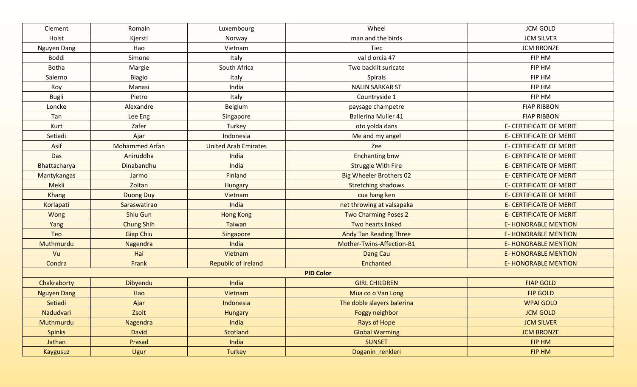| Clement            | Romain                | Luxembourg                  | Wheel                          | <b>JCM GOLD</b>                |
|--------------------|-----------------------|-----------------------------|--------------------------------|--------------------------------|
| Holst              | Kjersti               | Norway                      | man and the birds              | <b>JCM SILVER</b>              |
| Nguyen Dang        | Hao                   | Vietnam                     | Tiec                           | <b>JCM BRONZE</b>              |
| Boddi              | Simone                | Italy                       | val d orcia 47                 | FIP HM                         |
| <b>Botha</b>       | Margie                | South Africa                | Two backlit suricate           | FIP HM                         |
| Salerno            | <b>Biagio</b>         | Italy                       | Spirals                        | FIP HM                         |
| Roy                | Manasi                | India                       | <b>NALIN SARKAR ST</b>         | FIP HM                         |
| <b>Bugli</b>       | Pietro                | Italy                       | Countryside 1                  | FIP HM                         |
| Loncke             | Alexandre             | Belgium                     | paysage champetre              | <b>FIAP RIBBON</b>             |
| Tan                | Lee Eng               | Singapore                   | <b>Ballerina Muller 41</b>     | <b>FIAP RIBBON</b>             |
| Kurt               | Zafer                 | Turkey                      | oto yolda dans                 | <b>E- CERTIFICATE OF MERIT</b> |
| Setiadi            | Ajar                  | Indonesia                   | Me and my angel                | <b>E- CERTIFICATE OF MERIT</b> |
| Asif               | <b>Mohammed Arfan</b> | <b>United Arab Emirates</b> | Zee                            | E- CERTIFICATE OF MERIT        |
| Das                | Aniruddha             | India                       | <b>Enchanting bnw</b>          | E- CERTIFICATE OF MERIT        |
| Bhattacharya       | Dinabandhu            | India                       | <b>Struggle With Fire</b>      | E- CERTIFICATE OF MERIT        |
| Mantykangas        | Jarmo                 | Finland                     | <b>Big Wheeler Brothers 02</b> | <b>E- CERTIFICATE OF MERIT</b> |
| Mekli              | Zoltan                | <b>Hungary</b>              | <b>Stretching shadows</b>      | <b>E- CERTIFICATE OF MERIT</b> |
| <b>Khang</b>       | <b>Duong Duy</b>      | Vietnam                     | cua hang ken                   | <b>E- CERTIFICATE OF MERIT</b> |
| Korlapati          | Saraswatirao          | India                       | net throwing at valsapaka      | <b>E- CERTIFICATE OF MERIT</b> |
| Wong               | Shiu Gun              | <b>Hong Kong</b>            | <b>Two Charming Poses 2</b>    | <b>E- CERTIFICATE OF MERIT</b> |
| Yang               | <b>Chung Shih</b>     | <b>Taiwan</b>               | Two hearts linked              | <b>E- HONORABLE MENTION</b>    |
| Teo                | <b>Giap Chiu</b>      | Singapore                   | <b>Andy Tan Reading Three</b>  | <b>E- HONORABLE MENTION</b>    |
| Muthmurdu          | Nagendra              | India                       | Mother-Twins-Affection-B1      | <b>E- HONORABLE MENTION</b>    |
| Vu                 | Hai                   | Vietnam                     | Dang Cau                       | <b>E- HONORABLE MENTION</b>    |
| Condra             | Frank                 | <b>Republic of Ireland</b>  | Enchanted                      | <b>E- HONORABLE MENTION</b>    |
|                    |                       |                             | <b>PID Color</b>               |                                |
| Chakraborty        | Dibyendu              | India                       | <b>GIRL CHILDREN</b>           | <b>FIAP GOLD</b>               |
| <b>Nguyen Dang</b> | Hao                   | Vietnam                     | Mua co o Van Long              | <b>FIP GOLD</b>                |
| Setiadi            | Ajar                  | Indonesia                   | The doble slayers balerina     | <b>WPAI GOLD</b>               |
| Nadudvari          | Zsolt                 | Hungary                     | Foggy neighbor                 | <b>JCM GOLD</b>                |
| Muthmurdu          | Nagendra              | India                       | Rays of Hope                   | <b>JCM SILVER</b>              |
| <b>Spinks</b>      | David                 | Scotland                    | <b>Global Warming</b>          | <b>JCM BRONZE</b>              |
| Jathan             | Prasad                | India                       | <b>SUNSET</b>                  | FIP HM                         |
| Kaygusuz           | Ugur                  | Turkey                      | Doganin_renkleri               | FIP HM                         |
|                    |                       |                             |                                |                                |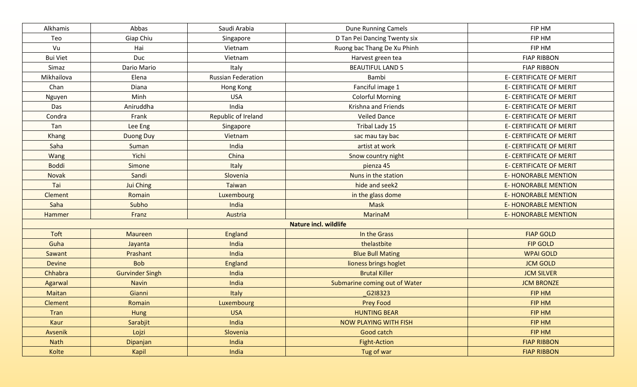| Alkhamis        | Abbas                  | Saudi Arabia              | <b>Dune Running Camels</b>    | FIP HM                         |
|-----------------|------------------------|---------------------------|-------------------------------|--------------------------------|
| Teo             | Giap Chiu              | Singapore                 | D Tan Pei Dancing Twenty six  | FIP HM                         |
| Vu              | Hai                    | Vietnam                   | Ruong bac Thang De Xu Phinh   | FIP HM                         |
| <b>Bui Viet</b> | Duc                    | Vietnam                   | Harvest green tea             | <b>FIAP RIBBON</b>             |
| Simaz           | Dario Mario            | Italy                     | <b>BEAUTIFUL LAND 5</b>       | <b>FIAP RIBBON</b>             |
| Mikhailova      | Elena                  | <b>Russian Federation</b> | Bambi                         | E- CERTIFICATE OF MERIT        |
| Chan            | Diana                  | Hong Kong                 | Fanciful image 1              | <b>E- CERTIFICATE OF MERIT</b> |
| Nguyen          | Minh                   | <b>USA</b>                | <b>Colorful Morning</b>       | E- CERTIFICATE OF MERIT        |
| Das             | Aniruddha              | India                     | Krishna and Friends           | E- CERTIFICATE OF MERIT        |
| Condra          | Frank                  | Republic of Ireland       | <b>Veiled Dance</b>           | E- CERTIFICATE OF MERIT        |
| Tan             | Lee Eng                | Singapore                 | Tribal Lady 15                | E- CERTIFICATE OF MERIT        |
| Khang           | Duong Duy              | Vietnam                   | sac mau tay bac               | <b>E- CERTIFICATE OF MERIT</b> |
| Saha            | Suman                  | India                     | artist at work                | <b>E- CERTIFICATE OF MERIT</b> |
| Wang            | Yichi                  | China                     | Snow country night            | <b>E- CERTIFICATE OF MERIT</b> |
| <b>Boddi</b>    | Simone                 | Italy                     | pienza 45                     | E- CERTIFICATE OF MERIT        |
| <b>Novak</b>    | Sandi                  | Slovenia                  | Nuns in the station           | <b>E- HONORABLE MENTION</b>    |
| Tai             | Jui Ching              | Taiwan                    | hide and seek2                | <b>E- HONORABLE MENTION</b>    |
| <b>Clement</b>  | Romain                 | Luxembourg                | in the glass dome             | <b>E- HONORABLE MENTION</b>    |
| Saha            | Subho                  | India                     | <b>Mask</b>                   | <b>E- HONORABLE MENTION</b>    |
| Hammer          | Franz                  | Austria                   | MarinaM                       | <b>E- HONORABLE MENTION</b>    |
|                 |                        |                           | <b>Nature incl. wildlife</b>  |                                |
| Toft            | <b>Maureen</b>         | England                   | In the Grass                  | <b>FIAP GOLD</b>               |
| Guha            | Jayanta                | India                     | thelastbite                   | <b>FIP GOLD</b>                |
| Sawant          | Prashant               | India                     | <b>Blue Bull Mating</b>       | <b>WPAI GOLD</b>               |
| <b>Devine</b>   | <b>Bob</b>             | England                   | lioness brings hoglet         | <b>JCM GOLD</b>                |
| Chhabra         | <b>Gurvinder Singh</b> | India                     | <b>Brutal Killer</b>          | <b>JCM SILVER</b>              |
| Agarwal         | <b>Navin</b>           | India                     | Submarine coming out of Water | <b>JCM BRONZE</b>              |
| Maitan          | Gianni                 | Italy                     | G2I8323                       | <b>FIP HM</b>                  |
| <b>Clement</b>  | Romain                 | Luxembourg                | <b>Prey Food</b>              | <b>FIP HM</b>                  |
| Tran            | Hung                   | <b>USA</b>                | <b>HUNTING BEAR</b>           | FIP HM                         |
| Kaur            | Sarabjit               | India                     | <b>NOW PLAYING WITH FISH</b>  | FIP HM                         |
| Avsenik         | Lojzi                  | Slovenia                  | Good catch                    | FIP HM                         |
| <b>Nath</b>     | Dipanjan               | India                     | <b>Fight-Action</b>           | <b>FIAP RIBBON</b>             |
| Kolte           | Kapil                  | India                     | Tug of war                    | <b>FIAP RIBBON</b>             |
|                 |                        |                           |                               |                                |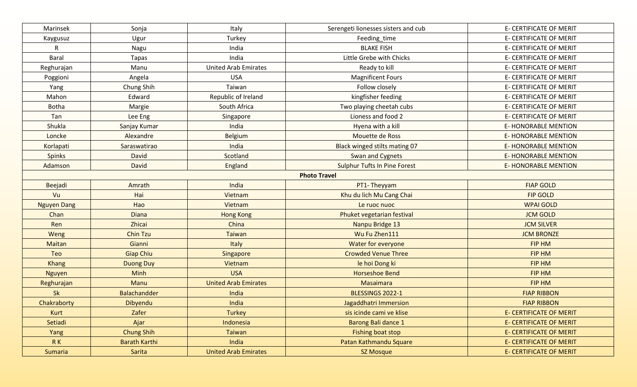| Marinsek           | Sonja                | Italy                       | Serengeti lionesses sisters and cub | E- CERTIFICATE OF MERIT        |
|--------------------|----------------------|-----------------------------|-------------------------------------|--------------------------------|
| Kaygusuz           | Ugur                 | Turkey                      | Feeding_time                        | <b>E- CERTIFICATE OF MERIT</b> |
| $\mathsf{R}$       | Nagu                 | India                       | <b>BLAKE FISH</b>                   | E- CERTIFICATE OF MERIT        |
| <b>Baral</b>       | Tapas                | India                       | Little Grebe with Chicks            | E- CERTIFICATE OF MERIT        |
| Reghurajan         | Manu                 | <b>United Arab Emirates</b> | Ready to kill                       | <b>E- CERTIFICATE OF MERIT</b> |
| Poggioni           | Angela               | <b>USA</b>                  | <b>Magnificent Fours</b>            | E- CERTIFICATE OF MERIT        |
| Yang               | Chung Shih           | Taiwan                      | Follow closely                      | E- CERTIFICATE OF MERIT        |
| Mahon              | Edward               | Republic of Ireland         | kingfisher feeding                  | E- CERTIFICATE OF MERIT        |
| <b>Botha</b>       | Margie               | South Africa                | Two playing cheetah cubs            | E- CERTIFICATE OF MERIT        |
| Tan                | Lee Eng              | Singapore                   | Lioness and food 2                  | E- CERTIFICATE OF MERIT        |
| Shukla             | Sanjay Kumar         | India                       | Hyena with a kill                   | <b>E-HONORABLE MENTION</b>     |
| Loncke             | Alexandre            | Belgium                     | Mouette de Ross                     | <b>E-HONORABLE MENTION</b>     |
| Korlapati          | Saraswatirao         | India                       | Black winged stilts mating 07       | <b>E-HONORABLE MENTION</b>     |
| <b>Spinks</b>      | David                | Scotland                    | Swan and Cygnets                    | <b>E-HONORABLE MENTION</b>     |
| Adamson            | David                | England                     | <b>Sulphur Tufts In Pine Forest</b> | <b>E- HONORABLE MENTION</b>    |
|                    |                      |                             | <b>Photo Travel</b>                 |                                |
| Beejadi            | Amrath               | India                       | PT1-Theyyam                         | <b>FIAP GOLD</b>               |
| Vu                 | Hai                  | Vietnam                     | Khu du lich Mu Cang Chai            | <b>FIP GOLD</b>                |
| <b>Nguyen Dang</b> | Hao                  | Vietnam                     | Le ruoc nuoc                        | <b>WPAI GOLD</b>               |
| Chan               | <b>Diana</b>         | <b>Hong Kong</b>            | Phuket vegetarian festival          | <b>JCM GOLD</b>                |
| Ren                | Zhicai               | China                       | Nanpu Bridge 13                     | <b>JCM SILVER</b>              |
| Weng               | <b>Chin Tzu</b>      | <b>Taiwan</b>               | Wu Fu Zhen111                       | <b>JCM BRONZE</b>              |
| <b>Maitan</b>      | Gianni               | Italy                       | Water for everyone                  | FIP HM                         |
| Teo                | <b>Giap Chiu</b>     | Singapore                   | <b>Crowded Venue Three</b>          | <b>FIP HM</b>                  |
| <b>Khang</b>       | <b>Duong Duy</b>     | Vietnam                     | le hoi Dong ki                      | <b>FIP HM</b>                  |
| <b>Nguyen</b>      | Minh                 | <b>USA</b>                  | <b>Horseshoe Bend</b>               | FIP HM                         |
| Reghurajan         | Manu                 | <b>United Arab Emirates</b> | <b>Masaimara</b>                    | <b>FIP HM</b>                  |
| <b>Sk</b>          | <b>Balachandder</b>  | India                       | BLESSINGS 2022-1                    | <b>FIAP RIBBON</b>             |
| Chakraborty        | Dibyendu             | India                       | Jagaddhatri Immersion               | <b>FIAP RIBBON</b>             |
| Kurt               | Zafer                | Turkey                      | sis icinde cami ve klise            | <b>E- CERTIFICATE OF MERIT</b> |
| Setiadi            | Ajar                 | Indonesia                   | Barong Bali dance 1                 | <b>E- CERTIFICATE OF MERIT</b> |
| Yang               | <b>Chung Shih</b>    | Taiwan                      | Fishing boat stop                   | <b>E- CERTIFICATE OF MERIT</b> |
| RK                 | <b>Barath Karthi</b> | India                       | Patan Kathmandu Square              | <b>E- CERTIFICATE OF MERIT</b> |
| Sumaria            | Sarita               | <b>United Arab Emirates</b> | <b>SZ Mosque</b>                    | <b>E- CERTIFICATE OF MERIT</b> |
|                    |                      |                             |                                     |                                |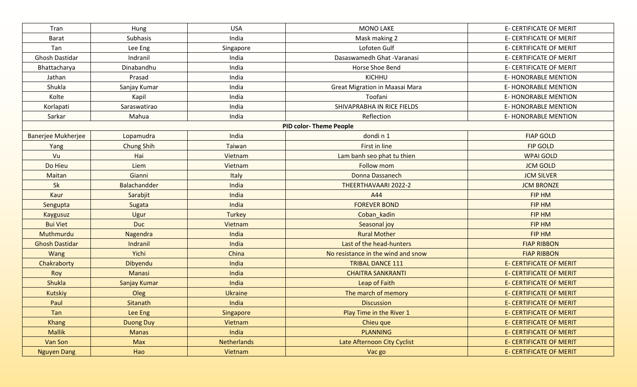| Tran                  | Hung                | <b>USA</b>         | <b>MONO LAKE</b>                   | <b>E- CERTIFICATE OF MERIT</b> |
|-----------------------|---------------------|--------------------|------------------------------------|--------------------------------|
| <b>Barat</b>          | Subhasis            | India              | Mask making 2                      | E- CERTIFICATE OF MERIT        |
| Tan                   | Lee Eng             | Singapore          | Lofoten Gulf                       | E- CERTIFICATE OF MERIT        |
| Ghosh Dastidar        | Indranil            | India              | Dasaswamedh Ghat - Varanasi        | E- CERTIFICATE OF MERIT        |
| Bhattacharya          | Dinabandhu          | India              | Horse Shoe Bend                    | <b>E- CERTIFICATE OF MERIT</b> |
| Jathan                | Prasad              | India              | KICHHU                             | <b>E-HONORABLE MENTION</b>     |
| Shukla                | Sanjay Kumar        | India              | Great Migration in Maasai Mara     | <b>E-HONORABLE MENTION</b>     |
| Kolte                 | Kapil               | India              | Toofani                            | <b>E- HONORABLE MENTION</b>    |
| Korlapati             | Saraswatirao        | India              | SHIVAPRABHA IN RICE FIELDS         | <b>E- HONORABLE MENTION</b>    |
| Sarkar                | Mahua               | India              | Reflection                         | E-HONORABLE MENTION            |
|                       |                     |                    | <b>PID color-Theme People</b>      |                                |
| Banerjee Mukherjee    | Lopamudra           | India              | dondin1                            | <b>FIAP GOLD</b>               |
| Yang                  | <b>Chung Shih</b>   | Taiwan             | First in line                      | <b>FIP GOLD</b>                |
| Vu                    | Hai                 | Vietnam            | Lam banh seo phat tu thien         | <b>WPAI GOLD</b>               |
| Do Hieu               | Liem                | Vietnam            | <b>Follow mom</b>                  | <b>JCM GOLD</b>                |
| Maitan                | Gianni              | Italy              | Donna Dassanech                    | <b>JCM SILVER</b>              |
| Sk                    | Balachandder        | India              | THEERTHAVAARI 2022-2               | <b>JCM BRONZE</b>              |
| Kaur                  | Sarabjit            | India              | A44                                | FIP HM                         |
| Sengupta              | Sugata              | India              | <b>FOREVER BOND</b>                | FIP HM                         |
| <b>Kaygusuz</b>       | Ugur                | <b>Turkey</b>      | Coban_kadin                        | <b>FIP HM</b>                  |
| <b>Bui Viet</b>       | <b>Duc</b>          | Vietnam            | Seasonal joy                       | <b>FIP HM</b>                  |
| Muthmurdu             | Nagendra            | India              | <b>Rural Mother</b>                | <b>FIP HM</b>                  |
| <b>Ghosh Dastidar</b> | Indranil            | India              | Last of the head-hunters           | <b>FIAP RIBBON</b>             |
| Wang                  | Yichi               | China              | No resistance in the wind and snow | <b>FIAP RIBBON</b>             |
| Chakraborty           | Dibyendu            | India              | <b>TRIBAL DANCE 111</b>            | <b>E- CERTIFICATE OF MERIT</b> |
| Roy                   | Manasi              | India              | <b>CHAITRA SANKRANTI</b>           | <b>E- CERTIFICATE OF MERIT</b> |
| <b>Shukla</b>         | <b>Sanjay Kumar</b> | India              | Leap of Faith                      | <b>E- CERTIFICATE OF MERIT</b> |
| <b>Kutskiy</b>        | Oleg                | <b>Ukraine</b>     | The march of memory                | <b>E- CERTIFICATE OF MERIT</b> |
| Paul                  | Sitanath            | India              | <b>Discussion</b>                  | <b>E- CERTIFICATE OF MERIT</b> |
| Tan                   | Lee Eng             | Singapore          | Play Time in the River 1           | <b>E- CERTIFICATE OF MERIT</b> |
| <b>Khang</b>          | <b>Duong Duy</b>    | Vietnam            | Chieu que                          | <b>E- CERTIFICATE OF MERIT</b> |
| <b>Mallik</b>         | <b>Manas</b>        | India              | <b>PLANNING</b>                    | <b>E- CERTIFICATE OF MERIT</b> |
| Van Son               | <b>Max</b>          | <b>Netherlands</b> | Late Afternoon City Cyclist        | <b>E- CERTIFICATE OF MERIT</b> |
| <b>Nguyen Dang</b>    | Hao                 | Vietnam            | Vac go                             | <b>E- CERTIFICATE OF MERIT</b> |
|                       |                     |                    |                                    |                                |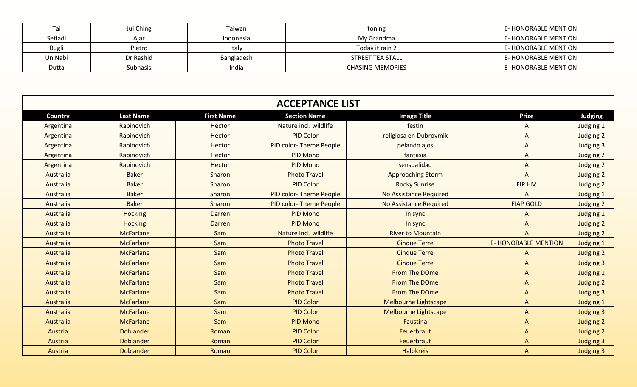|              | Jui Ching | Taiwan     | toning                  | E-HONORABLE MENTION |
|--------------|-----------|------------|-------------------------|---------------------|
| Setiadi      | Ajar      | Indonesia  | My Grandma              | E-HONORABLE MENTION |
| <b>Bugli</b> | Pietro    | Italy      | Today it rain 2         | E-HONORABLE MENTION |
| Un Nabi      | Dr Rashid | Bangladesh | STREET TEA STALL        | E-HONORABLE MENTION |
| Dutta        | Subhasis  | India      | <b>CHASING MEMORIES</b> | E-HONORABLE MENTION |

|           |                  |                   | <b>ACCEPTANCE LIST</b> |                               |                             |                  |
|-----------|------------------|-------------------|------------------------|-------------------------------|-----------------------------|------------------|
| Country   | <b>Last Name</b> | <b>First Name</b> | <b>Section Name</b>    | <b>Image Title</b>            | <b>Prize</b>                | Judging          |
| Argentina | Rabinovich       | Hector            | Nature incl. wildlife  | festin                        | A                           | Judging 1        |
| Argentina | Rabinovich       | Hector            | PID Color              | religiosa en Dubrovmik        | A                           | Judging 2        |
| Argentina | Rabinovich       | Hector            | PID color-Theme People | pelando ajos                  | A                           | Judging 3        |
| Argentina | Rabinovich       | Hector            | PID Mono               | fantasia                      | $\mathsf{A}$                | Judging 2        |
| Argentina | Rabinovich       | Hector            | PID Mono               | sensualidad                   | $\mathsf{A}$                | Judging 2        |
| Australia | <b>Baker</b>     | Sharon            | <b>Photo Travel</b>    | <b>Approaching Storm</b>      | $\mathsf{A}$                | Judging 2        |
| Australia | <b>Baker</b>     | Sharon            | <b>PID Color</b>       | <b>Rocky Sunrise</b>          | FIP HM                      | Judging 2        |
| Australia | <b>Baker</b>     | Sharon            | PID color-Theme People | <b>No Assistance Required</b> | A                           | Judging 1        |
| Australia | <b>Baker</b>     | Sharon            | PID color-Theme People | <b>No Assistance Required</b> | <b>FIAP GOLD</b>            | Judging 2        |
| Australia | <b>Hocking</b>   | Darren            | PID Mono               | In sync                       | A                           | <b>Judging 1</b> |
| Australia | <b>Hocking</b>   | <b>Darren</b>     | PID Mono               | In sync                       | $\mathsf{A}$                | Judging 2        |
| Australia | <b>McFarlane</b> | Sam               | Nature incl. wildlife  | <b>River to Mountain</b>      | A                           | Judging 2        |
| Australia | <b>McFarlane</b> | Sam               | <b>Photo Travel</b>    | <b>Cinque Terre</b>           | <b>E- HONORABLE MENTION</b> | Judging 1        |
| Australia | <b>McFarlane</b> | Sam               | <b>Photo Travel</b>    | <b>Cinque Terre</b>           | A                           | Judging 2        |
| Australia | <b>McFarlane</b> | Sam               | <b>Photo Travel</b>    | <b>Cinque Terre</b>           | $\mathsf{A}$                | <b>Judging 3</b> |
| Australia | <b>McFarlane</b> | Sam               | <b>Photo Travel</b>    | <b>From The DOme</b>          | A                           | Judging 1        |
| Australia | <b>McFarlane</b> | Sam               | <b>Photo Travel</b>    | From The DOme                 | $\Lambda$                   | <b>Judging 2</b> |
| Australia | <b>McFarlane</b> | Sam               | <b>Photo Travel</b>    | <b>From The DOme</b>          | $\Lambda$                   | Judging 3        |
| Australia | <b>McFarlane</b> | Sam               | <b>PID Color</b>       | Melbourne Lightscape          | $\mathsf{A}$                | Judging 1        |
| Australia | <b>McFarlane</b> | Sam               | <b>PID Color</b>       | <b>Melbourne Lightscape</b>   | $\mathsf{A}$                | <b>Judging 3</b> |
| Australia | <b>McFarlane</b> | Sam               | <b>PID Mono</b>        | Faustina                      | $\Lambda$                   | Judging 2        |
| Austria   | <b>Doblander</b> | Roman             | <b>PID Color</b>       | Feuerbraut                    | A                           | <b>Judging 2</b> |
| Austria   | <b>Doblander</b> | Roman             | <b>PID Color</b>       | Feuerbraut                    | $\mathsf{A}$                | <b>Judging 3</b> |
| Austria   | <b>Doblander</b> | Roman             | <b>PID Color</b>       | <b>Halbkreis</b>              | A                           | <b>Judging 3</b> |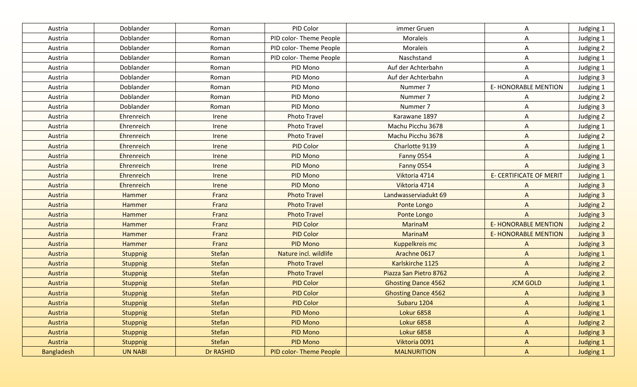| Austria    | Doblander       | Roman         | PID Color                     | immer Gruen                | A                              | Judging 1        |
|------------|-----------------|---------------|-------------------------------|----------------------------|--------------------------------|------------------|
| Austria    | Doblander       | Roman         | PID color-Theme People        | Moraleis                   | A                              | Judging 1        |
| Austria    | Doblander       | Roman         | PID color-Theme People        | Moraleis                   | A                              | Judging 2        |
| Austria    | Doblander       | Roman         | PID color-Theme People        | Naschstand                 | A                              | Judging 1        |
| Austria    | Doblander       | Roman         | PID Mono                      | Auf der Achterbahn         | A                              | Judging 1        |
| Austria    | Doblander       | Roman         | PID Mono                      | Auf der Achterbahn         | A                              | Judging 3        |
| Austria    | Doblander       | Roman         | PID Mono                      | Nummer 7                   | <b>E- HONORABLE MENTION</b>    | Judging 1        |
| Austria    | Doblander       | Roman         | PID Mono                      | Nummer 7                   | A                              | Judging 2        |
| Austria    | Doblander       | Roman         | PID Mono                      | Nummer 7                   | A                              | Judging 3        |
| Austria    | Ehrenreich      | Irene         | <b>Photo Travel</b>           | Karawane 1897              | A                              | Judging 2        |
| Austria    | Ehrenreich      | Irene         | <b>Photo Travel</b>           | Machu Picchu 3678          | A                              | Judging 1        |
| Austria    | Ehrenreich      | Irene         | <b>Photo Travel</b>           | Machu Picchu 3678          | A                              | Judging 2        |
| Austria    | Ehrenreich      | Irene         | PID Color                     | Charlotte 9139             | $\overline{A}$                 | Judging 1        |
| Austria    | Ehrenreich      | Irene         | PID Mono                      | Fanny 0554                 | $\Lambda$                      | Judging 1        |
| Austria    | Ehrenreich      | Irene         | PID Mono                      | <b>Fanny 0554</b>          | $\overline{A}$                 | Judging 3        |
| Austria    | Ehrenreich      | Irene         | PID Mono                      | Viktoria 4714              | <b>E- CERTIFICATE OF MERIT</b> | <b>Judging 1</b> |
| Austria    | Ehrenreich      | Irene         | PID Mono                      | Viktoria 4714              | $\mathsf{A}$                   | Judging 3        |
| Austria    | Hammer          | Franz         | <b>Photo Travel</b>           | Landwasserviadukt 69       | $\Lambda$                      | Judging 3        |
| Austria    | Hammer          | Franz         | <b>Photo Travel</b>           | Ponte Longo                | $\Lambda$                      | Judging 2        |
| Austria    | Hammer          | Franz         | <b>Photo Travel</b>           | Ponte Longo                | $\overline{A}$                 | <b>Judging 3</b> |
| Austria    | Hammer          | Franz         | <b>PID Color</b>              | MarinaM                    | <b>E- HONORABLE MENTION</b>    | <b>Judging 2</b> |
| Austria    | Hammer          | Franz         | <b>PID Color</b>              | MarinaM                    | <b>E-HONORABLE MENTION</b>     | <b>Judging 3</b> |
| Austria    | <b>Hammer</b>   | Franz         | <b>PID Mono</b>               | Kuppelkreis mc             | $\mathsf{A}$                   | <b>Judging 3</b> |
| Austria    | <b>Stuppnig</b> | Stefan        | Nature incl. wildlife         | Arachne 0617               | $\mathsf{A}$                   | <b>Judging 1</b> |
| Austria    | <b>Stuppnig</b> | <b>Stefan</b> | <b>Photo Travel</b>           | Karlskirche 1125           | $\Lambda$                      | <b>Judging 2</b> |
| Austria    | <b>Stuppnig</b> | <b>Stefan</b> | <b>Photo Travel</b>           | Piazza San Pietro 8762     | $\overline{A}$                 | <b>Judging 2</b> |
| Austria    | <b>Stuppnig</b> | Stefan        | <b>PID Color</b>              | <b>Ghosting Dance 4562</b> | <b>JCM GOLD</b>                | <b>Judging 1</b> |
| Austria    | <b>Stuppnig</b> | <b>Stefan</b> | <b>PID Color</b>              | <b>Ghosting Dance 4562</b> | $\Lambda$                      | <b>Judging 3</b> |
| Austria    | <b>Stuppnig</b> | <b>Stefan</b> | <b>PID Color</b>              | Subaru 1204                | $\Lambda$                      | <b>Judging 1</b> |
| Austria    | Stuppnig        | <b>Stefan</b> | <b>PID Mono</b>               | <b>Lokur 6858</b>          | $\mathsf{A}$                   | Judging 1        |
| Austria    | Stuppnig        | Stefan        | PID Mono                      | <b>Lokur 6858</b>          | $\mathsf{A}$                   | Judging 2        |
| Austria    | Stuppnig        | Stefan        | PID Mono                      | <b>Lokur 6858</b>          | $\mathsf{A}$                   | <b>Judging 3</b> |
| Austria    | <b>Stuppnig</b> | Stefan        | PID Mono                      | Viktoria 0091              | $\mathsf{A}$                   | Judging 1        |
| Bangladesh | <b>UN NABI</b>  | Dr RASHID     | <b>PID color-Theme People</b> | <b>MALNURITION</b>         | $\mathsf{A}$                   | <b>Judging 1</b> |
|            |                 |               |                               |                            |                                |                  |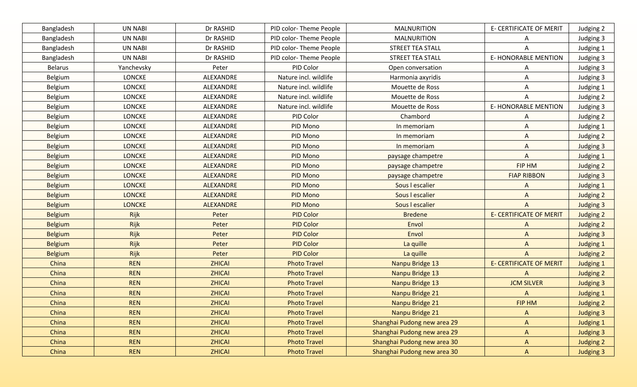| Bangladesh     | <b>UN NABI</b> | Dr RASHID        | PID color-Theme People | <b>MALNURITION</b>          | <b>E- CERTIFICATE OF MERIT</b> | Judging 2        |
|----------------|----------------|------------------|------------------------|-----------------------------|--------------------------------|------------------|
| Bangladesh     | <b>UN NABI</b> | Dr RASHID        | PID color-Theme People | <b>MALNURITION</b>          | A                              | Judging 3        |
| Bangladesh     | <b>UN NABI</b> | Dr RASHID        | PID color-Theme People | STREET TEA STALL            | A                              | Judging 1        |
| Bangladesh     | <b>UN NABI</b> | Dr RASHID        | PID color-Theme People | <b>STREET TEA STALL</b>     | <b>E- HONORABLE MENTION</b>    | Judging 3        |
| <b>Belarus</b> | Yanchevsky     | Peter            | PID Color              | Open conversation           | A                              | Judging 3        |
| Belgium        | LONCKE         | ALEXANDRE        | Nature incl. wildlife  | Harmonia axyridis           | Α                              | Judging 3        |
| Belgium        | <b>LONCKE</b>  | ALEXANDRE        | Nature incl. wildlife  | Mouette de Ross             | A                              | Judging 1        |
| Belgium        | <b>LONCKE</b>  | ALEXANDRE        | Nature incl. wildlife  | Mouette de Ross             | A                              | Judging 2        |
| Belgium        | <b>LONCKE</b>  | ALEXANDRE        | Nature incl. wildlife  | Mouette de Ross             | <b>E-HONORABLE MENTION</b>     | Judging 3        |
| Belgium        | <b>LONCKE</b>  | ALEXANDRE        | PID Color              | Chambord                    | A                              | Judging 2        |
| Belgium        | <b>LONCKE</b>  | ALEXANDRE        | PID Mono               | In memoriam                 | A                              | Judging 1        |
| Belgium        | <b>LONCKE</b>  | ALEXANDRE        | PID Mono               | In memoriam                 | A                              | Judging 2        |
| <b>Belgium</b> | <b>LONCKE</b>  | ALEXANDRE        | PID Mono               | In memoriam                 | A                              | Judging 3        |
| <b>Belgium</b> | <b>LONCKE</b>  | <b>ALEXANDRE</b> | PID Mono               | paysage champetre           | A                              | Judging 1        |
| <b>Belgium</b> | <b>LONCKE</b>  | <b>ALEXANDRE</b> | PID Mono               | paysage champetre           | FIP HM                         | Judging 2        |
| <b>Belgium</b> | <b>LONCKE</b>  | <b>ALEXANDRE</b> | PID Mono               | paysage champetre           | <b>FIAP RIBBON</b>             | Judging 3        |
| <b>Belgium</b> | <b>LONCKE</b>  | <b>ALEXANDRE</b> | PID Mono               | Sous I escalier             | A                              | <b>Judging 1</b> |
| <b>Belgium</b> | <b>LONCKE</b>  | <b>ALEXANDRE</b> | <b>PID Mono</b>        | Sous I escalier             | $\Lambda$                      | <b>Judging 2</b> |
| <b>Belgium</b> | <b>LONCKE</b>  | <b>ALEXANDRE</b> | <b>PID Mono</b>        | Sous I escalier             | $\Lambda$                      | <b>Judging 3</b> |
| <b>Belgium</b> | Rijk           | Peter            | <b>PID Color</b>       | <b>Bredene</b>              | <b>E- CERTIFICATE OF MERIT</b> | Judging 2        |
| <b>Belgium</b> | Rijk           | Peter            | <b>PID Color</b>       | Envol                       | A                              | Judging 2        |
| <b>Belgium</b> | Rijk           | Peter            | <b>PID Color</b>       | Envol                       | $\Lambda$                      | <b>Judging 3</b> |
| <b>Belgium</b> | Rijk           | Peter            | <b>PID Color</b>       | La quille                   | $\mathsf{A}$                   | <b>Judging 1</b> |
| <b>Belgium</b> | Rijk           | Peter            | <b>PID Color</b>       | La quille                   | $\mathsf{A}$                   | <b>Judging 2</b> |
| China          | <b>REN</b>     | <b>ZHICAI</b>    | <b>Photo Travel</b>    | Nanpu Bridge 13             | <b>E- CERTIFICATE OF MERIT</b> | <b>Judging 1</b> |
| China          | <b>REN</b>     | <b>ZHICAI</b>    | <b>Photo Travel</b>    | Nanpu Bridge 13             | $\Lambda$                      | <b>Judging 2</b> |
| China          | <b>REN</b>     | <b>ZHICAI</b>    | <b>Photo Travel</b>    | Nanpu Bridge 13             | <b>JCM SILVER</b>              | <b>Judging 3</b> |
| China          | <b>REN</b>     | <b>ZHICAI</b>    | <b>Photo Travel</b>    | Nanpu Bridge 21             | A                              | <b>Judging 1</b> |
| China          | <b>REN</b>     | <b>ZHICAI</b>    | <b>Photo Travel</b>    | Nanpu Bridge 21             | FIP HM                         | <b>Judging 2</b> |
| China          | <b>REN</b>     | <b>ZHICAI</b>    | <b>Photo Travel</b>    | Nanpu Bridge 21             | $\mathsf{A}$                   | <b>Judging 3</b> |
| China          | <b>REN</b>     | <b>ZHICAI</b>    | <b>Photo Travel</b>    | Shanghai Pudong new area 29 | $\mathsf{A}$                   | <b>Judging 1</b> |
| China          | <b>REN</b>     | <b>ZHICAI</b>    | <b>Photo Travel</b>    | Shanghai Pudong new area 29 | $\mathsf{A}$                   | <b>Judging 3</b> |
| China          | <b>REN</b>     | <b>ZHICAI</b>    | <b>Photo Travel</b>    | Shanghai Pudong new area 30 | A                              | Judging 2        |
| China          | <b>REN</b>     | <b>ZHICAI</b>    | <b>Photo Travel</b>    | Shanghai Pudong new area 30 | $\mathsf{A}$                   | <b>Judging 3</b> |
|                |                |                  |                        |                             |                                |                  |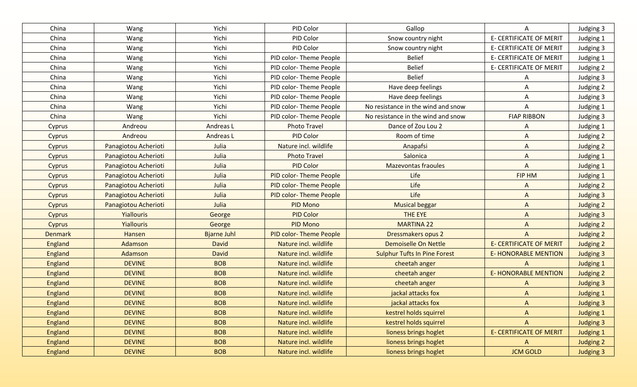| China          | Wang                 | Yichi              | PID Color                     | Gallop                              | A                              | Judging 3        |
|----------------|----------------------|--------------------|-------------------------------|-------------------------------------|--------------------------------|------------------|
| China          | Wang                 | Yichi              | PID Color                     | Snow country night                  | E- CERTIFICATE OF MERIT        | Judging 1        |
| China          | Wang                 | Yichi              | PID Color                     | Snow country night                  | E- CERTIFICATE OF MERIT        | Judging 3        |
| China          | Wang                 | Yichi              | PID color-Theme People        | <b>Belief</b>                       | <b>E- CERTIFICATE OF MERIT</b> | Judging 1        |
| China          | Wang                 | Yichi              | PID color-Theme People        | <b>Belief</b>                       | <b>E- CERTIFICATE OF MERIT</b> | Judging 2        |
| China          | Wang                 | Yichi              | PID color-Theme People        | <b>Belief</b>                       | Α                              | Judging 3        |
| China          | Wang                 | Yichi              | PID color-Theme People        | Have deep feelings                  | Α                              | Judging 2        |
| China          | Wang                 | Yichi              | PID color-Theme People        | Have deep feelings                  | A                              | Judging 3        |
| China          | <b>Wang</b>          | Yichi              | PID color-Theme People        | No resistance in the wind and snow  | Α                              | Judging 1        |
| China          | Wang                 | Yichi              | PID color-Theme People        | No resistance in the wind and snow  | <b>FIAP RIBBON</b>             | Judging 3        |
| Cyprus         | Andreou              | Andreas L          | <b>Photo Travel</b>           | Dance of Zou Lou 2                  | A                              | Judging 1        |
| Cyprus         | Andreou              | Andreas L          | PID Color                     | Room of time                        | A                              | Judging 2        |
| Cyprus         | Panagiotou Acherioti | Julia              | Nature incl. wildlife         | Anapafsi                            | A                              | Judging 2        |
| Cyprus         | Panagiotou Acherioti | Julia              | <b>Photo Travel</b>           | Salonica                            | A                              | Judging 1        |
| Cyprus         | Panagiotou Acherioti | Julia              | <b>PID Color</b>              | <b>Mazevontas fraoules</b>          | $\mathsf{A}$                   | Judging 1        |
| Cyprus         | Panagiotou Acherioti | Julia              | PID color-Theme People        | Life                                | FIP HM                         | <b>Judging 1</b> |
| Cyprus         | Panagiotou Acherioti | Julia              | PID color-Theme People        | Life                                | A                              | Judging 2        |
| Cyprus         | Panagiotou Acherioti | Julia              | PID color-Theme People        | Life                                | $\mathsf{A}$                   | <b>Judging 3</b> |
| Cyprus         | Panagiotou Acherioti | Julia              | <b>PID Mono</b>               | <b>Musical beggar</b>               | $\mathsf{A}$                   | Judging 2        |
| Cyprus         | <b>Yiallouris</b>    | George             | <b>PID Color</b>              | THE EYE                             | $\mathsf{A}$                   | <b>Judging 3</b> |
| Cyprus         | <b>Yiallouris</b>    | George             | <b>PID Mono</b>               | <b>MARTINA 22</b>                   | $\mathsf{A}$                   | Judging 2        |
| <b>Denmark</b> | Hansen               | <b>Bjarne Juhl</b> | <b>PID color-Theme People</b> | Dressmakers opus 2                  | $\Lambda$                      | <b>Judging 2</b> |
| England        | Adamson              | <b>David</b>       | Nature incl. wildlife         | Demoiselle On Nettle                | <b>E- CERTIFICATE OF MERIT</b> | Judging 2        |
| <b>England</b> | Adamson              | <b>David</b>       | Nature incl. wildlife         | <b>Sulphur Tufts In Pine Forest</b> | <b>E-HONORABLE MENTION</b>     | <b>Judging 3</b> |
| England        | <b>DEVINE</b>        | <b>BOB</b>         | Nature incl. wildlife         | cheetah anger                       | $\Lambda$                      | <b>Judging 1</b> |
| England        | <b>DEVINE</b>        | <b>BOB</b>         | Nature incl. wildlife         | cheetah anger                       | <b>E- HONORABLE MENTION</b>    | <b>Judging 2</b> |
| <b>England</b> | <b>DEVINE</b>        | <b>BOB</b>         | Nature incl. wildlife         | cheetah anger                       | $\Lambda$                      | <b>Judging 3</b> |
| England        | <b>DEVINE</b>        | <b>BOB</b>         | Nature incl. wildlife         | jackal attacks fox                  | $\Lambda$                      | <b>Judging 1</b> |
| England        | <b>DEVINE</b>        | <b>BOB</b>         | Nature incl. wildlife         | jackal attacks fox                  | A                              | Judging 3        |
| <b>England</b> | <b>DEVINE</b>        | <b>BOB</b>         | Nature incl. wildlife         | kestrel holds squirrel              | $\Lambda$                      | <b>Judging 1</b> |
| <b>England</b> | <b>DEVINE</b>        | <b>BOB</b>         | Nature incl. wildlife         | kestrel holds squirrel              | A                              | <b>Judging 3</b> |
| <b>England</b> | <b>DEVINE</b>        | <b>BOB</b>         | Nature incl. wildlife         | lioness brings hoglet               | <b>E- CERTIFICATE OF MERIT</b> | <b>Judging 1</b> |
| England        | <b>DEVINE</b>        | <b>BOB</b>         | Nature incl. wildlife         | lioness brings hoglet               | A                              | Judging 2        |
| England        | <b>DEVINE</b>        | <b>BOB</b>         | Nature incl. wildlife         | lioness brings hoglet               | <b>JCM GOLD</b>                | <b>Judging 3</b> |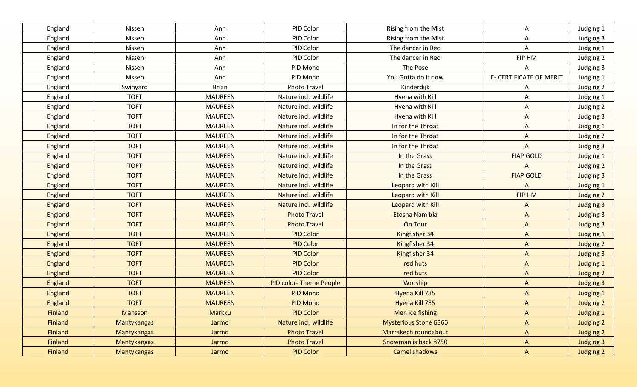| England        | Nissen             | Ann            | PID Color              | Rising from the Mist         | Α                              | Judging 1        |
|----------------|--------------------|----------------|------------------------|------------------------------|--------------------------------|------------------|
| England        | Nissen             | Ann            | PID Color              | Rising from the Mist         | Α                              | Judging 3        |
| England        | Nissen             | Ann            | PID Color              | The dancer in Red            | Α                              | Judging 1        |
| England        | Nissen             | Ann            | PID Color              | The dancer in Red            | FIP HM                         | Judging 2        |
| England        | Nissen             | Ann            | PID Mono               | The Pose                     | Α                              | Judging 3        |
| England        | Nissen             | Ann            | PID Mono               | You Gotta do it now          | <b>E- CERTIFICATE OF MERIT</b> | Judging 1        |
| England        | Swinyard           | <b>Brian</b>   | Photo Travel           | Kinderdijk                   | A                              | Judging 2        |
| England        | <b>TOFT</b>        | <b>MAUREEN</b> | Nature incl. wildlife  | Hyena with Kill              | Α                              | Judging 1        |
| England        | <b>TOFT</b>        | <b>MAUREEN</b> | Nature incl. wildlife  | Hyena with Kill              | Α                              | Judging 2        |
| England        | <b>TOFT</b>        | <b>MAUREEN</b> | Nature incl. wildlife  | Hyena with Kill              | Α                              | Judging 3        |
| England        | <b>TOFT</b>        | <b>MAUREEN</b> | Nature incl. wildlife  | In for the Throat            | A                              | Judging 1        |
| England        | <b>TOFT</b>        | <b>MAUREEN</b> | Nature incl. wildlife  | In for the Throat            | A                              | Judging 2        |
| England        | <b>TOFT</b>        | <b>MAUREEN</b> | Nature incl. wildlife  | In for the Throat            | A                              | Judging 3        |
| England        | <b>TOFT</b>        | <b>MAUREEN</b> | Nature incl. wildlife  | In the Grass                 | <b>FIAP GOLD</b>               | Judging 1        |
| England        | <b>TOFT</b>        | <b>MAUREEN</b> | Nature incl. wildlife  | In the Grass                 | A                              | Judging 2        |
| <b>England</b> | <b>TOFT</b>        | <b>MAUREEN</b> | Nature incl. wildlife  | In the Grass                 | <b>FIAP GOLD</b>               | Judging 3        |
| England        | <b>TOFT</b>        | <b>MAUREEN</b> | Nature incl. wildlife  | Leopard with Kill            | A                              | <b>Judging 1</b> |
| England        | <b>TOFT</b>        | <b>MAUREEN</b> | Nature incl. wildlife  | Leopard with Kill            | FIP HM                         | Judging 2        |
| England        | <b>TOFT</b>        | <b>MAUREEN</b> | Nature incl. wildlife  | Leopard with Kill            | $\Lambda$                      | <b>Judging 3</b> |
| England        | <b>TOFT</b>        | <b>MAUREEN</b> | <b>Photo Travel</b>    | Etosha Namibia               | $\mathsf{A}$                   | <b>Judging 3</b> |
| <b>England</b> | <b>TOFT</b>        | <b>MAUREEN</b> | <b>Photo Travel</b>    | On Tour                      | $\mathsf{A}$                   | <b>Judging 3</b> |
| England        | <b>TOFT</b>        | <b>MAUREEN</b> | <b>PID Color</b>       | Kingfisher 34                | $\mathsf{A}$                   | <b>Judging 1</b> |
| England        | <b>TOFT</b>        | <b>MAUREEN</b> | <b>PID Color</b>       | Kingfisher 34                | $\mathsf{A}$                   | Judging 2        |
| England        | <b>TOFT</b>        | <b>MAUREEN</b> | <b>PID Color</b>       | Kingfisher 34                | $\mathsf{A}$                   | <b>Judging 3</b> |
| England        | <b>TOFT</b>        | <b>MAUREEN</b> | <b>PID Color</b>       | red huts                     | $\Lambda$                      | <b>Judging 1</b> |
| <b>England</b> | <b>TOFT</b>        | <b>MAUREEN</b> | <b>PID Color</b>       | red huts                     | $\Lambda$                      | <b>Judging 2</b> |
| <b>England</b> | <b>TOFT</b>        | <b>MAUREEN</b> | PID color-Theme People | Worship                      | $\mathsf{A}$                   | <b>Judging 3</b> |
| England        | <b>TOFT</b>        | <b>MAUREEN</b> | <b>PID Mono</b>        | Hyena Kill 735               | $\Lambda$                      | <b>Judging 1</b> |
| England        | <b>TOFT</b>        | <b>MAUREEN</b> | <b>PID Mono</b>        | Hyena Kill 735               | $\Lambda$                      | <b>Judging 2</b> |
| <b>Finland</b> | Mansson            | Markku         | <b>PID Color</b>       | Men ice fishing              | $\mathsf{A}$                   | <b>Judging 1</b> |
| Finland        | Mantykangas        | Jarmo          | Nature incl. wildlife  | <b>Mysterious Stone 6366</b> | $\mathsf{A}$                   | Judging 2        |
| Finland        | Mantykangas        | Jarmo          | <b>Photo Travel</b>    | Marrakech roundabout         | $\mathsf{A}$                   | Judging 2        |
| Finland        | <b>Mantykangas</b> | Jarmo          | <b>Photo Travel</b>    | Snowman is back 8750         | $\mathsf{A}$                   | <b>Judging 3</b> |
| Finland        | Mantykangas        | Jarmo          | <b>PID Color</b>       | Camel shadows                | $\mathsf{A}$                   | Judging 2        |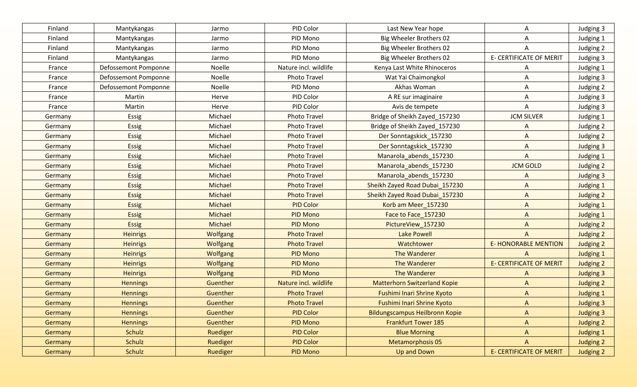| Finland | Mantykangas          | Jarmo           | PID Color             | Last New Year hope                  | A                              | Judging 3        |
|---------|----------------------|-----------------|-----------------------|-------------------------------------|--------------------------------|------------------|
| Finland | Mantykangas          | Jarmo           | PID Mono              | Big Wheeler Brothers 02             | A                              | Judging 1        |
| Finland | Mantykangas          | Jarmo           | PID Mono              | Big Wheeler Brothers 02             | A                              | Judging 2        |
| Finland | Mantykangas          | Jarmo           | PID Mono              | Big Wheeler Brothers 02             | E- CERTIFICATE OF MERIT        | Judging 3        |
| France  | Defossemont Pomponne | Noelle          | Nature incl. wildlife | Kenya Last White Rhinoceros         | A                              | Judging 1        |
| France  | Defossemont Pomponne | Noelle          | Photo Travel          | Wat Yai Chaimongkol                 | A                              | Judging 3        |
| France  | Defossemont Pomponne | Noelle          | PID Mono              | Akhas Woman                         | A                              | Judging 2        |
| France  | Martin               | Herve           | PID Color             | A RE sur imaginaire                 | A                              | Judging 3        |
| France  | Martin               | Herve           | PID Color             | Avis de tempete                     | A                              | Judging 3        |
| Germany | Essig                | Michael         | <b>Photo Travel</b>   | Bridge of Sheikh Zayed_157230       | <b>JCM SILVER</b>              | Judging 1        |
| Germany | Essig                | Michael         | <b>Photo Travel</b>   | Bridge of Sheikh Zayed_157230       | A                              | Judging 2        |
| Germany | Essig                | Michael         | <b>Photo Travel</b>   | Der Sonntagskick_157230             | A                              | Judging 2        |
| Germany | <b>Essig</b>         | Michael         | <b>Photo Travel</b>   | Der Sonntagskick_157230             | $\overline{A}$                 | Judging 3        |
| Germany | <b>Essig</b>         | Michael         | <b>Photo Travel</b>   | Manarola abends 157230              | $\Lambda$                      | Judging 1        |
| Germany | <b>Essig</b>         | Michael         | <b>Photo Travel</b>   | Manarola_abends_157230              | <b>JCM GOLD</b>                | Judging 2        |
| Germany | <b>Essig</b>         | Michael         | <b>Photo Travel</b>   | Manarola abends 157230              | A                              | Judging 3        |
| Germany | <b>Essig</b>         | Michael         | <b>Photo Travel</b>   | Sheikh Zayed Road Dubai_157230      | $\mathsf{A}$                   | Judging 1        |
| Germany | <b>Essig</b>         | Michael         | <b>Photo Travel</b>   | Sheikh Zayed Road Dubai_157230      | $\Lambda$                      | Judging 2        |
| Germany | <b>Essig</b>         | Michael         | <b>PID Color</b>      | Korb am Meer_157230                 | $\Lambda$                      | Judging 1        |
| Germany | <b>Essig</b>         | Michael         | <b>PID Mono</b>       | Face to Face_157230                 | $\Lambda$                      | Judging 1        |
| Germany | <b>Essig</b>         | Michael         | PID Mono              | PictureView_157230                  | $\Lambda$                      | Judging 2        |
| Germany | <b>Heinrigs</b>      | <b>Wolfgang</b> | <b>Photo Travel</b>   | <b>Lake Powell</b>                  | A                              | Judging 2        |
| Germany | <b>Heinrigs</b>      | <b>Wolfgang</b> | <b>Photo Travel</b>   | Watchtower                          | <b>E-HONORABLE MENTION</b>     | Judging 2        |
| Germany | <b>Heinrigs</b>      | Wolfgang        | <b>PID Mono</b>       | The Wanderer                        | A                              | <b>Judging 1</b> |
| Germany | <b>Heinrigs</b>      | Wolfgang        | <b>PID Mono</b>       | The Wanderer                        | <b>E- CERTIFICATE OF MERIT</b> | <b>Judging 2</b> |
| Germany | <b>Heinrigs</b>      | Wolfgang        | <b>PID Mono</b>       | The Wanderer                        | A                              | <b>Judging 3</b> |
| Germany | <b>Hennings</b>      | Guenther        | Nature incl. wildlife | <b>Matterhorn Switzerland Kopie</b> | $\Lambda$                      | <b>Judging 2</b> |
| Germany | <b>Hennings</b>      | Guenther        | <b>Photo Travel</b>   | Fushimi Inari Shrine Kyoto          | $\Lambda$                      | <b>Judging 1</b> |
| Germany | <b>Hennings</b>      | Guenther        | <b>Photo Travel</b>   | <b>Fushimi Inari Shrine Kyoto</b>   | $\Lambda$                      | <b>Judging 3</b> |
| Germany | <b>Hennings</b>      | Guenther        | <b>PID Color</b>      | Bildungscampus Heilbronn Kopie      | $\Lambda$                      | <b>Judging 3</b> |
| Germany | <b>Hennings</b>      | Guenther        | PID Mono              | <b>Frankfurt Tower 185</b>          | $\mathsf{A}$                   | Judging 2        |
| Germany | Schulz               | Ruediger        | <b>PID Color</b>      | <b>Blue Morning</b>                 | $\mathsf{A}$                   | Judging 1        |
| Germany | Schulz               | Ruediger        | <b>PID Color</b>      | Metamorphosis 05                    | $\mathsf{A}$                   | Judging 2        |
| Germany | Schulz               | Ruediger        | PID Mono              | Up and Down                         | <b>E- CERTIFICATE OF MERIT</b> | Judging 2        |
|         |                      |                 |                       |                                     |                                |                  |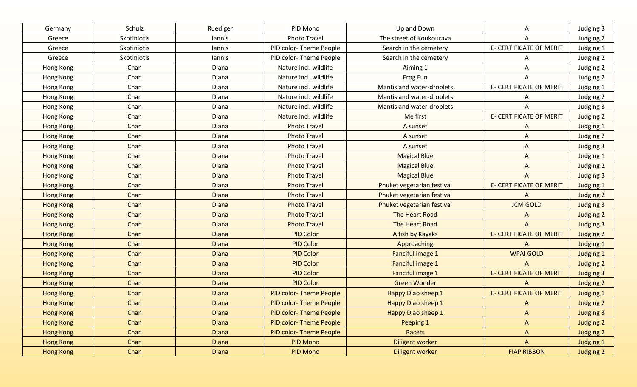| Germany          | Schulz      | Ruediger     | PID Mono                      | Up and Down                | A                              | Judging 3        |
|------------------|-------------|--------------|-------------------------------|----------------------------|--------------------------------|------------------|
| Greece           | Skotiniotis | lannis       | <b>Photo Travel</b>           | The street of Koukourava   | Α                              | Judging 2        |
| Greece           | Skotiniotis | lannis       | PID color-Theme People        | Search in the cemetery     | <b>E- CERTIFICATE OF MERIT</b> | Judging 1        |
| Greece           | Skotiniotis | lannis       | PID color-Theme People        | Search in the cemetery     | A                              | Judging 2        |
| Hong Kong        | Chan        | Diana        | Nature incl. wildlife         | Aiming 1                   | Α                              | Judging 2        |
| Hong Kong        | Chan        | Diana        | Nature incl. wildlife         | Frog Fun                   | A                              | Judging 2        |
| Hong Kong        | Chan        | Diana        | Nature incl. wildlife         | Mantis and water-droplets  | E- CERTIFICATE OF MERIT        | Judging 1        |
| Hong Kong        | Chan        | Diana        | Nature incl. wildlife         | Mantis and water-droplets  | A                              | Judging 2        |
| Hong Kong        | Chan        | Diana        | Nature incl. wildlife         | Mantis and water-droplets  | A                              | Judging 3        |
| Hong Kong        | Chan        | Diana        | Nature incl. wildlife         | Me first                   | E- CERTIFICATE OF MERIT        | Judging 2        |
| Hong Kong        | Chan        | Diana        | <b>Photo Travel</b>           | A sunset                   | A                              | Judging 1        |
| <b>Hong Kong</b> | Chan        | Diana        | <b>Photo Travel</b>           | A sunset                   | A                              | Judging 2        |
| <b>Hong Kong</b> | Chan        | Diana        | <b>Photo Travel</b>           | A sunset                   | A                              | Judging 3        |
| <b>Hong Kong</b> | Chan        | <b>Diana</b> | <b>Photo Travel</b>           | <b>Magical Blue</b>        | $\mathsf{A}$                   | Judging 1        |
| <b>Hong Kong</b> | Chan        | Diana        | <b>Photo Travel</b>           | <b>Magical Blue</b>        | $\Lambda$                      | Judging 2        |
| <b>Hong Kong</b> | Chan        | Diana        | <b>Photo Travel</b>           | <b>Magical Blue</b>        | A                              | Judging 3        |
| <b>Hong Kong</b> | Chan        | Diana        | <b>Photo Travel</b>           | Phuket vegetarian festival | <b>E- CERTIFICATE OF MERIT</b> | Judging 1        |
| <b>Hong Kong</b> | Chan        | <b>Diana</b> | <b>Photo Travel</b>           | Phuket vegetarian festival | $\mathsf{A}$                   | <b>Judging 2</b> |
| <b>Hong Kong</b> | Chan        | <b>Diana</b> | <b>Photo Travel</b>           | Phuket vegetarian festival | <b>JCM GOLD</b>                | <b>Judging 3</b> |
| <b>Hong Kong</b> | Chan        | <b>Diana</b> | <b>Photo Travel</b>           | The Heart Road             | A                              | Judging 2        |
| <b>Hong Kong</b> | Chan        | Diana        | <b>Photo Travel</b>           | <b>The Heart Road</b>      | A                              | <b>Judging 3</b> |
| <b>Hong Kong</b> | Chan        | <b>Diana</b> | <b>PID Color</b>              | A fish by Kayaks           | <b>E- CERTIFICATE OF MERIT</b> | Judging 2        |
| <b>Hong Kong</b> | Chan        | <b>Diana</b> | <b>PID Color</b>              | Approaching                | $\mathsf{A}$                   | <b>Judging 1</b> |
| <b>Hong Kong</b> | Chan        | <b>Diana</b> | <b>PID Color</b>              | Fanciful image 1           | <b>WPAI GOLD</b>               | <b>Judging 1</b> |
| <b>Hong Kong</b> | Chan        | <b>Diana</b> | <b>PID Color</b>              | Fanciful image 1           | A                              | <b>Judging 2</b> |
| <b>Hong Kong</b> | Chan        | <b>Diana</b> | <b>PID Color</b>              | Fanciful image 1           | <b>E- CERTIFICATE OF MERIT</b> | <b>Judging 3</b> |
| <b>Hong Kong</b> | Chan        | Diana        | <b>PID Color</b>              | <b>Green Wonder</b>        | A                              | Judging 2        |
| <b>Hong Kong</b> | Chan        | <b>Diana</b> | <b>PID color-Theme People</b> | Happy Diao sheep 1         | <b>E- CERTIFICATE OF MERIT</b> | <b>Judging 1</b> |
| <b>Hong Kong</b> | Chan        | <b>Diana</b> | <b>PID color-Theme People</b> | Happy Diao sheep 1         | A                              | Judging 2        |
| <b>Hong Kong</b> | Chan        | <b>Diana</b> | PID color-Theme People        | Happy Diao sheep 1         | $\mathsf{A}$                   | Judging 3        |
| Hong Kong        | Chan        | <b>Diana</b> | PID color-Theme People        | Peeping 1                  | $\mathsf{A}$                   | Judging 2        |
| Hong Kong        | Chan        | <b>Diana</b> | PID color-Theme People        | Racers                     | $\mathsf{A}$                   | Judging 2        |
| Hong Kong        | Chan        | <b>Diana</b> | PID Mono                      | Diligent worker            | $\mathsf{A}$                   | Judging 1        |
| Hong Kong        | Chan        | <b>Diana</b> | PID Mono                      | Diligent worker            | <b>FIAP RIBBON</b>             | Judging 2        |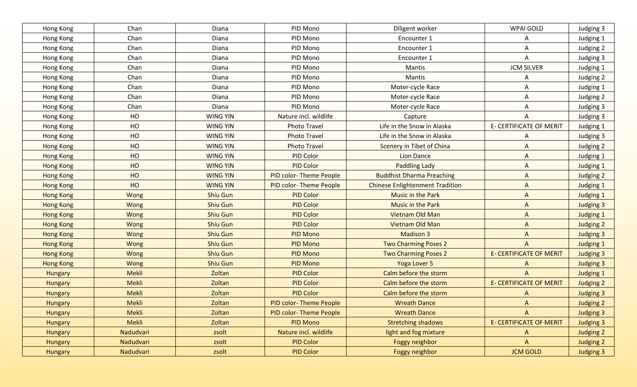| Hong Kong        | Chan         | Diana           | PID Mono                      | Diligent worker                        | WPAI GOLD                      | Judging 3        |
|------------------|--------------|-----------------|-------------------------------|----------------------------------------|--------------------------------|------------------|
| Hong Kong        | Chan         | Diana           | PID Mono                      | Encounter 1                            | Α                              | Judging 1        |
| Hong Kong        | Chan         | Diana           | PID Mono                      | Encounter 1                            | Α                              | Judging 2        |
| Hong Kong        | Chan         | Diana           | PID Mono                      | Encounter 1                            | Α                              | Judging 3        |
| Hong Kong        | Chan         | Diana           | PID Mono                      | Mantis                                 | <b>JCM SILVER</b>              | Judging 1        |
| Hong Kong        | Chan         | Diana           | PID Mono                      | Mantis                                 | Α                              | Judging 2        |
| Hong Kong        | Chan         | Diana           | PID Mono                      | Moter-cycle Race                       | A                              | Judging 1        |
| Hong Kong        | Chan         | Diana           | PID Mono                      | Moter-cycle Race                       | A                              | Judging 2        |
| Hong Kong        | Chan         | Diana           | PID Mono                      | Moter-cycle Race                       | A                              | Judging 3        |
| Hong Kong        | HO           | <b>WING YIN</b> | Nature incl. wildlife         | Capture                                | A                              | Judging 3        |
| Hong Kong        | HO           | <b>WING YIN</b> | <b>Photo Travel</b>           | Life in the Snow in Alaska             | <b>E- CERTIFICATE OF MERIT</b> | Judging 1        |
| Hong Kong        | HO           | <b>WING YIN</b> | <b>Photo Travel</b>           | Life in the Snow in Alaska             | A                              | Judging 3        |
| <b>Hong Kong</b> | HO           | <b>WING YIN</b> | <b>Photo Travel</b>           | Scenery in Tibet of China              | A                              | Judging 2        |
| Hong Kong        | HO           | <b>WING YIN</b> | <b>PID Color</b>              | <b>Lion Dance</b>                      | $\mathsf{A}$                   | Judging 1        |
| <b>Hong Kong</b> | HO           | <b>WING YIN</b> | <b>PID Color</b>              | <b>Paddling Lady</b>                   | $\Lambda$                      | Judging 1        |
| <b>Hong Kong</b> | HO           | <b>WING YIN</b> | PID color-Theme People        | <b>Buddhist Dharma Preaching</b>       | $\mathsf{A}$                   | Judging 2        |
| <b>Hong Kong</b> | HO           | <b>WING YIN</b> | <b>PID color-Theme People</b> | <b>Chinese Enlightenment Tradition</b> | $\mathsf{A}$                   | <b>Judging 1</b> |
| <b>Hong Kong</b> | Wong         | <b>Shiu Gun</b> | <b>PID Color</b>              | <b>Music in the Park</b>               | $\mathsf{A}$                   | <b>Judging 1</b> |
| <b>Hong Kong</b> | Wong         | <b>Shiu Gun</b> | <b>PID Color</b>              | <b>Music in the Park</b>               | $\mathsf{A}$                   | <b>Judging 3</b> |
| <b>Hong Kong</b> | Wong         | <b>Shiu Gun</b> | <b>PID Color</b>              | <b>Vietnam Old Man</b>                 | $\mathsf{A}$                   | Judging 1        |
| <b>Hong Kong</b> | Wong         | <b>Shiu Gun</b> | <b>PID Color</b>              | Vietnam Old Man                        | $\mathsf{A}$                   | Judging 2        |
| <b>Hong Kong</b> | Wong         | <b>Shiu Gun</b> | <b>PID Mono</b>               | <b>Madison 3</b>                       | $\mathsf{A}$                   | <b>Judging 3</b> |
| <b>Hong Kong</b> | Wong         | <b>Shiu Gun</b> | <b>PID Mono</b>               | <b>Two Charming Poses 2</b>            | $\mathsf{A}$                   | <b>Judging 1</b> |
| <b>Hong Kong</b> | Wong         | <b>Shiu Gun</b> | <b>PID Mono</b>               | Two Charming Poses 2                   | <b>E- CERTIFICATE OF MERIT</b> | <b>Judging 3</b> |
| <b>Hong Kong</b> | Wong         | <b>Shiu Gun</b> | <b>PID Mono</b>               | Yoga Lover 5                           | $\Lambda$                      | <b>Judging 3</b> |
| <b>Hungary</b>   | <b>Mekli</b> | Zoltan          | <b>PID Color</b>              | Calm before the storm                  | $\Lambda$                      | <b>Judging 1</b> |
| Hungary          | <b>Mekli</b> | Zoltan          | <b>PID Color</b>              | Calm before the storm                  | <b>E- CERTIFICATE OF MERIT</b> | Judging 2        |
| Hungary          | <b>Mekli</b> | Zoltan          | <b>PID Color</b>              | Calm before the storm                  | A                              | <b>Judging 3</b> |
| Hungary          | <b>Mekli</b> | Zoltan          | <b>PID color-Theme People</b> | <b>Wreath Dance</b>                    | $\Lambda$                      | <b>Judging 2</b> |
| Hungary          | Mekli        | Zoltan          | <b>PID color-Theme People</b> | <b>Wreath Dance</b>                    | $\mathsf{A}$                   | <b>Judging 3</b> |
| <b>Hungary</b>   | Mekli        | Zoltan          | <b>PID Mono</b>               | <b>Stretching shadows</b>              | <b>E- CERTIFICATE OF MERIT</b> | <b>Judging 3</b> |
| Hungary          | Nadudvari    | zsolt           | Nature incl. wildlife         | light and fog mixture                  | $\mathsf{A}$                   | Judging 2        |
| <b>Hungary</b>   | Nadudvari    | zsolt           | <b>PID Color</b>              | Foggy neighbor                         | $\mathsf{A}$                   | Judging 2        |
| Hungary          | Nadudvari    | zsolt           | <b>PID Color</b>              | Foggy neighbor                         | <b>JCM GOLD</b>                | <b>Judging 3</b> |
|                  |              |                 |                               |                                        |                                |                  |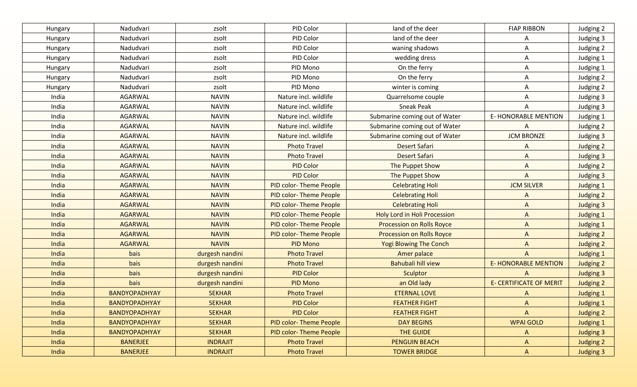| Hungary | Nadudvari            | zsolt           | PID Color                     | land of the deer                 | <b>FIAP RIBBON</b>             | Judging 2        |
|---------|----------------------|-----------------|-------------------------------|----------------------------------|--------------------------------|------------------|
| Hungary | Nadudvari            | zsolt           | PID Color                     | land of the deer                 | A                              | Judging 3        |
| Hungary | Nadudvari            | zsolt           | PID Color                     | waning shadows                   | Α                              | Judging 2        |
| Hungary | Nadudvari            | zsolt           | PID Color                     | wedding dress                    | A                              | Judging 1        |
| Hungary | Nadudvari            | zsolt           | PID Mono                      | On the ferry                     | A                              | Judging 1        |
| Hungary | Nadudvari            | zsolt           | PID Mono                      | On the ferry                     | A                              | Judging 2        |
| Hungary | Nadudvari            | zsolt           | PID Mono                      | winter is coming                 | A                              | Judging 2        |
| India   | AGARWAL              | <b>NAVIN</b>    | Nature incl. wildlife         | Quarrelsome couple               | Α                              | Judging 3        |
| India   | AGARWAL              | <b>NAVIN</b>    | Nature incl. wildlife         | <b>Sneak Peak</b>                | A                              | Judging 3        |
| India   | AGARWAL              | <b>NAVIN</b>    | Nature incl. wildlife         | Submarine coming out of Water    | <b>E- HONORABLE MENTION</b>    | Judging 1        |
| India   | <b>AGARWAL</b>       | <b>NAVIN</b>    | Nature incl. wildlife         | Submarine coming out of Water    | A                              | Judging 2        |
| India   | AGARWAL              | <b>NAVIN</b>    | Nature incl. wildlife         | Submarine coming out of Water    | <b>JCM BRONZE</b>              | Judging 3        |
| India   | <b>AGARWAL</b>       | <b>NAVIN</b>    | <b>Photo Travel</b>           | <b>Desert Safari</b>             | A                              | Judging 2        |
| India   | <b>AGARWAL</b>       | <b>NAVIN</b>    | <b>Photo Travel</b>           | <b>Desert Safari</b>             | A                              | Judging 3        |
| India   | <b>AGARWAL</b>       | <b>NAVIN</b>    | <b>PID Color</b>              | The Puppet Show                  | A                              | Judging 2        |
| India   | <b>AGARWAL</b>       | <b>NAVIN</b>    | <b>PID Color</b>              | The Puppet Show                  | $\mathsf{A}$                   | <b>Judging 3</b> |
| India   | <b>AGARWAL</b>       | <b>NAVIN</b>    | <b>PID color-Theme People</b> | <b>Celebrating Holi</b>          | <b>JCM SILVER</b>              | Judging 1        |
| India   | <b>AGARWAL</b>       | <b>NAVIN</b>    | PID color-Theme People        | <b>Celebrating Holi</b>          | $\Lambda$                      | <b>Judging 2</b> |
| India   | <b>AGARWAL</b>       | <b>NAVIN</b>    | <b>PID color-Theme People</b> | <b>Celebrating Holi</b>          | $\mathsf{A}$                   | <b>Judging 3</b> |
| India   | <b>AGARWAL</b>       | <b>NAVIN</b>    | <b>PID color-Theme People</b> | Holy Lord in Holi Procession     | $\mathsf{A}$                   | Judging 1        |
| India   | <b>AGARWAL</b>       | <b>NAVIN</b>    | <b>PID color-Theme People</b> | <b>Procession on Rolls Royce</b> | $\Lambda$                      | <b>Judging 1</b> |
| India   | <b>AGARWAL</b>       | <b>NAVIN</b>    | <b>PID color-Theme People</b> | <b>Procession on Rolls Royce</b> | $\Lambda$                      | <b>Judging 2</b> |
| India   | <b>AGARWAL</b>       | <b>NAVIN</b>    | <b>PID Mono</b>               | <b>Yogi Blowing The Conch</b>    | $\overline{A}$                 | Judging 2        |
| India   | bais                 | durgesh nandini | <b>Photo Travel</b>           | Amer palace                      | $\mathsf{A}$                   | <b>Judging 1</b> |
| India   | bais                 | durgesh nandini | <b>Photo Travel</b>           | <b>Bahubali hill view</b>        | <b>E-HONORABLE MENTION</b>     | <b>Judging 2</b> |
| India   | bais                 | durgesh nandini | <b>PID Color</b>              | Sculptor                         | A                              | <b>Judging 3</b> |
| India   | bais                 | durgesh nandini | <b>PID Mono</b>               | an Old lady                      | <b>E- CERTIFICATE OF MERIT</b> | <b>Judging 2</b> |
| India   | <b>BANDYOPADHYAY</b> | <b>SEKHAR</b>   | <b>Photo Travel</b>           | <b>ETERNAL LOVE</b>              | $\Lambda$                      | <b>Judging 1</b> |
| India   | <b>BANDYOPADHYAY</b> | <b>SEKHAR</b>   | <b>PID Color</b>              | <b>FEATHER FIGHT</b>             | $\Lambda$                      | <b>Judging 1</b> |
| India   | <b>BANDYOPADHYAY</b> | <b>SEKHAR</b>   | <b>PID Color</b>              | <b>FEATHER FIGHT</b>             | $\mathsf{A}$                   | Judging 2        |
| India   | <b>BANDYOPADHYAY</b> | <b>SEKHAR</b>   | <b>PID color-Theme People</b> | <b>DAY BEGINS</b>                | <b>WPAI GOLD</b>               | <b>Judging 1</b> |
| India   | BANDYOPADHYAY        | <b>SEKHAR</b>   | <b>PID color-Theme People</b> | <b>THE GUIDE</b>                 | A                              | <b>Judging 3</b> |
| India   | <b>BANERJEE</b>      | <b>INDRAJIT</b> | <b>Photo Travel</b>           | <b>PENGUIN BEACH</b>             | $\mathsf{A}$                   | Judging 2        |
| India   | <b>BANERJEE</b>      | <b>INDRAJIT</b> | <b>Photo Travel</b>           | <b>TOWER BRIDGE</b>              | $\mathsf{A}$                   | <b>Judging 3</b> |
|         |                      |                 |                               |                                  |                                |                  |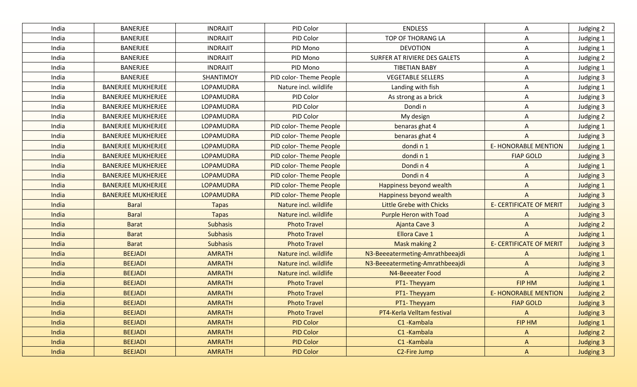| India | <b>BANERJEE</b>           | <b>INDRAJIT</b>  | PID Color                     | <b>ENDLESS</b>                  | Α                              | Judging 2        |
|-------|---------------------------|------------------|-------------------------------|---------------------------------|--------------------------------|------------------|
| India | <b>BANERJEE</b>           | <b>INDRAJIT</b>  | PID Color                     | TOP OF THORANG LA               | Α                              | Judging 1        |
| India | <b>BANERJEE</b>           | <b>INDRAJIT</b>  | PID Mono                      | <b>DEVOTION</b>                 | Α                              | Judging 1        |
| India | <b>BANERJEE</b>           | <b>INDRAJIT</b>  | PID Mono                      | SURFER AT RIVIERE DES GALETS    | A                              | Judging 2        |
| India | <b>BANERJEE</b>           | <b>INDRAJIT</b>  | PID Mono                      | <b>TIBETIAN BABY</b>            | Α                              | Judging 1        |
| India | <b>BANERJEE</b>           | SHANTIMOY        | PID color-Theme People        | <b>VEGETABLE SELLERS</b>        | Α                              | Judging 3        |
| India | <b>BANERJEE MUKHERJEE</b> | LOPAMUDRA        | Nature incl. wildlife         | Landing with fish               | Α                              | Judging 1        |
| India | <b>BANERJEE MUKHERJEE</b> | LOPAMUDRA        | PID Color                     | As strong as a brick            | Α                              | Judging 3        |
| India | <b>BANERJEE MUKHERJEE</b> | LOPAMUDRA        | PID Color                     | Dondi n                         | A                              | Judging 3        |
| India | <b>BANERJEE MUKHERJEE</b> | LOPAMUDRA        | PID Color                     | My design                       | A                              | Judging 2        |
| India | <b>BANERJEE MUKHERJEE</b> | <b>LOPAMUDRA</b> | PID color-Theme People        | benaras ghat 4                  | A                              | Judging 1        |
| India | <b>BANERJEE MUKHERJEE</b> | <b>LOPAMUDRA</b> | PID color-Theme People        | benaras ghat 4                  | A                              | Judging 3        |
| India | <b>BANERJEE MUKHERJEE</b> | <b>LOPAMUDRA</b> | PID color-Theme People        | dondin1                         | <b>E-HONORABLE MENTION</b>     | Judging 1        |
| India | <b>BANERJEE MUKHERJEE</b> | <b>LOPAMUDRA</b> | PID color-Theme People        | dondin1                         | <b>FIAP GOLD</b>               | Judging 3        |
| India | <b>BANERJEE MUKHERJEE</b> | <b>LOPAMUDRA</b> | PID color-Theme People        | Dondin <sub>4</sub>             | $\wedge$                       | <b>Judging 1</b> |
| India | <b>BANERJEE MUKHERJEE</b> | <b>LOPAMUDRA</b> | <b>PID color-Theme People</b> | Dondin <sub>4</sub>             | $\Lambda$                      | <b>Judging 3</b> |
| India | <b>BANERJEE MUKHERJEE</b> | <b>LOPAMUDRA</b> | <b>PID color-Theme People</b> | Happiness beyond wealth         | $\Lambda$                      | <b>Judging 1</b> |
| India | <b>BANERJEE MUKHERJEE</b> | <b>LOPAMUDRA</b> | <b>PID color-Theme People</b> | Happiness beyond wealth         | $\overline{A}$                 | <b>Judging 3</b> |
| India | <b>Baral</b>              | <b>Tapas</b>     | Nature incl. wildlife         | <b>Little Grebe with Chicks</b> | <b>E- CERTIFICATE OF MERIT</b> | <b>Judging 3</b> |
| India | <b>Baral</b>              | <b>Tapas</b>     | Nature incl. wildlife         | <b>Purple Heron with Toad</b>   | $\Lambda$                      | Judging 3        |
| India | <b>Barat</b>              | <b>Subhasis</b>  | <b>Photo Travel</b>           | Ajanta Cave 3                   | $\Lambda$                      | Judging 2        |
| India | <b>Barat</b>              | <b>Subhasis</b>  | <b>Photo Travel</b>           | <b>Ellora Cave 1</b>            | $\overline{A}$                 | <b>Judging 1</b> |
| India | <b>Barat</b>              | <b>Subhasis</b>  | <b>Photo Travel</b>           | Mask making 2                   | <b>E- CERTIFICATE OF MERIT</b> | <b>Judging 3</b> |
| India | <b>BEEJADI</b>            | <b>AMRATH</b>    | Nature incl. wildlife         | N3-Beeeatermeting-Amrathbeeajdi | A                              | <b>Judging 1</b> |
| India | <b>BEEJADI</b>            | <b>AMRATH</b>    | Nature incl. wildlife         | N3-Beeeatermeting-Amrathbeeajdi | $\mathsf{A}$                   | <b>Judging 3</b> |
| India | <b>BEEJADI</b>            | <b>AMRATH</b>    | Nature incl. wildlife         | <b>N4-Beeeater Food</b>         | A                              | Judging 2        |
| India | <b>BEEJADI</b>            | <b>AMRATH</b>    | <b>Photo Travel</b>           | PT1-Theyyam                     | <b>FIP HM</b>                  | <b>Judging 1</b> |
| India | <b>BEEJADI</b>            | <b>AMRATH</b>    | <b>Photo Travel</b>           | PT1- Theyyam                    | <b>E-HONORABLE MENTION</b>     | Judging 2        |
| India | <b>BEEJADI</b>            | <b>AMRATH</b>    | <b>Photo Travel</b>           | PT1- Theyyam                    | <b>FIAP GOLD</b>               | <b>Judging 3</b> |
| India | <b>BEEJADI</b>            | <b>AMRATH</b>    | <b>Photo Travel</b>           | PT4-Kerla Velltam festival      | $\mathsf{A}$                   | Judging 3        |
| India | <b>BEEJADI</b>            | <b>AMRATH</b>    | <b>PID Color</b>              | C1-Kambala                      | FIP HM                         | <b>Judging 1</b> |
| India | <b>BEEJADI</b>            | <b>AMRATH</b>    | <b>PID Color</b>              | C1-Kambala                      | $\mathsf{A}$                   | Judging 2        |
| India | <b>BEEJADI</b>            | <b>AMRATH</b>    | <b>PID Color</b>              | C1-Kambala                      | A                              | Judging 3        |
| India | <b>BEEJADI</b>            | <b>AMRATH</b>    | <b>PID Color</b>              | C <sub>2</sub> -Fire Jump       | $\mathsf{A}$                   | <b>Judging 3</b> |
|       |                           |                  |                               |                                 |                                |                  |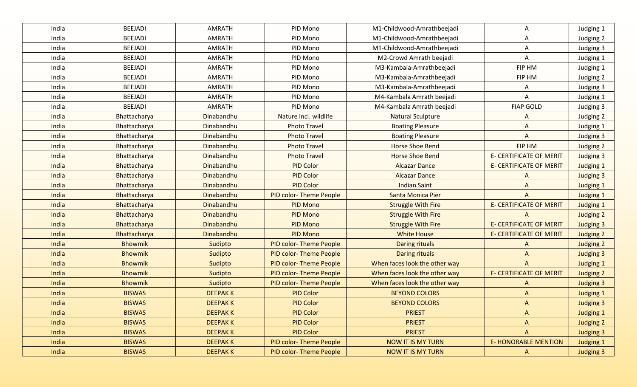| India | <b>BEEJADI</b> | <b>AMRATH</b>  | PID Mono                      | M1-Childwood-Amrathbeejadi    | Α                              | Judging 1        |
|-------|----------------|----------------|-------------------------------|-------------------------------|--------------------------------|------------------|
| India | <b>BEEJADI</b> | <b>AMRATH</b>  | PID Mono                      | M1-Childwood-Amrathbeejadi    | Α                              | Judging 2        |
| India | <b>BEEJADI</b> | <b>AMRATH</b>  | PID Mono                      | M1-Childwood-Amrathbeejadi    | Α                              | Judging 3        |
| India | <b>BEEJADI</b> | <b>AMRATH</b>  | PID Mono                      | M2-Crowd Amrath beejadi       | A                              | Judging 1        |
| India | <b>BEEJADI</b> | <b>AMRATH</b>  | PID Mono                      | M3-Kambala-Amrathbeejadi      | FIP HM                         | Judging 1        |
| India | <b>BEEJADI</b> | <b>AMRATH</b>  | PID Mono                      | M3-Kambala-Amrathbeejadi      | FIP HM                         | Judging 2        |
| India | <b>BEEJADI</b> | <b>AMRATH</b>  | PID Mono                      | M3-Kambala-Amrathbeejadi      | A                              | Judging 3        |
| India | <b>BEEJADI</b> | <b>AMRATH</b>  | PID Mono                      | M4-Kambala Amrath beejadi     | A                              | Judging 1        |
| India | <b>BEEJADI</b> | <b>AMRATH</b>  | PID Mono                      | M4-Kambala Amrath beejadi     | <b>FIAP GOLD</b>               | Judging 3        |
| India | Bhattacharya   | Dinabandhu     | Nature incl. wildlife         | Natural Sculpture             | A                              | Judging 2        |
| India | Bhattacharya   | Dinabandhu     | <b>Photo Travel</b>           | <b>Boating Pleasure</b>       | A                              | Judging 1        |
| India | Bhattacharya   | Dinabandhu     | <b>Photo Travel</b>           | <b>Boating Pleasure</b>       | A                              | Judging 3        |
| India | Bhattacharya   | Dinabandhu     | <b>Photo Travel</b>           | <b>Horse Shoe Bend</b>        | FIP HM                         | Judging 2        |
| India | Bhattacharya   | Dinabandhu     | <b>Photo Travel</b>           | <b>Horse Shoe Bend</b>        | <b>E- CERTIFICATE OF MERIT</b> | Judging 3        |
| India | Bhattacharya   | Dinabandhu     | <b>PID Color</b>              | <b>Alcazar Dance</b>          | <b>E- CERTIFICATE OF MERIT</b> | Judging 1        |
| India | Bhattacharya   | Dinabandhu     | <b>PID Color</b>              | <b>Alcazar Dance</b>          | A                              | <b>Judging 3</b> |
| India | Bhattacharya   | Dinabandhu     | <b>PID Color</b>              | <b>Indian Saint</b>           | $\overline{A}$                 | <b>Judging 1</b> |
| India | Bhattacharya   | Dinabandhu     | <b>PID color-Theme People</b> | Santa Monica Pier             | $\overline{A}$                 | <b>Judging 1</b> |
| India | Bhattacharya   | Dinabandhu     | <b>PID Mono</b>               | <b>Struggle With Fire</b>     | <b>E- CERTIFICATE OF MERIT</b> | Judging 1        |
| India | Bhattacharya   | Dinabandhu     | <b>PID Mono</b>               | <b>Struggle With Fire</b>     | A                              | Judging 2        |
| India | Bhattacharya   | Dinabandhu     | <b>PID Mono</b>               | <b>Struggle With Fire</b>     | <b>E- CERTIFICATE OF MERIT</b> | <b>Judging 3</b> |
| India | Bhattacharya   | Dinabandhu     | <b>PID Mono</b>               | <b>White House</b>            | <b>E- CERTIFICATE OF MERIT</b> | Judging 2        |
| India | <b>Bhowmik</b> | Sudipto        | <b>PID color-Theme People</b> | <b>Daring rituals</b>         | $\Lambda$                      | <b>Judging 2</b> |
| India | <b>Bhowmik</b> | Sudipto        | <b>PID color-Theme People</b> | <b>Daring rituals</b>         | $\Lambda$                      | <b>Judging 3</b> |
| India | <b>Bhowmik</b> | Sudipto        | <b>PID color-Theme People</b> | When faces look the other way | $\overline{A}$                 | <b>Judging 1</b> |
| India | <b>Bhowmik</b> | Sudipto        | <b>PID color-Theme People</b> | When faces look the other way | <b>E- CERTIFICATE OF MERIT</b> | <b>Judging 2</b> |
| India | <b>Bhowmik</b> | Sudipto        | <b>PID color-Theme People</b> | When faces look the other way | A                              | <b>Judging 3</b> |
| India | <b>BISWAS</b>  | <b>DEEPAKK</b> | <b>PID Color</b>              | <b>BEYOND COLORS</b>          | $\Lambda$                      | <b>Judging 1</b> |
| India | <b>BISWAS</b>  | <b>DEEPAKK</b> | <b>PID Color</b>              | <b>BEYOND COLORS</b>          | A                              | <b>Judging 3</b> |
| India | <b>BISWAS</b>  | <b>DEEPAKK</b> | <b>PID Color</b>              | <b>PRIEST</b>                 | $\Lambda$                      | <b>Judging 1</b> |
| India | <b>BISWAS</b>  | <b>DEEPAKK</b> | <b>PID Color</b>              | <b>PRIEST</b>                 | $\mathsf{A}$                   | Judging 2        |
| India | <b>BISWAS</b>  | <b>DEEPAKK</b> | <b>PID Color</b>              | <b>PRIEST</b>                 | $\mathsf{A}$                   | <b>Judging 3</b> |
| India | <b>BISWAS</b>  | <b>DEEPAKK</b> | PID color-Theme People        | <b>NOW IT IS MY TURN</b>      | <b>E- HONORABLE MENTION</b>    | <b>Judging 1</b> |
| India | <b>BISWAS</b>  | <b>DEEPAKK</b> | PID color-Theme People        | <b>NOW IT IS MY TURN</b>      | $\mathsf{A}$                   | <b>Judging 3</b> |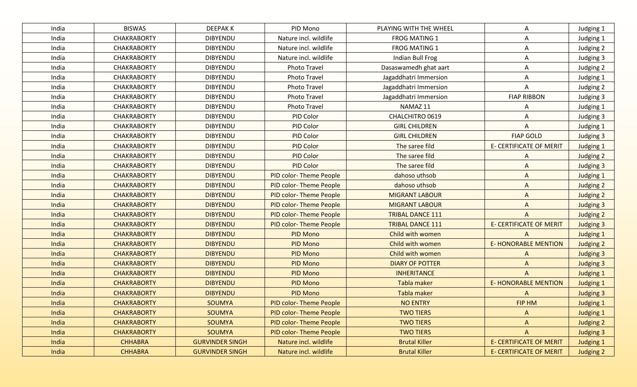| India | <b>BISWAS</b>      | <b>DEEPAKK</b>         | PID Mono                      | PLAYING WITH THE WHEEL  | Α                              | Judging 1        |
|-------|--------------------|------------------------|-------------------------------|-------------------------|--------------------------------|------------------|
| India | <b>CHAKRABORTY</b> | <b>DIBYENDU</b>        | Nature incl. wildlife         | <b>FROG MATING 1</b>    | A                              | Judging 1        |
| India | <b>CHAKRABORTY</b> | <b>DIBYENDU</b>        | Nature incl. wildlife         | FROG MATING 1           | Α                              | Judging 2        |
| India | <b>CHAKRABORTY</b> | <b>DIBYENDU</b>        | Nature incl. wildlife         | Indian Bull Frog        | Α                              | Judging 3        |
| India | <b>CHAKRABORTY</b> | <b>DIBYENDU</b>        | Photo Travel                  | Dasaswamedh ghat aart   | Α                              | Judging 2        |
| India | <b>CHAKRABORTY</b> | <b>DIBYENDU</b>        | Photo Travel                  | Jagaddhatri Immersion   | Α                              | Judging 1        |
| India | <b>CHAKRABORTY</b> | <b>DIBYENDU</b>        | Photo Travel                  | Jagaddhatri Immersion   | A                              | Judging 2        |
| India | <b>CHAKRABORTY</b> | <b>DIBYENDU</b>        | Photo Travel                  | Jagaddhatri Immersion   | <b>FIAP RIBBON</b>             | Judging 3        |
| India | <b>CHAKRABORTY</b> | <b>DIBYENDU</b>        | Photo Travel                  | NAMAZ 11                | A                              | Judging 1        |
| India | <b>CHAKRABORTY</b> | <b>DIBYENDU</b>        | PID Color                     | CHALCHITRO 0619         | A                              | Judging 3        |
| India | <b>CHAKRABORTY</b> | <b>DIBYENDU</b>        | PID Color                     | <b>GIRL CHILDREN</b>    | A                              | Judging 1        |
| India | <b>CHAKRABORTY</b> | <b>DIBYENDU</b>        | PID Color                     | <b>GIRL CHILDREN</b>    | <b>FIAP GOLD</b>               | Judging 3        |
| India | <b>CHAKRABORTY</b> | <b>DIBYENDU</b>        | PID Color                     | The saree fild          | <b>E- CERTIFICATE OF MERIT</b> | Judging 1        |
| India | <b>CHAKRABORTY</b> | <b>DIBYENDU</b>        | PID Color                     | The saree fild          | A                              | Judging 2        |
| India | <b>CHAKRABORTY</b> | <b>DIBYENDU</b>        | <b>PID Color</b>              | The saree fild          | A                              | <b>Judging 3</b> |
| India | <b>CHAKRABORTY</b> | <b>DIBYENDU</b>        | PID color-Theme People        | dahoso uthsob           | $\mathsf{A}$                   | <b>Judging 1</b> |
| India | <b>CHAKRABORTY</b> | <b>DIBYENDU</b>        | PID color-Theme People        | dahoso uthsob           | $\mathsf{A}$                   | Judging 2        |
| India | <b>CHAKRABORTY</b> | <b>DIBYENDU</b>        | PID color-Theme People        | <b>MIGRANT LABOUR</b>   | $\Lambda$                      | Judging 2        |
| India | <b>CHAKRABORTY</b> | <b>DIBYENDU</b>        | <b>PID color-Theme People</b> | <b>MIGRANT LABOUR</b>   | A                              | <b>Judging 3</b> |
| India | <b>CHAKRABORTY</b> | <b>DIBYENDU</b>        | PID color-Theme People        | <b>TRIBAL DANCE 111</b> | $\overline{A}$                 | Judging 2        |
| India | <b>CHAKRABORTY</b> | <b>DIBYENDU</b>        | <b>PID color-Theme People</b> | <b>TRIBAL DANCE 111</b> | <b>E- CERTIFICATE OF MERIT</b> | <b>Judging 3</b> |
| India | <b>CHAKRABORTY</b> | <b>DIBYENDU</b>        | <b>PID Mono</b>               | Child with women        | $\Lambda$                      | Judging 1        |
| India | <b>CHAKRABORTY</b> | <b>DIBYENDU</b>        | <b>PID Mono</b>               | Child with women        | <b>E-HONORABLE MENTION</b>     | Judging 2        |
| India | <b>CHAKRABORTY</b> | <b>DIBYENDU</b>        | <b>PID Mono</b>               | Child with women        | $\Lambda$                      | <b>Judging 3</b> |
| India | <b>CHAKRABORTY</b> | <b>DIBYENDU</b>        | <b>PID Mono</b>               | <b>DIARY OF POTTER</b>  | $\Lambda$                      | <b>Judging 3</b> |
| India | <b>CHAKRABORTY</b> | <b>DIBYENDU</b>        | <b>PID Mono</b>               | <b>INHERITANCE</b>      | A                              | <b>Judging 1</b> |
| India | <b>CHAKRABORTY</b> | <b>DIBYENDU</b>        | <b>PID Mono</b>               | Tabla maker             | <b>E- HONORABLE MENTION</b>    | <b>Judging 1</b> |
| India | <b>CHAKRABORTY</b> | <b>DIBYENDU</b>        | <b>PID Mono</b>               | Tabla maker             | A                              | <b>Judging 3</b> |
| India | <b>CHAKRABORTY</b> | <b>SOUMYA</b>          | <b>PID color-Theme People</b> | <b>NO ENTRY</b>         | FIP HM                         | <b>Judging 1</b> |
| India | <b>CHAKRABORTY</b> | <b>SOUMYA</b>          | <b>PID color-Theme People</b> | <b>TWO TIERS</b>        | A                              | Judging 1        |
| India | <b>CHAKRABORTY</b> | SOUMYA                 | <b>PID color-Theme People</b> | <b>TWO TIERS</b>        | $\mathsf{A}$                   | Judging 2        |
| India | <b>CHAKRABORTY</b> | <b>SOUMYA</b>          | PID color-Theme People        | <b>TWO TIERS</b>        | $\mathsf{A}$                   | Judging 3        |
| India | <b>CHHABRA</b>     | <b>GURVINDER SINGH</b> | Nature incl. wildlife         | <b>Brutal Killer</b>    | <b>E- CERTIFICATE OF MERIT</b> | <b>Judging 1</b> |
| India | <b>CHHABRA</b>     | <b>GURVINDER SINGH</b> | Nature incl. wildlife         | <b>Brutal Killer</b>    | <b>E- CERTIFICATE OF MERIT</b> | Judging 2        |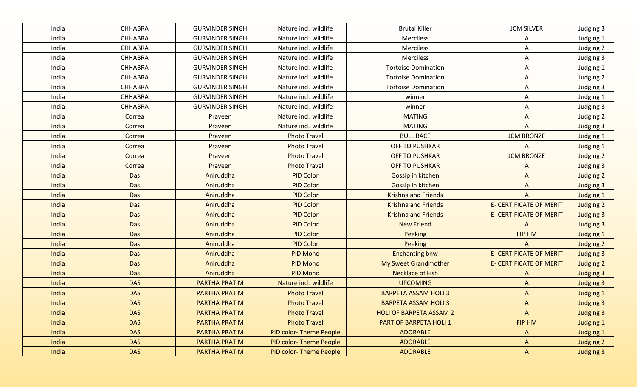| India | <b>CHHABRA</b> | <b>GURVINDER SINGH</b> | Nature incl. wildlife         | <b>Brutal Killer</b>           | <b>JCM SILVER</b>              | Judging 3        |
|-------|----------------|------------------------|-------------------------------|--------------------------------|--------------------------------|------------------|
| India | CHHABRA        | <b>GURVINDER SINGH</b> | Nature incl. wildlife         | Merciless                      | Α                              | Judging 1        |
| India | <b>CHHABRA</b> | <b>GURVINDER SINGH</b> | Nature incl. wildlife         | Merciless                      | Α                              | Judging 2        |
| India | <b>CHHABRA</b> | <b>GURVINDER SINGH</b> | Nature incl. wildlife         | Merciless                      | Α                              | Judging 3        |
| India | <b>CHHABRA</b> | <b>GURVINDER SINGH</b> | Nature incl. wildlife         | <b>Tortoise Domination</b>     | A                              | Judging 1        |
| India | <b>CHHABRA</b> | <b>GURVINDER SINGH</b> | Nature incl. wildlife         | <b>Tortoise Domination</b>     | A                              | Judging 2        |
| India | <b>CHHABRA</b> | <b>GURVINDER SINGH</b> | Nature incl. wildlife         | <b>Tortoise Domination</b>     | A                              | Judging 3        |
| India | <b>CHHABRA</b> | <b>GURVINDER SINGH</b> | Nature incl. wildlife         | winner                         | A                              | Judging 1        |
| India | <b>CHHABRA</b> | <b>GURVINDER SINGH</b> | Nature incl. wildlife         | winner                         | A                              | Judging 3        |
| India | Correa         | Praveen                | Nature incl. wildlife         | <b>MATING</b>                  | A                              | Judging 2        |
| India | Correa         | Praveen                | Nature incl. wildlife         | <b>MATING</b>                  | A                              | Judging 3        |
| India | Correa         | Praveen                | <b>Photo Travel</b>           | <b>BULL RACE</b>               | <b>JCM BRONZE</b>              | Judging 1        |
| India | Correa         | Praveen                | <b>Photo Travel</b>           | <b>OFF TO PUSHKAR</b>          | A                              | Judging 1        |
| India | Correa         | Praveen                | <b>Photo Travel</b>           | <b>OFF TO PUSHKAR</b>          | <b>JCM BRONZE</b>              | Judging 2        |
| India | Correa         | Praveen                | <b>Photo Travel</b>           | <b>OFF TO PUSHKAR</b>          | A                              | <b>Judging 3</b> |
| India | Das            | Aniruddha              | <b>PID Color</b>              | Gossip in kitchen              | A                              | Judging 2        |
| India | Das            | Aniruddha              | <b>PID Color</b>              | Gossip in kitchen              | $\mathsf{A}$                   | <b>Judging 3</b> |
| India | Das            | Aniruddha              | <b>PID Color</b>              | <b>Krishna and Friends</b>     | A                              | <b>Judging 1</b> |
| India | Das            | Aniruddha              | <b>PID Color</b>              | <b>Krishna and Friends</b>     | <b>E- CERTIFICATE OF MERIT</b> | Judging 2        |
| India | <b>Das</b>     | Aniruddha              | <b>PID Color</b>              | <b>Krishna and Friends</b>     | <b>E- CERTIFICATE OF MERIT</b> | <b>Judging 3</b> |
| India | <b>Das</b>     | Aniruddha              | <b>PID Color</b>              | <b>New Friend</b>              | A                              | <b>Judging 3</b> |
| India | Das            | Aniruddha              | <b>PID Color</b>              | Peeking                        | FIP HM                         | <b>Judging 1</b> |
| India | Das            | Aniruddha              | <b>PID Color</b>              | Peeking                        | $\Lambda$                      | Judging 2        |
| India | <b>Das</b>     | Aniruddha              | <b>PID Mono</b>               | <b>Enchanting bnw</b>          | <b>E- CERTIFICATE OF MERIT</b> | <b>Judging 3</b> |
| India | <b>Das</b>     | Aniruddha              | <b>PID Mono</b>               | My Sweet Grandmother           | <b>E- CERTIFICATE OF MERIT</b> | <b>Judging 2</b> |
| India | <b>Das</b>     | Aniruddha              | <b>PID Mono</b>               | <b>Necklace of Fish</b>        | A                              | <b>Judging 3</b> |
| India | <b>DAS</b>     | <b>PARTHA PRATIM</b>   | Nature incl. wildlife         | <b>UPCOMING</b>                | $\mathsf{A}$                   | <b>Judging 3</b> |
| India | <b>DAS</b>     | <b>PARTHA PRATIM</b>   | <b>Photo Travel</b>           | <b>BARPETA ASSAM HOLI 3</b>    | $\mathsf{A}$                   | <b>Judging 1</b> |
| India | <b>DAS</b>     | <b>PARTHA PRATIM</b>   | <b>Photo Travel</b>           | <b>BARPETA ASSAM HOLI 3</b>    | $\Lambda$                      | <b>Judging 3</b> |
| India | <b>DAS</b>     | PARTHA PRATIM          | <b>Photo Travel</b>           | <b>HOLI OF BARPETA ASSAM 2</b> | $\mathsf{A}$                   | Judging 3        |
| India | <b>DAS</b>     | PARTHA PRATIM          | <b>Photo Travel</b>           | PART OF BARPETA HOLI 1         | FIP HM                         | <b>Judging 1</b> |
| India | <b>DAS</b>     | PARTHA PRATIM          | PID color-Theme People        | <b>ADORABLE</b>                | $\mathsf{A}$                   | <b>Judging 1</b> |
| India | <b>DAS</b>     | PARTHA PRATIM          | <b>PID color-Theme People</b> | <b>ADORABLE</b>                | A                              | Judging 2        |
| India | <b>DAS</b>     | <b>PARTHA PRATIM</b>   | PID color-Theme People        | <b>ADORABLE</b>                | $\mathsf{A}$                   | <b>Judging 3</b> |
|       |                |                        |                               |                                |                                |                  |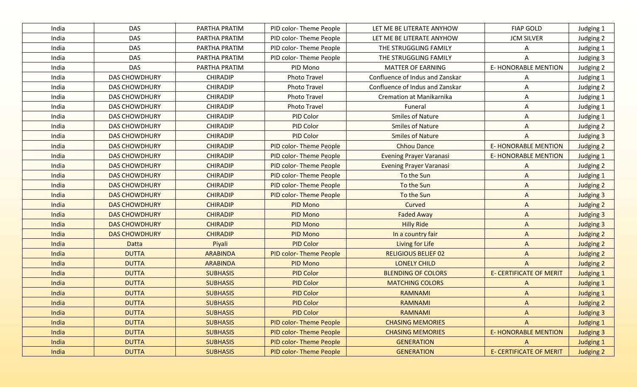| India | <b>DAS</b>           | PARTHA PRATIM   | PID color-Theme People        | LET ME BE LITERATE ANYHOW       | <b>FIAP GOLD</b>               | Judging 1        |
|-------|----------------------|-----------------|-------------------------------|---------------------------------|--------------------------------|------------------|
| India | <b>DAS</b>           | PARTHA PRATIM   | PID color-Theme People        | LET ME BE LITERATE ANYHOW       | <b>JCM SILVER</b>              | Judging 2        |
| India | <b>DAS</b>           | PARTHA PRATIM   | PID color-Theme People        | THE STRUGGLING FAMILY           | A                              | Judging 1        |
| India | <b>DAS</b>           | PARTHA PRATIM   | PID color-Theme People        | THE STRUGGLING FAMILY           | A                              | Judging 3        |
| India | <b>DAS</b>           | PARTHA PRATIM   | PID Mono                      | <b>MATTER OF EARNING</b>        | <b>E- HONORABLE MENTION</b>    | Judging 2        |
| India | <b>DAS CHOWDHURY</b> | <b>CHIRADIP</b> | <b>Photo Travel</b>           | Confluence of Indus and Zanskar | A                              | Judging 1        |
| India | <b>DAS CHOWDHURY</b> | <b>CHIRADIP</b> | <b>Photo Travel</b>           | Confluence of Indus and Zanskar | A                              | Judging 2        |
| India | <b>DAS CHOWDHURY</b> | <b>CHIRADIP</b> | <b>Photo Travel</b>           | Cremation at Manikarnika        | A                              | Judging 1        |
| India | <b>DAS CHOWDHURY</b> | <b>CHIRADIP</b> | <b>Photo Travel</b>           | Funeral                         | Α                              | Judging 1        |
| India | <b>DAS CHOWDHURY</b> | <b>CHIRADIP</b> | PID Color                     | <b>Smiles of Nature</b>         | A                              | Judging 1        |
| India | <b>DAS CHOWDHURY</b> | <b>CHIRADIP</b> | PID Color                     | <b>Smiles of Nature</b>         | A                              | Judging 2        |
| India | <b>DAS CHOWDHURY</b> | <b>CHIRADIP</b> | <b>PID Color</b>              | <b>Smiles of Nature</b>         | A                              | Judging 3        |
| India | <b>DAS CHOWDHURY</b> | <b>CHIRADIP</b> | PID color-Theme People        | <b>Chhou Dance</b>              | <b>E-HONORABLE MENTION</b>     | Judging 2        |
| India | <b>DAS CHOWDHURY</b> | <b>CHIRADIP</b> | PID color-Theme People        | <b>Evening Prayer Varanasi</b>  | <b>E-HONORABLE MENTION</b>     | Judging 1        |
| India | <b>DAS CHOWDHURY</b> | <b>CHIRADIP</b> | PID color-Theme People        | <b>Evening Prayer Varanasi</b>  | $\Lambda$                      | Judging 2        |
| India | <b>DAS CHOWDHURY</b> | <b>CHIRADIP</b> | PID color-Theme People        | To the Sun                      | $\Lambda$                      | <b>Judging 1</b> |
| India | <b>DAS CHOWDHURY</b> | <b>CHIRADIP</b> | <b>PID color-Theme People</b> | To the Sun                      | $\mathsf{A}$                   | Judging 2        |
| India | <b>DAS CHOWDHURY</b> | <b>CHIRADIP</b> | PID color-Theme People        | To the Sun                      | $\mathsf{A}$                   | <b>Judging 3</b> |
| India | <b>DAS CHOWDHURY</b> | <b>CHIRADIP</b> | <b>PID Mono</b>               | Curved                          | $\mathsf{A}$                   | Judging 2        |
| India | <b>DAS CHOWDHURY</b> | <b>CHIRADIP</b> | <b>PID Mono</b>               | <b>Faded Away</b>               | $\mathsf{A}$                   | <b>Judging 3</b> |
| India | <b>DAS CHOWDHURY</b> | <b>CHIRADIP</b> | <b>PID Mono</b>               | <b>Hilly Ride</b>               | $\mathsf{A}$                   | <b>Judging 3</b> |
| India | <b>DAS CHOWDHURY</b> | <b>CHIRADIP</b> | <b>PID Mono</b>               | In a country fair               | $\mathsf{A}$                   | <b>Judging 2</b> |
| India | <b>Datta</b>         | Piyali          | <b>PID Color</b>              | Living for Life                 | $\mathsf{A}$                   | <b>Judging 2</b> |
| India | <b>DUTTA</b>         | <b>ARABINDA</b> | <b>PID color-Theme People</b> | <b>RELIGIOUS BELIEF 02</b>      | $\Lambda$                      | Judging 2        |
| India | <b>DUTTA</b>         | <b>ARABINDA</b> | <b>PID Mono</b>               | <b>LONELY CHILD</b>             | $\mathsf{A}$                   | <b>Judging 2</b> |
| India | <b>DUTTA</b>         | <b>SUBHASIS</b> | <b>PID Color</b>              | <b>BLENDING OF COLORS</b>       | <b>E- CERTIFICATE OF MERIT</b> | <b>Judging 1</b> |
| India | <b>DUTTA</b>         | <b>SUBHASIS</b> | <b>PID Color</b>              | <b>MATCHING COLORS</b>          | $\Lambda$                      | <b>Judging 1</b> |
| India | <b>DUTTA</b>         | <b>SUBHASIS</b> | <b>PID Color</b>              | <b>RAMNAMI</b>                  | $\Lambda$                      | <b>Judging 1</b> |
| India | <b>DUTTA</b>         | <b>SUBHASIS</b> | <b>PID Color</b>              | <b>RAMNAMI</b>                  | $\mathsf{A}$                   | Judging 2        |
| India | <b>DUTTA</b>         | <b>SUBHASIS</b> | <b>PID Color</b>              | <b>RAMNAMI</b>                  | $\mathsf{A}$                   | <b>Judging 3</b> |
| India | <b>DUTTA</b>         | <b>SUBHASIS</b> | <b>PID color-Theme People</b> | <b>CHASING MEMORIES</b>         | $\mathsf{A}$                   | <b>Judging 1</b> |
| India | <b>DUTTA</b>         | <b>SUBHASIS</b> | PID color-Theme People        | <b>CHASING MEMORIES</b>         | <b>E-HONORABLE MENTION</b>     | <b>Judging 3</b> |
| India | <b>DUTTA</b>         | <b>SUBHASIS</b> | PID color-Theme People        | <b>GENERATION</b>               | A                              | Judging 1        |
| India | <b>DUTTA</b>         | <b>SUBHASIS</b> | PID color-Theme People        | <b>GENERATION</b>               | <b>E- CERTIFICATE OF MERIT</b> | Judging 2        |
|       |                      |                 |                               |                                 |                                |                  |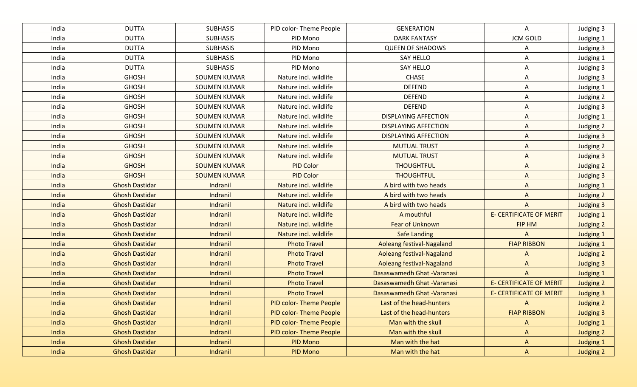| India | <b>DUTTA</b>          | <b>SUBHASIS</b>     | PID color-Theme People        | <b>GENERATION</b>           | Α                              | Judging 3        |
|-------|-----------------------|---------------------|-------------------------------|-----------------------------|--------------------------------|------------------|
| India | <b>DUTTA</b>          | <b>SUBHASIS</b>     | PID Mono                      | <b>DARK FANTASY</b>         | <b>JCM GOLD</b>                | Judging 1        |
| India | <b>DUTTA</b>          | <b>SUBHASIS</b>     | PID Mono                      | <b>QUEEN OF SHADOWS</b>     | Α                              | Judging 3        |
| India | <b>DUTTA</b>          | <b>SUBHASIS</b>     | PID Mono                      | <b>SAY HELLO</b>            | Α                              | Judging 1        |
| India | <b>DUTTA</b>          | <b>SUBHASIS</b>     | PID Mono                      | <b>SAY HELLO</b>            | Α                              | Judging 3        |
| India | <b>GHOSH</b>          | <b>SOUMEN KUMAR</b> | Nature incl. wildlife         | <b>CHASE</b>                | Α                              | Judging 3        |
| India | <b>GHOSH</b>          | <b>SOUMEN KUMAR</b> | Nature incl. wildlife         | <b>DEFEND</b>               | Α                              | Judging 1        |
| India | <b>GHOSH</b>          | <b>SOUMEN KUMAR</b> | Nature incl. wildlife         | <b>DEFEND</b>               | Α                              | Judging 2        |
| India | <b>GHOSH</b>          | <b>SOUMEN KUMAR</b> | Nature incl. wildlife         | <b>DEFEND</b>               | A                              | Judging 3        |
| India | <b>GHOSH</b>          | <b>SOUMEN KUMAR</b> | Nature incl. wildlife         | <b>DISPLAYING AFFECTION</b> | Α                              | Judging 1        |
| India | <b>GHOSH</b>          | <b>SOUMEN KUMAR</b> | Nature incl. wildlife         | <b>DISPLAYING AFFECTION</b> | A                              | Judging 2        |
| India | <b>GHOSH</b>          | <b>SOUMEN KUMAR</b> | Nature incl. wildlife         | <b>DISPLAYING AFFECTION</b> | A                              | Judging 3        |
| India | <b>GHOSH</b>          | <b>SOUMEN KUMAR</b> | Nature incl. wildlife         | <b>MUTUAL TRUST</b>         | A                              | Judging 2        |
| India | <b>GHOSH</b>          | <b>SOUMEN KUMAR</b> | Nature incl. wildlife         | <b>MUTUAL TRUST</b>         | A                              | Judging 3        |
| India | <b>GHOSH</b>          | <b>SOUMEN KUMAR</b> | <b>PID Color</b>              | <b>THOUGHTFUL</b>           | A                              | Judging 2        |
| India | <b>GHOSH</b>          | <b>SOUMEN KUMAR</b> | <b>PID Color</b>              | <b>THOUGHTFUL</b>           | $\mathsf{A}$                   | <b>Judging 3</b> |
| India | <b>Ghosh Dastidar</b> | Indranil            | Nature incl. wildlife         | A bird with two heads       | A                              | <b>Judging 1</b> |
| India | <b>Ghosh Dastidar</b> | Indranil            | Nature incl. wildlife         | A bird with two heads       | $\Lambda$                      | <b>Judging 2</b> |
| India | <b>Ghosh Dastidar</b> | Indranil            | Nature incl. wildlife         | A bird with two heads       | $\Lambda$                      | <b>Judging 3</b> |
| India | <b>Ghosh Dastidar</b> | Indranil            | Nature incl. wildlife         | A mouthful                  | <b>E- CERTIFICATE OF MERIT</b> | <b>Judging 1</b> |
| India | <b>Ghosh Dastidar</b> | Indranil            | Nature incl. wildlife         | <b>Fear of Unknown</b>      | <b>FIP HM</b>                  | Judging 2        |
| India | <b>Ghosh Dastidar</b> | Indranil            | Nature incl. wildlife         | <b>Safe Landing</b>         | $\overline{A}$                 | <b>Judging 1</b> |
| India | <b>Ghosh Dastidar</b> | Indranil            | <b>Photo Travel</b>           | Aoleang festival-Nagaland   | <b>FIAP RIBBON</b>             | <b>Judging 1</b> |
| India | <b>Ghosh Dastidar</b> | Indranil            | <b>Photo Travel</b>           | Aoleang festival-Nagaland   | A                              | Judging 2        |
| India | <b>Ghosh Dastidar</b> | Indranil            | <b>Photo Travel</b>           | Aoleang festival-Nagaland   | $\Lambda$                      | <b>Judging 3</b> |
| India | <b>Ghosh Dastidar</b> | Indranil            | <b>Photo Travel</b>           | Dasaswamedh Ghat - Varanasi | $\Lambda$                      | <b>Judging 1</b> |
| India | <b>Ghosh Dastidar</b> | Indranil            | <b>Photo Travel</b>           | Dasaswamedh Ghat - Varanasi | <b>E- CERTIFICATE OF MERIT</b> | Judging 2        |
| India | <b>Ghosh Dastidar</b> | Indranil            | <b>Photo Travel</b>           | Dasaswamedh Ghat - Varanasi | <b>E- CERTIFICATE OF MERIT</b> | <b>Judging 3</b> |
| India | <b>Ghosh Dastidar</b> | Indranil            | <b>PID color-Theme People</b> | Last of the head-hunters    | A                              | <b>Judging 2</b> |
| India | <b>Ghosh Dastidar</b> | Indranil            | <b>PID color-Theme People</b> | Last of the head-hunters    | <b>FIAP RIBBON</b>             | <b>Judging 3</b> |
| India | <b>Ghosh Dastidar</b> | Indranil            | <b>PID color-Theme People</b> | Man with the skull          | $\mathsf{A}$                   | <b>Judging 1</b> |
| India | <b>Ghosh Dastidar</b> | Indranil            | PID color-Theme People        | Man with the skull          | $\mathsf{A}$                   | Judging 2        |
| India | <b>Ghosh Dastidar</b> | Indranil            | PID Mono                      | Man with the hat            | A                              | <b>Judging 1</b> |
| India | <b>Ghosh Dastidar</b> | Indranil            | PID Mono                      | Man with the hat            | $\mathsf{A}$                   | Judging 2        |
|       |                       |                     |                               |                             |                                |                  |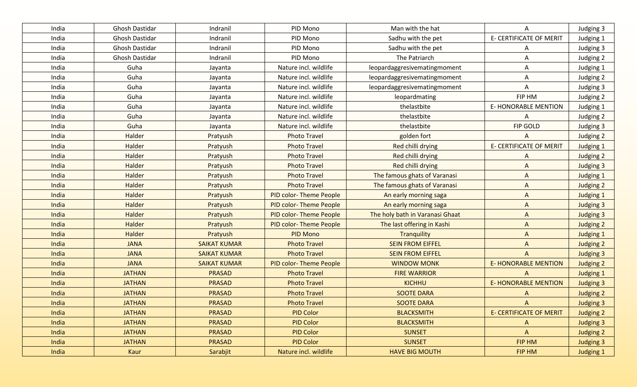| India | Ghosh Dastidar | Indranil            | PID Mono                      | Man with the hat                | A                              | Judging 3        |
|-------|----------------|---------------------|-------------------------------|---------------------------------|--------------------------------|------------------|
| India | Ghosh Dastidar | Indranil            | PID Mono                      | Sadhu with the pet              | <b>E- CERTIFICATE OF MERIT</b> | Judging 1        |
| India | Ghosh Dastidar | Indranil            | PID Mono                      | Sadhu with the pet              | A                              | Judging 3        |
| India | Ghosh Dastidar | Indranil            | PID Mono                      | The Patriarch                   | Α                              | Judging 2        |
| India | Guha           | Jayanta             | Nature incl. wildlife         | leopardaggresivematingmoment    | A                              | Judging 1        |
| India | Guha           | Jayanta             | Nature incl. wildlife         | leopardaggresivematingmoment    | A                              | Judging 2        |
| India | Guha           | Jayanta             | Nature incl. wildlife         | leopardaggresivematingmoment    | A                              | Judging 3        |
| India | Guha           | Jayanta             | Nature incl. wildlife         | leopardmating                   | FIP HM                         | Judging 2        |
| India | Guha           | Jayanta             | Nature incl. wildlife         | thelastbite                     | <b>E-HONORABLE MENTION</b>     | Judging 1        |
| India | Guha           | Jayanta             | Nature incl. wildlife         | thelastbite                     | A                              | Judging 2        |
| India | Guha           | Jayanta             | Nature incl. wildlife         | thelastbite                     | <b>FIP GOLD</b>                | Judging 3        |
| India | Halder         | Pratyush            | <b>Photo Travel</b>           | golden fort                     | A                              | Judging 2        |
| India | Halder         | Pratyush            | <b>Photo Travel</b>           | <b>Red chilli drying</b>        | <b>E- CERTIFICATE OF MERIT</b> | Judging 1        |
| India | Halder         | Pratyush            | <b>Photo Travel</b>           | Red chilli drying               | A                              | Judging 2        |
| India | Halder         | Pratyush            | <b>Photo Travel</b>           | <b>Red chilli drying</b>        | A                              | Judging 3        |
| India | Halder         | Pratyush            | <b>Photo Travel</b>           | The famous ghats of Varanasi    | $\mathsf{A}$                   | <b>Judging 1</b> |
| India | Halder         | Pratyush            | <b>Photo Travel</b>           | The famous ghats of Varanasi    | $\mathsf{A}$                   | Judging 2        |
| India | Halder         | Pratyush            | PID color-Theme People        | An early morning saga           | $\mathsf{A}$                   | Judging 1        |
| India | Halder         | Pratyush            | <b>PID color-Theme People</b> | An early morning saga           | $\Lambda$                      | <b>Judging 3</b> |
| India | Halder         | Pratyush            | <b>PID color-Theme People</b> | The holy bath in Varanasi Ghaat | $\Lambda$                      | <b>Judging 3</b> |
| India | Halder         | Pratyush            | <b>PID color-Theme People</b> | The last offering in Kashi      | $\Lambda$                      | Judging 2        |
| India | <b>Halder</b>  | Pratyush            | <b>PID Mono</b>               | <b>Tranquility</b>              | $\Lambda$                      | <b>Judging 1</b> |
| India | <b>JANA</b>    | <b>SAIKAT KUMAR</b> | <b>Photo Travel</b>           | <b>SEIN FROM EIFFEL</b>         | $\overline{A}$                 | <b>Judging 2</b> |
| India | <b>JANA</b>    | <b>SAIKAT KUMAR</b> | <b>Photo Travel</b>           | <b>SEIN FROM EIFFEL</b>         | $\mathsf{A}$                   | <b>Judging 3</b> |
| India | <b>JANA</b>    | <b>SAIKAT KUMAR</b> | PID color-Theme People        | <b>WINDOW MONK</b>              | <b>E-HONORABLE MENTION</b>     | <b>Judging 2</b> |
| India | <b>JATHAN</b>  | <b>PRASAD</b>       | <b>Photo Travel</b>           | <b>FIRE WARRIOR</b>             | A                              | <b>Judging 1</b> |
| India | <b>JATHAN</b>  | <b>PRASAD</b>       | <b>Photo Travel</b>           | <b>KICHHU</b>                   | <b>E- HONORABLE MENTION</b>    | <b>Judging 3</b> |
| India | <b>JATHAN</b>  | <b>PRASAD</b>       | <b>Photo Travel</b>           | <b>SOOTE DARA</b>               | $\Lambda$                      | <b>Judging 2</b> |
| India | <b>JATHAN</b>  | <b>PRASAD</b>       | <b>Photo Travel</b>           | <b>SOOTE DARA</b>               | $\Lambda$                      | <b>Judging 3</b> |
| India | <b>JATHAN</b>  | <b>PRASAD</b>       | <b>PID Color</b>              | <b>BLACKSMITH</b>               | <b>E- CERTIFICATE OF MERIT</b> | Judging 2        |
| India | <b>JATHAN</b>  | <b>PRASAD</b>       | <b>PID Color</b>              | <b>BLACKSMITH</b>               | A                              | <b>Judging 3</b> |
| India | <b>JATHAN</b>  | <b>PRASAD</b>       | <b>PID Color</b>              | <b>SUNSET</b>                   | $\Lambda$                      | Judging 2        |
| India | <b>JATHAN</b>  | <b>PRASAD</b>       | <b>PID Color</b>              | <b>SUNSET</b>                   | FIP HM                         | <b>Judging 3</b> |
| India | Kaur           | Sarabjit            | Nature incl. wildlife         | <b>HAVE BIG MOUTH</b>           | FIP HM                         | <b>Judging 1</b> |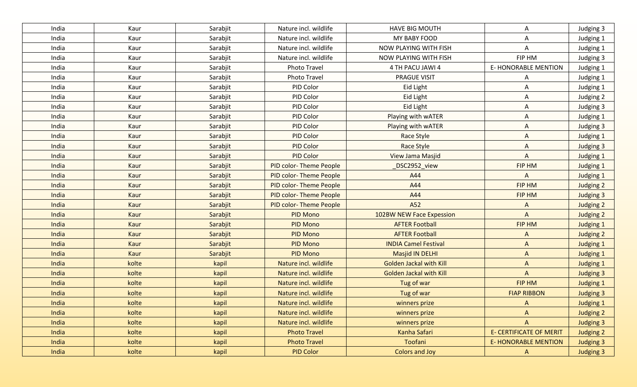| India | Kaur        | Sarabjit | Nature incl. wildlife         | <b>HAVE BIG MOUTH</b>          | A                              | Judging 3        |
|-------|-------------|----------|-------------------------------|--------------------------------|--------------------------------|------------------|
| India | Kaur        | Sarabjit | Nature incl. wildlife         | MY BABY FOOD                   | A                              | Judging 1        |
| India | Kaur        | Sarabjit | Nature incl. wildlife         | NOW PLAYING WITH FISH          | A                              | Judging 1        |
| India | Kaur        | Sarabjit | Nature incl. wildlife         | NOW PLAYING WITH FISH          | FIP HM                         | Judging 3        |
| India | Kaur        | Sarabjit | Photo Travel                  | 4 TH PACU JAWI 4               | <b>E-HONORABLE MENTION</b>     | Judging 1        |
| India | Kaur        | Sarabjit | Photo Travel                  | <b>PRAGUE VISIT</b>            | A                              | Judging 1        |
| India | Kaur        | Sarabjit | PID Color                     | Eid Light                      | A                              | Judging 1        |
| India | Kaur        | Sarabjit | PID Color                     | Eid Light                      | A                              | Judging 2        |
| India | Kaur        | Sarabjit | PID Color                     | Eid Light                      | A                              | Judging 3        |
| India | Kaur        | Sarabjit | PID Color                     | Playing with wATER             | A                              | Judging 1        |
| India | Kaur        | Sarabjit | PID Color                     | Playing with wATER             | A                              | Judging 3        |
| India | Kaur        | Sarabjit | PID Color                     | Race Style                     | $\mathsf{A}$                   | Judging 1        |
| India | Kaur        | Sarabjit | <b>PID Color</b>              | Race Style                     | $\overline{A}$                 | Judging 3        |
| India | Kaur        | Sarabjit | PID Color                     | View Jama Masjid               | $\overline{A}$                 | Judging 1        |
| India | Kaur        | Sarabjit | PID color-Theme People        | DSC2952_view                   | FIP HM                         | Judging 1        |
| India | Kaur        | Sarabjit | PID color-Theme People        | A44                            | A                              | Judging 1        |
| India | Kaur        | Sarabjit | <b>PID color-Theme People</b> | A44                            | FIP HM                         | Judging 2        |
| India | Kaur        | Sarabjit | PID color-Theme People        | A44                            | FIP HM                         | <b>Judging 3</b> |
| India | Kaur        | Sarabjit | <b>PID color-Theme People</b> | A52                            | $\Lambda$                      | Judging 2        |
| India | Kaur        | Sarabjit | PID Mono                      | 102BW NEW Face Expession       | $\overline{A}$                 | Judging 2        |
| India | Kaur        | Sarabjit | PID Mono                      | <b>AFTER Football</b>          | FIP HM                         | <b>Judging 1</b> |
| India | <b>Kaur</b> | Sarabjit | <b>PID Mono</b>               | <b>AFTER Football</b>          | $\Lambda$                      | Judging 2        |
| India | Kaur        | Sarabjit | <b>PID Mono</b>               | <b>INDIA Camel Festival</b>    | $\mathsf{A}$                   | <b>Judging 1</b> |
| India | Kaur        | Sarabjit | <b>PID Mono</b>               | <b>Masjid IN DELHI</b>         | $\mathsf{A}$                   | <b>Judging 1</b> |
| India | kolte       | kapil    | Nature incl. wildlife         | <b>Golden Jackal with Kill</b> | $\Lambda$                      | <b>Judging 1</b> |
| India | kolte       | kapil    | Nature incl. wildlife         | <b>Golden Jackal with Kill</b> | $\Lambda$                      | <b>Judging 3</b> |
| India | kolte       | kapil    | Nature incl. wildlife         | Tug of war                     | FIP HM                         | <b>Judging 1</b> |
| India | kolte       | kapil    | Nature incl. wildlife         | Tug of war                     | <b>FIAP RIBBON</b>             | <b>Judging 3</b> |
| India | kolte       | kapil    | Nature incl. wildlife         | winners prize                  | $\mathsf{A}$                   | <b>Judging 1</b> |
| India | kolte       | kapil    | Nature incl. wildlife         | winners prize                  | $\mathsf{A}$                   | Judging 2        |
| India | kolte       | kapil    | Nature incl. wildlife         | winners prize                  | $\mathsf{A}$                   | <b>Judging 3</b> |
| India | kolte       | kapil    | <b>Photo Travel</b>           | Kanha Safari                   | <b>E- CERTIFICATE OF MERIT</b> | Judging 2        |
| India | kolte       | kapil    | <b>Photo Travel</b>           | Toofani                        | <b>E- HONORABLE MENTION</b>    | <b>Judging 3</b> |
| India | kolte       | kapil    | <b>PID Color</b>              | Colors and Joy                 | $\mathsf{A}$                   | <b>Judging 3</b> |
|       |             |          |                               |                                |                                |                  |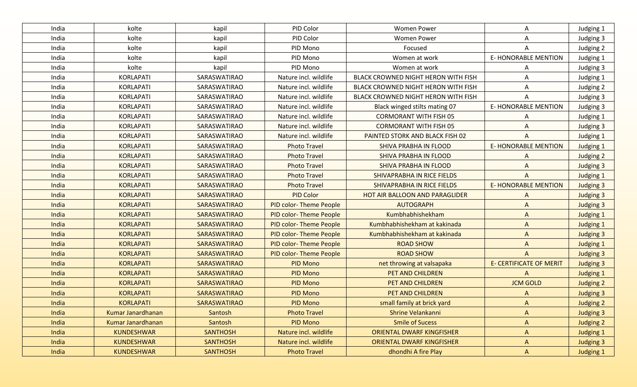| India | kolte             | kapil               | PID Color                     | <b>Women Power</b>                  | A                              | Judging 1        |
|-------|-------------------|---------------------|-------------------------------|-------------------------------------|--------------------------------|------------------|
| India | kolte             | kapil               | PID Color                     | <b>Women Power</b>                  | A                              | Judging 3        |
| India | kolte             | kapil               | PID Mono                      | Focused                             | Α                              | Judging 2        |
| India | kolte             | kapil               | PID Mono                      | Women at work                       | <b>E- HONORABLE MENTION</b>    | Judging 1        |
| India | kolte             | kapil               | PID Mono                      | Women at work                       | A                              | Judging 3        |
| India | <b>KORLAPATI</b>  | SARASWATIRAO        | Nature incl. wildlife         | BLACK CROWNED NIGHT HERON WITH FISH | Α                              | Judging 1        |
| India | <b>KORLAPATI</b>  | SARASWATIRAO        | Nature incl. wildlife         | BLACK CROWNED NIGHT HERON WITH FISH | A                              | Judging 2        |
| India | <b>KORLAPATI</b>  | SARASWATIRAO        | Nature incl. wildlife         | BLACK CROWNED NIGHT HERON WITH FISH | Α                              | Judging 3        |
| India | <b>KORLAPATI</b>  | SARASWATIRAO        | Nature incl. wildlife         | Black winged stilts mating 07       | <b>E-HONORABLE MENTION</b>     | Judging 3        |
| India | <b>KORLAPATI</b>  | SARASWATIRAO        | Nature incl. wildlife         | <b>CORMORANT WITH FISH 05</b>       | A                              | Judging 1        |
| India | <b>KORLAPATI</b>  | SARASWATIRAO        | Nature incl. wildlife         | <b>CORMORANT WITH FISH 05</b>       | A                              | Judging 3        |
| India | <b>KORLAPATI</b>  | SARASWATIRAO        | Nature incl. wildlife         | PAINTED STORK AND BLACK FISH 02     | A                              | Judging 1        |
| India | <b>KORLAPATI</b>  | SARASWATIRAO        | <b>Photo Travel</b>           | SHIVA PRABHA IN FLOOD               | <b>E-HONORABLE MENTION</b>     | Judging 1        |
| India | <b>KORLAPATI</b>  | SARASWATIRAO        | <b>Photo Travel</b>           | SHIVA PRABHA IN FLOOD               | A                              | Judging 2        |
| India | <b>KORLAPATI</b>  | SARASWATIRAO        | <b>Photo Travel</b>           | <b>SHIVA PRABHA IN FLOOD</b>        | A                              | Judging 3        |
| India | <b>KORLAPATI</b>  | <b>SARASWATIRAO</b> | <b>Photo Travel</b>           | SHIVAPRABHA IN RICE FIELDS          | A                              | Judging 1        |
| India | <b>KORLAPATI</b>  | <b>SARASWATIRAO</b> | <b>Photo Travel</b>           | <b>SHIVAPRABHA IN RICE FIELDS</b>   | <b>E- HONORABLE MENTION</b>    | <b>Judging 3</b> |
| India | <b>KORLAPATI</b>  | SARASWATIRAO        | <b>PID Color</b>              | HOT AIR BALLOON AND PARAGLIDER      | $\Lambda$                      | Judging 3        |
| India | <b>KORLAPATI</b>  | SARASWATIRAO        | <b>PID color-Theme People</b> | <b>AUTOGRAPH</b>                    | $\Lambda$                      | <b>Judging 3</b> |
| India | <b>KORLAPATI</b>  | SARASWATIRAO        | <b>PID color-Theme People</b> | Kumbhabhishekham                    | $\mathsf{A}$                   | Judging 1        |
| India | <b>KORLAPATI</b>  | <b>SARASWATIRAO</b> | <b>PID color-Theme People</b> | Kumbhabhishekham at kakinada        | $\mathsf{A}$                   | <b>Judging 1</b> |
| India | <b>KORLAPATI</b>  | SARASWATIRAO        | <b>PID color-Theme People</b> | Kumbhabhishekham at kakinada        | $\mathsf{A}$                   | <b>Judging 3</b> |
| India | <b>KORLAPATI</b>  | SARASWATIRAO        | <b>PID color-Theme People</b> | <b>ROAD SHOW</b>                    | $\Lambda$                      | <b>Judging 1</b> |
| India | <b>KORLAPATI</b>  | <b>SARASWATIRAO</b> | <b>PID color-Theme People</b> | <b>ROAD SHOW</b>                    | $\Lambda$                      | <b>Judging 3</b> |
| India | <b>KORLAPATI</b>  | <b>SARASWATIRAO</b> | <b>PID Mono</b>               | net throwing at valsapaka           | <b>E- CERTIFICATE OF MERIT</b> | <b>Judging 3</b> |
| India | <b>KORLAPATI</b>  | <b>SARASWATIRAO</b> | <b>PID Mono</b>               | PET AND CHILDREN                    | A                              | Judging 1        |
| India | <b>KORLAPATI</b>  | <b>SARASWATIRAO</b> | <b>PID Mono</b>               | PET AND CHILDREN                    | <b>JCM GOLD</b>                | <b>Judging 2</b> |
| India | <b>KORLAPATI</b>  | <b>SARASWATIRAO</b> | <b>PID Mono</b>               | PET AND CHILDREN                    | A                              | <b>Judging 3</b> |
| India | <b>KORLAPATI</b>  | SARASWATIRAO        | <b>PID Mono</b>               | small family at brick yard          | A                              | <b>Judging 2</b> |
| India | Kumar Janardhanan | Santosh             | <b>Photo Travel</b>           | Shrine Velankanni                   | $\Lambda$                      | <b>Judging 3</b> |
| India | Kumar Janardhanan | Santosh             | PID Mono                      | <b>Smile of Sucess</b>              | A                              | <b>Judging 2</b> |
| India | <b>KUNDESHWAR</b> | <b>SANTHOSH</b>     | Nature incl. wildlife         | <b>ORIENTAL DWARF KINGFISHER</b>    | A                              | Judging 1        |
| India | <b>KUNDESHWAR</b> | <b>SANTHOSH</b>     | Nature incl. wildlife         | <b>ORIENTAL DWARF KINGFISHER</b>    | $\mathsf{A}$                   | Judging 3        |
| India | <b>KUNDESHWAR</b> | <b>SANTHOSH</b>     | <b>Photo Travel</b>           | dhondhi A fire Play                 | $\mathsf{A}$                   | Judging 1        |
|       |                   |                     |                               |                                     |                                |                  |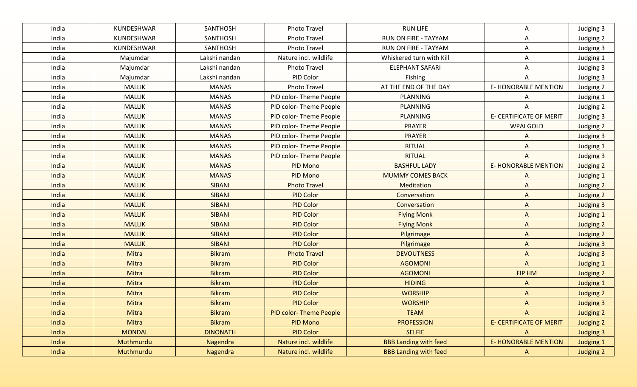| India | KUNDESHWAR    | SANTHOSH        | Photo Travel           | <b>RUN LIFE</b>              | Α                              | Judging 3        |
|-------|---------------|-----------------|------------------------|------------------------------|--------------------------------|------------------|
| India | KUNDESHWAR    | SANTHOSH        | Photo Travel           | <b>RUN ON FIRE - TAYYAM</b>  | Α                              | Judging 2        |
| India | KUNDESHWAR    | SANTHOSH        | Photo Travel           | RUN ON FIRE - TAYYAM         | Α                              | Judging 3        |
| India | Majumdar      | Lakshi nandan   | Nature incl. wildlife  | Whiskered turn with Kill     | Α                              | Judging 1        |
| India | Majumdar      | Lakshi nandan   | Photo Travel           | <b>ELEPHANT SAFARI</b>       | Α                              | Judging 3        |
| India | Majumdar      | Lakshi nandan   | PID Color              | Fishing                      | A                              | Judging 3        |
| India | <b>MALLIK</b> | <b>MANAS</b>    | Photo Travel           | AT THE END OF THE DAY        | <b>E- HONORABLE MENTION</b>    | Judging 2        |
| India | <b>MALLIK</b> | <b>MANAS</b>    | PID color-Theme People | PLANNING                     | Α                              | Judging 1        |
| India | <b>MALLIK</b> | <b>MANAS</b>    | PID color-Theme People | <b>PLANNING</b>              | A                              | Judging 2        |
| India | <b>MALLIK</b> | <b>MANAS</b>    | PID color-Theme People | <b>PLANNING</b>              | E- CERTIFICATE OF MERIT        | Judging 3        |
| India | <b>MALLIK</b> | <b>MANAS</b>    | PID color-Theme People | <b>PRAYER</b>                | <b>WPAI GOLD</b>               | Judging 2        |
| India | <b>MALLIK</b> | <b>MANAS</b>    | PID color-Theme People | <b>PRAYER</b>                | A                              | Judging 3        |
| India | <b>MALLIK</b> | <b>MANAS</b>    | PID color-Theme People | <b>RITUAL</b>                | A                              | Judging 1        |
| India | <b>MALLIK</b> | <b>MANAS</b>    | PID color-Theme People | <b>RITUAL</b>                | A                              | Judging 3        |
| India | <b>MALLIK</b> | <b>MANAS</b>    | PID Mono               | <b>BASHFUL LADY</b>          | <b>E-HONORABLE MENTION</b>     | Judging 2        |
| India | <b>MALLIK</b> | <b>MANAS</b>    | PID Mono               | <b>MUMMY COMES BACK</b>      | A                              | <b>Judging 1</b> |
| India | <b>MALLIK</b> | <b>SIBANI</b>   | <b>Photo Travel</b>    | Meditation                   | $\mathsf{A}$                   | Judging 2        |
| India | <b>MALLIK</b> | <b>SIBANI</b>   | <b>PID Color</b>       | Conversation                 | $\mathsf{A}$                   | Judging 2        |
| India | <b>MALLIK</b> | <b>SIBANI</b>   | <b>PID Color</b>       | Conversation                 | $\mathsf{A}$                   | <b>Judging 3</b> |
| India | <b>MALLIK</b> | <b>SIBANI</b>   | <b>PID Color</b>       | <b>Flying Monk</b>           | $\mathsf{A}$                   | <b>Judging 1</b> |
| India | <b>MALLIK</b> | <b>SIBANI</b>   | <b>PID Color</b>       | <b>Flying Monk</b>           | $\Lambda$                      | Judging 2        |
| India | <b>MALLIK</b> | <b>SIBANI</b>   | <b>PID Color</b>       | Pilgrimage                   | $\mathsf{A}$                   | Judging 2        |
| India | <b>MALLIK</b> | <b>SIBANI</b>   | <b>PID Color</b>       | Pilgrimage                   | $\mathsf{A}$                   | <b>Judging 3</b> |
| India | Mitra         | <b>Bikram</b>   | <b>Photo Travel</b>    | <b>DEVOUTNESS</b>            | $\mathsf{A}$                   | <b>Judging 3</b> |
| India | Mitra         | <b>Bikram</b>   | <b>PID Color</b>       | <b>AGOMONI</b>               | $\overline{A}$                 | <b>Judging 1</b> |
| India | Mitra         | <b>Bikram</b>   | <b>PID Color</b>       | <b>AGOMONI</b>               | FIP HM                         | Judging 2        |
| India | Mitra         | <b>Bikram</b>   | <b>PID Color</b>       | <b>HIDING</b>                | $\mathsf{A}$                   | <b>Judging 1</b> |
| India | Mitra         | <b>Bikram</b>   | <b>PID Color</b>       | <b>WORSHIP</b>               | A                              | <b>Judging 2</b> |
| India | Mitra         | <b>Bikram</b>   | <b>PID Color</b>       | <b>WORSHIP</b>               | A                              | <b>Judging 3</b> |
| India | Mitra         | <b>Bikram</b>   | PID color-Theme People | <b>TEAM</b>                  | $\mathsf{A}$                   | Judging 2        |
| India | Mitra         | <b>Bikram</b>   | <b>PID Mono</b>        | <b>PROFESSION</b>            | <b>E- CERTIFICATE OF MERIT</b> | Judging 2        |
| India | <b>MONDAL</b> | <b>DINONATH</b> | <b>PID Color</b>       | <b>SELFIE</b>                | $\mathsf{A}$                   | Judging 3        |
| India | Muthmurdu     | Nagendra        | Nature incl. wildlife  | <b>BBB Landing with feed</b> | <b>E- HONORABLE MENTION</b>    | <b>Judging 1</b> |
| India | Muthmurdu     | Nagendra        | Nature incl. wildlife  | <b>BBB Landing with feed</b> | $\mathsf{A}$                   | Judging 2        |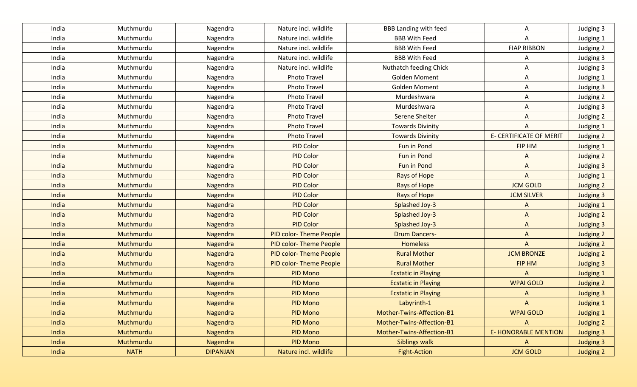| India | Muthmurdu   | Nagendra        | Nature incl. wildlife         | <b>BBB Landing with feed</b> | Α                              | Judging 3        |
|-------|-------------|-----------------|-------------------------------|------------------------------|--------------------------------|------------------|
| India | Muthmurdu   | Nagendra        | Nature incl. wildlife         | <b>BBB With Feed</b>         | A                              | Judging 1        |
| India | Muthmurdu   | Nagendra        | Nature incl. wildlife         | <b>BBB With Feed</b>         | <b>FIAP RIBBON</b>             | Judging 2        |
| India | Muthmurdu   | Nagendra        | Nature incl. wildlife         | <b>BBB With Feed</b>         | A                              | Judging 3        |
| India | Muthmurdu   | Nagendra        | Nature incl. wildlife         | Nuthatch feeding Chick       | Α                              | Judging 3        |
| India | Muthmurdu   | Nagendra        | <b>Photo Travel</b>           | <b>Golden Moment</b>         | A                              | Judging 1        |
| India | Muthmurdu   | Nagendra        | <b>Photo Travel</b>           | <b>Golden Moment</b>         | A                              | Judging 3        |
| India | Muthmurdu   | Nagendra        | <b>Photo Travel</b>           | Murdeshwara                  | Α                              | Judging 2        |
| India | Muthmurdu   | Nagendra        | <b>Photo Travel</b>           | Murdeshwara                  | Α                              | Judging 3        |
| India | Muthmurdu   | Nagendra        | <b>Photo Travel</b>           | Serene Shelter               | Α                              | Judging 2        |
| India | Muthmurdu   | Nagendra        | <b>Photo Travel</b>           | <b>Towards Divinity</b>      | A                              | Judging 1        |
| India | Muthmurdu   | Nagendra        | <b>Photo Travel</b>           | <b>Towards Divinity</b>      | <b>E- CERTIFICATE OF MERIT</b> | Judging 2        |
| India | Muthmurdu   | Nagendra        | PID Color                     | Fun in Pond                  | FIP HM                         | Judging 1        |
| India | Muthmurdu   | Nagendra        | <b>PID Color</b>              | Fun in Pond                  | A                              | Judging 2        |
| India | Muthmurdu   | Nagendra        | <b>PID Color</b>              | Fun in Pond                  | A                              | <b>Judging 3</b> |
| India | Muthmurdu   | Nagendra        | <b>PID Color</b>              | Rays of Hope                 | $\mathsf{A}$                   | <b>Judging 1</b> |
| India | Muthmurdu   | Nagendra        | <b>PID Color</b>              | Rays of Hope                 | <b>JCM GOLD</b>                | Judging 2        |
| India | Muthmurdu   | Nagendra        | <b>PID Color</b>              | Rays of Hope                 | <b>JCM SILVER</b>              | <b>Judging 3</b> |
| India | Muthmurdu   | Nagendra        | <b>PID Color</b>              | Splashed Joy-3               | $\Lambda$                      | Judging 1        |
| India | Muthmurdu   | Nagendra        | <b>PID Color</b>              | Splashed Joy-3               | $\mathsf{A}$                   | Judging 2        |
| India | Muthmurdu   | Nagendra        | <b>PID Color</b>              | Splashed Joy-3               | $\mathsf{A}$                   | <b>Judging 3</b> |
| India | Muthmurdu   | Nagendra        | <b>PID color-Theme People</b> | <b>Drum Dancers-</b>         | $\Lambda$                      | <b>Judging 2</b> |
| India | Muthmurdu   | Nagendra        | <b>PID color-Theme People</b> | <b>Homeless</b>              | $\mathsf{A}$                   | Judging 2        |
| India | Muthmurdu   | Nagendra        | <b>PID color-Theme People</b> | <b>Rural Mother</b>          | <b>JCM BRONZE</b>              | Judging 2        |
| India | Muthmurdu   | Nagendra        | PID color-Theme People        | <b>Rural Mother</b>          | FIP HM                         | <b>Judging 3</b> |
| India | Muthmurdu   | Nagendra        | <b>PID Mono</b>               | <b>Ecstatic in Playing</b>   | $\Lambda$                      | <b>Judging 1</b> |
| India | Muthmurdu   | Nagendra        | <b>PID Mono</b>               | <b>Ecstatic in Playing</b>   | <b>WPAI GOLD</b>               | <b>Judging 2</b> |
| India | Muthmurdu   | Nagendra        | <b>PID Mono</b>               | <b>Ecstatic in Playing</b>   | $\Lambda$                      | <b>Judging 3</b> |
| India | Muthmurdu   | Nagendra        | <b>PID Mono</b>               | Labyrinth-1                  | $\Lambda$                      | <b>Judging 1</b> |
| India | Muthmurdu   | Nagendra        | <b>PID Mono</b>               | Mother-Twins-Affection-B1    | <b>WPAI GOLD</b>               | <b>Judging 1</b> |
| India | Muthmurdu   | Nagendra        | <b>PID Mono</b>               | Mother-Twins-Affection-B1    | $\Lambda$                      | Judging 2        |
| India | Muthmurdu   | Nagendra        | <b>PID Mono</b>               | Mother-Twins-Affection-B1    | <b>E- HONORABLE MENTION</b>    | <b>Judging 3</b> |
| India | Muthmurdu   | Nagendra        | PID Mono                      | <b>Siblings walk</b>         | A                              | <b>Judging 3</b> |
| India | <b>NATH</b> | <b>DIPANJAN</b> | Nature incl. wildlife         | <b>Fight-Action</b>          | <b>JCM GOLD</b>                | <b>Judging 2</b> |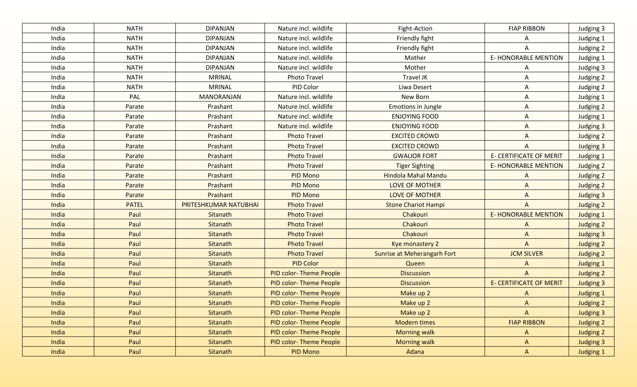| India | <b>NATH</b>  | <b>DIPANJAN</b>       | Nature incl. wildlife         | Fight-Action                | <b>FIAP RIBBON</b>             | Judging 3        |
|-------|--------------|-----------------------|-------------------------------|-----------------------------|--------------------------------|------------------|
|       |              |                       |                               |                             |                                |                  |
| India | <b>NATH</b>  | <b>DIPANJAN</b>       | Nature incl. wildlife         | Friendly fight              | A                              | Judging 1        |
| India | <b>NATH</b>  | <b>DIPANJAN</b>       | Nature incl. wildlife         | Friendly fight              | A                              | Judging 2        |
| India | <b>NATH</b>  | <b>DIPANJAN</b>       | Nature incl. wildlife         | Mother                      | <b>E- HONORABLE MENTION</b>    | Judging 1        |
| India | <b>NATH</b>  | <b>DIPANJAN</b>       | Nature incl. wildlife         | Mother                      | A                              | Judging 3        |
| India | <b>NATH</b>  | <b>MRINAL</b>         | <b>Photo Travel</b>           | Travel JK                   | Α                              | Judging 2        |
| India | <b>NATH</b>  | <b>MRINAL</b>         | PID Color                     | Liwa Desert                 | Α                              | Judging 2        |
| India | PAL          | <b>MANORANJAN</b>     | Nature incl. wildlife         | New Born                    | Α                              | Judging 1        |
| India | Parate       | Prashant              | Nature incl. wildlife         | Emotions in Jungle          | A                              | Judging 2        |
| India | Parate       | Prashant              | Nature incl. wildlife         | <b>ENJOYING FOOD</b>        | Α                              | Judging 1        |
| India | Parate       | Prashant              | Nature incl. wildlife         | <b>ENJOYING FOOD</b>        | A                              | Judging 3        |
| India | Parate       | Prashant              | <b>Photo Travel</b>           | <b>EXCITED CROWD</b>        | A                              | Judging 2        |
| India | Parate       | Prashant              | <b>Photo Travel</b>           | <b>EXCITED CROWD</b>        | A                              | Judging 3        |
| India | Parate       | Prashant              | <b>Photo Travel</b>           | <b>GWALIOR FORT</b>         | <b>E- CERTIFICATE OF MERIT</b> | Judging 1        |
| India | Parate       | Prashant              | <b>Photo Travel</b>           | <b>Tiger Sighting</b>       | <b>E-HONORABLE MENTION</b>     | Judging 2        |
| India | Parate       | Prashant              | <b>PID Mono</b>               | <b>Hindola Mahal Mandu</b>  | A                              | <b>Judging 2</b> |
| India | Parate       | Prashant              | PID Mono                      | <b>LOVE OF MOTHER</b>       | $\mathsf{A}$                   | <b>Judging 2</b> |
| India | Parate       | Prashant              | PID Mono                      | <b>LOVE OF MOTHER</b>       | $\Lambda$                      | <b>Judging 3</b> |
| India | <b>PATEL</b> | PRITESHKUMAR NATUBHAI | <b>Photo Travel</b>           | <b>Stone Chariot Hampi</b>  | $\Lambda$                      | Judging 2        |
| India | Paul         | Sitanath              | <b>Photo Travel</b>           | Chakouri                    | <b>E- HONORABLE MENTION</b>    | <b>Judging 1</b> |
| India | Paul         | Sitanath              | <b>Photo Travel</b>           | Chakouri                    | A                              | Judging 2        |
| India | Paul         | Sitanath              | <b>Photo Travel</b>           | Chakouri                    | $\Lambda$                      | <b>Judging 3</b> |
| India | Paul         | Sitanath              | <b>Photo Travel</b>           | Kye monastery 2             | $\mathsf{A}$                   | <b>Judging 2</b> |
| India | Paul         | Sitanath              | <b>Photo Travel</b>           | Sunrise at Meherangarh Fort | <b>JCM SILVER</b>              | Judging 2        |
| India | Paul         | Sitanath              | <b>PID Color</b>              | Queen                       | $\Lambda$                      | <b>Judging 1</b> |
| India | Paul         | Sitanath              | <b>PID color-Theme People</b> | <b>Discussion</b>           | $\Lambda$                      | <b>Judging 2</b> |
| India | Paul         | Sitanath              | <b>PID color-Theme People</b> | <b>Discussion</b>           | <b>E- CERTIFICATE OF MERIT</b> | <b>Judging 3</b> |
| India | Paul         | Sitanath              | <b>PID color-Theme People</b> | Make up 2                   | $\Lambda$                      | <b>Judging 1</b> |
| India | Paul         | Sitanath              | <b>PID color-Theme People</b> | Make up 2                   | $\Lambda$                      | <b>Judging 2</b> |
| India | Paul         | Sitanath              | PID color-Theme People        | Make up 2                   | $\mathsf{A}$                   | <b>Judging 3</b> |
| India | Paul         | Sitanath              | PID color-Theme People        | <b>Modern times</b>         | <b>FIAP RIBBON</b>             | Judging 2        |
| India | Paul         | Sitanath              | PID color-Theme People        | <b>Morning walk</b>         | $\mathsf{A}$                   | Judging 2        |
| India | Paul         | Sitanath              | PID color-Theme People        | <b>Morning walk</b>         | A                              | <b>Judging 3</b> |
| India | Paul         | Sitanath              | PID Mono                      | Adana                       | $\mathsf{A}$                   | <b>Judging 1</b> |
|       |              |                       |                               |                             |                                |                  |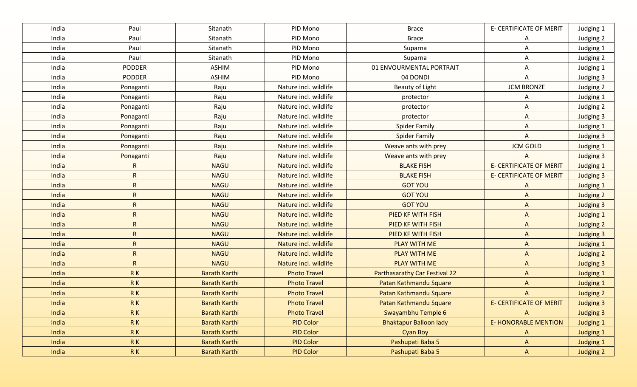| India | Paul          | Sitanath             | PID Mono              | <b>Brace</b>                         | <b>E- CERTIFICATE OF MERIT</b> | Judging 1        |
|-------|---------------|----------------------|-----------------------|--------------------------------------|--------------------------------|------------------|
| India | Paul          | Sitanath             | PID Mono              | <b>Brace</b>                         | A                              | Judging 2        |
| India | Paul          | Sitanath             | PID Mono              | Suparna                              | A                              | Judging 1        |
| India | Paul          | Sitanath             | PID Mono              | Suparna                              | Α                              | Judging 2        |
| India | <b>PODDER</b> | <b>ASHIM</b>         | PID Mono              | 01 ENVOURMENTAL PORTRAIT             | Α                              | Judging 1        |
| India | <b>PODDER</b> | <b>ASHIM</b>         | PID Mono              | 04 DONDI                             | Α                              | Judging 3        |
| India | Ponaganti     | Raju                 | Nature incl. wildlife | Beauty of Light                      | <b>JCM BRONZE</b>              | Judging 2        |
| India | Ponaganti     | Raju                 | Nature incl. wildlife | protector                            | A                              | Judging 1        |
| India | Ponaganti     | Raju                 | Nature incl. wildlife | protector                            | A                              | Judging 2        |
| India | Ponaganti     | Raju                 | Nature incl. wildlife | protector                            | Α                              | Judging 3        |
| India | Ponaganti     | Raju                 | Nature incl. wildlife | <b>Spider Family</b>                 | A                              | Judging 1        |
| India | Ponaganti     | Raju                 | Nature incl. wildlife | <b>Spider Family</b>                 | A                              | Judging 3        |
| India | Ponaganti     | Raju                 | Nature incl. wildlife | Weave ants with prey                 | <b>JCM GOLD</b>                | Judging 1        |
| India | Ponaganti     | Raju                 | Nature incl. wildlife | Weave ants with prey                 | A                              | Judging 3        |
| India | R             | <b>NAGU</b>          | Nature incl. wildlife | <b>BLAKE FISH</b>                    | <b>E- CERTIFICATE OF MERIT</b> | Judging 1        |
| India | $\mathsf{R}$  | <b>NAGU</b>          | Nature incl. wildlife | <b>BLAKE FISH</b>                    | <b>E- CERTIFICATE OF MERIT</b> | Judging 3        |
| India | $\mathsf{R}$  | <b>NAGU</b>          | Nature incl. wildlife | <b>GOT YOU</b>                       | A                              | <b>Judging 1</b> |
| India | $\mathsf{R}$  | <b>NAGU</b>          | Nature incl. wildlife | <b>GOT YOU</b>                       | $\Lambda$                      | <b>Judging 2</b> |
| India | $\mathsf{R}$  | <b>NAGU</b>          | Nature incl. wildlife | <b>GOT YOU</b>                       | $\mathsf{A}$                   | <b>Judging 3</b> |
| India | $\mathsf{R}$  | <b>NAGU</b>          | Nature incl. wildlife | <b>PIED KF WITH FISH</b>             | $\mathsf{A}$                   | Judging 1        |
| India | $\mathsf{R}$  | <b>NAGU</b>          | Nature incl. wildlife | <b>PIED KF WITH FISH</b>             | $\mathsf{A}$                   | Judging 2        |
| India | ${\sf R}$     | <b>NAGU</b>          | Nature incl. wildlife | PIED KF WITH FISH                    | $\mathsf{A}$                   | <b>Judging 3</b> |
| India | $\mathsf{R}$  | <b>NAGU</b>          | Nature incl. wildlife | <b>PLAY WITH ME</b>                  | $\mathsf{A}$                   | <b>Judging 1</b> |
| India | $\mathsf{R}$  | <b>NAGU</b>          | Nature incl. wildlife | <b>PLAY WITH ME</b>                  | $\mathsf{A}$                   | <b>Judging 2</b> |
| India | ${\sf R}$     | <b>NAGU</b>          | Nature incl. wildlife | <b>PLAY WITH ME</b>                  | $\Lambda$                      | <b>Judging 3</b> |
| India | <b>RK</b>     | <b>Barath Karthi</b> | <b>Photo Travel</b>   | <b>Parthasarathy Car Festival 22</b> | $\Lambda$                      | <b>Judging 1</b> |
| India | $R$ $K$       | <b>Barath Karthi</b> | <b>Photo Travel</b>   | Patan Kathmandu Square               | $\mathsf{A}$                   | Judging 1        |
| India | RK            | <b>Barath Karthi</b> | <b>Photo Travel</b>   | Patan Kathmandu Square               | $\Lambda$                      | <b>Judging 2</b> |
| India | RK            | <b>Barath Karthi</b> | <b>Photo Travel</b>   | Patan Kathmandu Square               | <b>E- CERTIFICATE OF MERIT</b> | <b>Judging 3</b> |
| India | RK            | <b>Barath Karthi</b> | <b>Photo Travel</b>   | Swayambhu Temple 6                   | $\mathsf{A}$                   | <b>Judging 3</b> |
| India | RK            | <b>Barath Karthi</b> | <b>PID Color</b>      | <b>Bhaktapur Balloon lady</b>        | <b>E- HONORABLE MENTION</b>    | <b>Judging 1</b> |
| India | RK            | <b>Barath Karthi</b> | <b>PID Color</b>      | <b>Cyan Boy</b>                      | $\mathsf{A}$                   | Judging 1        |
| India | RK            | <b>Barath Karthi</b> | <b>PID Color</b>      | Pashupati Baba 5                     | $\mathsf{A}$                   | <b>Judging 1</b> |
| India | RK            | <b>Barath Karthi</b> | <b>PID Color</b>      | Pashupati Baba 5                     | $\mathsf{A}$                   | Judging 2        |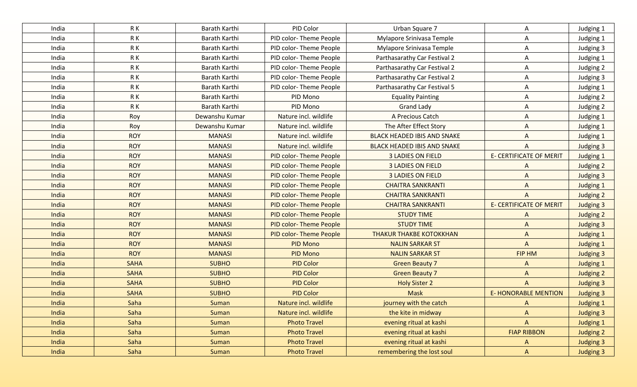| India | R K         | Barath Karthi  | PID Color                     | Urban Square 7                     | A                              | Judging 1        |
|-------|-------------|----------------|-------------------------------|------------------------------------|--------------------------------|------------------|
| India | R K         | Barath Karthi  | PID color-Theme People        | Mylapore Srinivasa Temple          | A                              | Judging 1        |
| India | RK          | Barath Karthi  | PID color-Theme People        | Mylapore Srinivasa Temple          | A                              | Judging 3        |
| India | R K         | Barath Karthi  | PID color-Theme People        | Parthasarathy Car Festival 2       | A                              | Judging 1        |
| India | R K         | Barath Karthi  | PID color-Theme People        | Parthasarathy Car Festival 2       | A                              | Judging 2        |
| India | R K         | Barath Karthi  | PID color-Theme People        | Parthasarathy Car Festival 2       | A                              | Judging 3        |
| India | R K         | Barath Karthi  | PID color-Theme People        | Parthasarathy Car Festival 5       | A                              | Judging 1        |
| India | RK          | Barath Karthi  | PID Mono                      | <b>Equality Painting</b>           | A                              | Judging 2        |
| India | R K         | Barath Karthi  | PID Mono                      | <b>Grand Lady</b>                  | A                              | Judging 2        |
| India | Roy         | Dewanshu Kumar | Nature incl. wildlife         | A Precious Catch                   | A                              | Judging 1        |
| India | Roy         | Dewanshu Kumar | Nature incl. wildlife         | The After Effect Story             | A                              | Judging 1        |
| India | <b>ROY</b>  | <b>MANASI</b>  | Nature incl. wildlife         | <b>BLACK HEADED IBIS AND SNAKE</b> | A                              | Judging 1        |
| India | <b>ROY</b>  | <b>MANASI</b>  | Nature incl. wildlife         | <b>BLACK HEADED IBIS AND SNAKE</b> | A                              | Judging 3        |
| India | <b>ROY</b>  | <b>MANASI</b>  | PID color-Theme People        | <b>3 LADIES ON FIELD</b>           | <b>E- CERTIFICATE OF MERIT</b> | Judging 1        |
| India | <b>ROY</b>  | <b>MANASI</b>  | PID color-Theme People        | <b>3 LADIES ON FIELD</b>           | A                              | Judging 2        |
| India | <b>ROY</b>  | <b>MANASI</b>  | <b>PID color-Theme People</b> | <b>3 LADIES ON FIELD</b>           | $\Lambda$                      | Judging 3        |
| India | <b>ROY</b>  | <b>MANASI</b>  | <b>PID color-Theme People</b> | <b>CHAITRA SANKRANTI</b>           | $\Lambda$                      | Judging 1        |
| India | <b>ROY</b>  | <b>MANASI</b>  | PID color-Theme People        | <b>CHAITRA SANKRANTI</b>           | $\overline{A}$                 | Judging 2        |
| India | <b>ROY</b>  | <b>MANASI</b>  | <b>PID color-Theme People</b> | <b>CHAITRA SANKRANTI</b>           | <b>E- CERTIFICATE OF MERIT</b> | <b>Judging 3</b> |
| India | <b>ROY</b>  | <b>MANASI</b>  | <b>PID color-Theme People</b> | <b>STUDY TIME</b>                  | $\Lambda$                      | Judging 2        |
| India | <b>ROY</b>  | <b>MANASI</b>  | <b>PID color-Theme People</b> | <b>STUDY TIME</b>                  | $\Lambda$                      | <b>Judging 3</b> |
| India | <b>ROY</b>  | <b>MANASI</b>  | <b>PID color-Theme People</b> | <b>THAKUR THAKBE KOTOKKHAN</b>     | $\Lambda$                      | <b>Judging 1</b> |
| India | <b>ROY</b>  | <b>MANASI</b>  | <b>PID Mono</b>               | <b>NALIN SARKAR ST</b>             | $\mathsf{A}$                   | <b>Judging 1</b> |
| India | <b>ROY</b>  | <b>MANASI</b>  | <b>PID Mono</b>               | <b>NALIN SARKAR ST</b>             | FIP HM                         | <b>Judging 3</b> |
| India | <b>SAHA</b> | <b>SUBHO</b>   | <b>PID Color</b>              | <b>Green Beauty 7</b>              | $\Lambda$                      | <b>Judging 1</b> |
| India | <b>SAHA</b> | <b>SUBHO</b>   | <b>PID Color</b>              | <b>Green Beauty 7</b>              | $\Lambda$                      | <b>Judging 2</b> |
| India | <b>SAHA</b> | <b>SUBHO</b>   | <b>PID Color</b>              | <b>Holy Sister 2</b>               | $\overline{A}$                 | <b>Judging 3</b> |
| India | <b>SAHA</b> | <b>SUBHO</b>   | <b>PID Color</b>              | <b>Mask</b>                        | <b>E-HONORABLE MENTION</b>     | <b>Judging 3</b> |
| India | Saha        | Suman          | Nature incl. wildlife         | journey with the catch             | $\Lambda$                      | <b>Judging 1</b> |
| India | Saha        | <b>Suman</b>   | Nature incl. wildlife         | the kite in midway                 | $\mathsf{A}$                   | <b>Judging 3</b> |
| India | Saha        | Suman          | <b>Photo Travel</b>           | evening ritual at kashi            | $\mathsf{A}$                   | <b>Judging 1</b> |
| India | Saha        | <b>Suman</b>   | <b>Photo Travel</b>           | evening ritual at kashi            | <b>FIAP RIBBON</b>             | Judging 2        |
| India | Saha        | Suman          | <b>Photo Travel</b>           | evening ritual at kashi            | $\mathsf{A}$                   | <b>Judging 3</b> |
| India | Saha        | Suman          | <b>Photo Travel</b>           | remembering the lost soul          | $\mathsf{A}$                   | <b>Judging 3</b> |
|       |             |                |                               |                                    |                                |                  |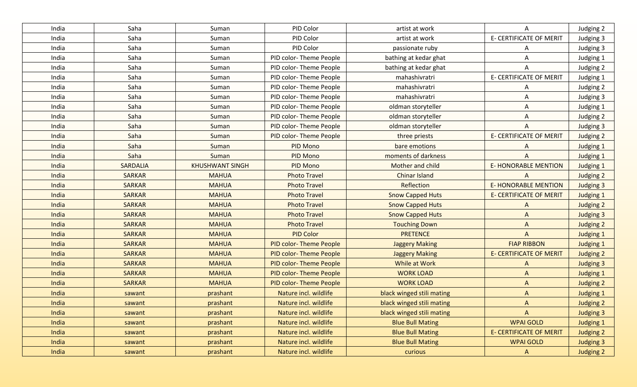| India | Saha            | Suman                  | PID Color                      | artist at work            | A                              | Judging 2        |
|-------|-----------------|------------------------|--------------------------------|---------------------------|--------------------------------|------------------|
| India | Saha            | Suman                  | PID Color                      | artist at work            | <b>E- CERTIFICATE OF MERIT</b> | Judging 3        |
| India | Saha            | Suman                  | PID Color                      | passionate ruby           | A                              | Judging 3        |
| India | Saha            | Suman                  | PID color-Theme People         | bathing at kedar ghat     | Α                              | Judging 1        |
| India | Saha            | Suman                  | PID color-Theme People         | bathing at kedar ghat     | A                              | Judging 2        |
| India | Saha            | Suman                  | PID color-Theme People         | mahashivratri             | <b>E- CERTIFICATE OF MERIT</b> | Judging 1        |
| India | Saha            | Suman                  | PID color-Theme People         | mahashivratri             | A                              | Judging 2        |
| India | Saha            | Suman                  | PID color-Theme People         | mahashivratri             | A                              | Judging 3        |
| India | Saha            | Suman                  | PID color-Theme People         | oldman storyteller        | Α                              | Judging 1        |
| India | Saha            | Suman                  | PID color-Theme People         | oldman storyteller        | A                              | Judging 2        |
| India | Saha            | Suman                  | PID color-Theme People         | oldman storyteller        | A                              | Judging 3        |
| India | Saha            | Suman                  | PID color-Theme People         | three priests             | <b>E- CERTIFICATE OF MERIT</b> | Judging 2        |
| India | Saha            | Suman                  | PID Mono                       | bare emotions             | A                              | Judging 1        |
| India | Saha            | Suman                  | PID Mono                       | moments of darkness       | A                              | Judging 1        |
| India | <b>SARDALIA</b> | <b>KHUSHWANT SINGH</b> | PID Mono                       | Mother and child          | <b>E-HONORABLE MENTION</b>     | Judging 1        |
| India | <b>SARKAR</b>   | <b>MAHUA</b>           | <b>Photo Travel</b>            | <b>Chinar Island</b>      | $\wedge$                       | Judging 2        |
| India | <b>SARKAR</b>   | <b>MAHUA</b>           | <b>Photo Travel</b>            | Reflection                | <b>E-HONORABLE MENTION</b>     | <b>Judging 3</b> |
| India | <b>SARKAR</b>   | <b>MAHUA</b>           | <b>Photo Travel</b>            | <b>Snow Capped Huts</b>   | <b>E- CERTIFICATE OF MERIT</b> | Judging 1        |
| India | <b>SARKAR</b>   | <b>MAHUA</b>           | <b>Photo Travel</b>            | <b>Snow Capped Huts</b>   | A                              | Judging 2        |
| India | <b>SARKAR</b>   | <b>MAHUA</b>           | <b>Photo Travel</b>            | <b>Snow Capped Huts</b>   | $\Lambda$                      | <b>Judging 3</b> |
| India | <b>SARKAR</b>   | <b>MAHUA</b>           | <b>Photo Travel</b>            | <b>Touching Down</b>      | $\Lambda$                      | Judging 2        |
| India | <b>SARKAR</b>   | <b>MAHUA</b>           | <b>PID Color</b>               | <b>PRETENCE</b>           | A                              | <b>Judging 1</b> |
| India | <b>SARKAR</b>   | <b>MAHUA</b>           | <b>PID color-Theme People</b>  | <b>Jaggery Making</b>     | <b>FIAP RIBBON</b>             | <b>Judging 1</b> |
| India | <b>SARKAR</b>   | <b>MAHUA</b>           | <b>PID color-Theme People</b>  | <b>Jaggery Making</b>     | <b>E- CERTIFICATE OF MERIT</b> | <b>Judging 2</b> |
| India | <b>SARKAR</b>   | <b>MAHUA</b>           | <b>PID color-Theme People</b>  | While at Work             | $\Lambda$                      | <b>Judging 3</b> |
| India | <b>SARKAR</b>   | <b>MAHUA</b>           | <b>PID color-Theme People</b>  | <b>WORK LOAD</b>          | $\mathsf{A}$                   | <b>Judging 1</b> |
| India | <b>SARKAR</b>   | <b>MAHUA</b>           | <b>PID color- Theme People</b> | <b>WORK LOAD</b>          | $\Lambda$                      | <b>Judging 2</b> |
| India | sawant          | prashant               | Nature incl. wildlife          | black winged stili mating | $\mathsf{A}$                   | <b>Judging 1</b> |
| India | sawant          | prashant               | Nature incl. wildlife          | black winged stili mating | A                              | Judging 2        |
| India | sawant          | prashant               | Nature incl. wildlife          | black winged stili mating | $\mathsf{A}$                   | <b>Judging 3</b> |
| India | sawant          | prashant               | Nature incl. wildlife          | <b>Blue Bull Mating</b>   | <b>WPAI GOLD</b>               | <b>Judging 1</b> |
| India | sawant          | prashant               | Nature incl. wildlife          | <b>Blue Bull Mating</b>   | <b>E- CERTIFICATE OF MERIT</b> | Judging 2        |
| India | sawant          | prashant               | Nature incl. wildlife          | <b>Blue Bull Mating</b>   | <b>WPAI GOLD</b>               | <b>Judging 3</b> |
| India | sawant          | prashant               | Nature incl. wildlife          | curious                   | $\mathsf{A}$                   | Judging 2        |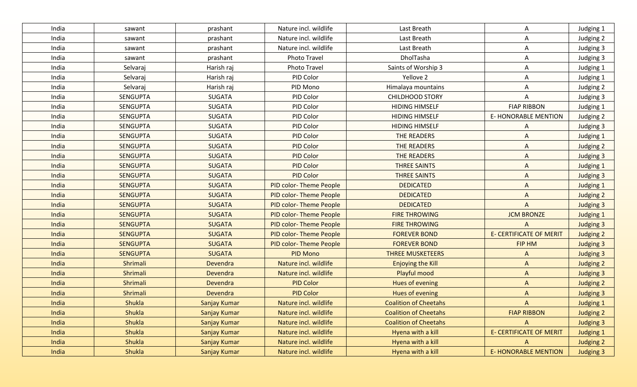| India | sawant          | prashant        | Nature incl. wildlife         | Last Breath                  | Α                              | Judging 1        |
|-------|-----------------|-----------------|-------------------------------|------------------------------|--------------------------------|------------------|
| India | sawant          | prashant        | Nature incl. wildlife         | Last Breath                  | Α                              | Judging 2        |
| India | sawant          | prashant        | Nature incl. wildlife         | Last Breath                  | A                              | Judging 3        |
| India | sawant          | prashant        | <b>Photo Travel</b>           | DholTasha                    | Α                              | Judging 3        |
| India | Selvaraj        | Harish raj      | <b>Photo Travel</b>           | Saints of Worship 3          | Α                              | Judging 1        |
| India | Selvaraj        | Harish raj      | PID Color                     | Yellove 2                    | Α                              | Judging 1        |
| India | Selvaraj        | Harish raj      | PID Mono                      | Himalaya mountains           | Α                              | Judging 2        |
| India | <b>SENGUPTA</b> | <b>SUGATA</b>   | PID Color                     | <b>CHILDHOOD STORY</b>       | Α                              | Judging 3        |
| India | <b>SENGUPTA</b> | <b>SUGATA</b>   | PID Color                     | <b>HIDING HIMSELF</b>        | <b>FIAP RIBBON</b>             | Judging 1        |
| India | <b>SENGUPTA</b> | <b>SUGATA</b>   | PID Color                     | <b>HIDING HIMSELF</b>        | <b>E-HONORABLE MENTION</b>     | Judging 2        |
| India | <b>SENGUPTA</b> | <b>SUGATA</b>   | PID Color                     | <b>HIDING HIMSELF</b>        | A                              | Judging 3        |
| India | <b>SENGUPTA</b> | <b>SUGATA</b>   | PID Color                     | THE READERS                  | A                              | Judging 1        |
| India | <b>SENGUPTA</b> | <b>SUGATA</b>   | PID Color                     | <b>THE READERS</b>           | A                              | Judging 2        |
| India | <b>SENGUPTA</b> | <b>SUGATA</b>   | <b>PID Color</b>              | <b>THE READERS</b>           | A                              | Judging 3        |
| India | <b>SENGUPTA</b> | <b>SUGATA</b>   | <b>PID Color</b>              | <b>THREE SAINTS</b>          | A                              | <b>Judging 1</b> |
| India | <b>SENGUPTA</b> | <b>SUGATA</b>   | <b>PID Color</b>              | <b>THREE SAINTS</b>          | $\mathsf{A}$                   | <b>Judging 3</b> |
| India | <b>SENGUPTA</b> | <b>SUGATA</b>   | <b>PID color-Theme People</b> | <b>DEDICATED</b>             | $\mathsf{A}$                   | <b>Judging 1</b> |
| India | <b>SENGUPTA</b> | <b>SUGATA</b>   | <b>PID color-Theme People</b> | <b>DEDICATED</b>             | $\Lambda$                      | <b>Judging 2</b> |
| India | <b>SENGUPTA</b> | <b>SUGATA</b>   | <b>PID color-Theme People</b> | <b>DEDICATED</b>             | $\Lambda$                      | <b>Judging 3</b> |
| India | <b>SENGUPTA</b> | <b>SUGATA</b>   | <b>PID color-Theme People</b> | <b>FIRE THROWING</b>         | <b>JCM BRONZE</b>              | Judging 1        |
| India | <b>SENGUPTA</b> | <b>SUGATA</b>   | <b>PID color-Theme People</b> | <b>FIRE THROWING</b>         | A                              | <b>Judging 3</b> |
| India | <b>SENGUPTA</b> | <b>SUGATA</b>   | <b>PID color-Theme People</b> | <b>FOREVER BOND</b>          | <b>E- CERTIFICATE OF MERIT</b> | Judging 2        |
| India | <b>SENGUPTA</b> | <b>SUGATA</b>   | <b>PID color-Theme People</b> | <b>FOREVER BOND</b>          | FIP HM                         | <b>Judging 3</b> |
| India | <b>SENGUPTA</b> | <b>SUGATA</b>   | <b>PID Mono</b>               | <b>THREE MUSKETEERS</b>      | A                              | <b>Judging 3</b> |
| India | Shrimali        | Devendra        | Nature incl. wildlife         | <b>Enjoying the Kill</b>     | $\mathsf{A}$                   | <b>Judging 2</b> |
| India | Shrimali        | <b>Devendra</b> | Nature incl. wildlife         | Playful mood                 | $\Lambda$                      | <b>Judging 3</b> |
| India | Shrimali        | Devendra        | <b>PID Color</b>              | Hues of evening              | $\mathsf{A}$                   | <b>Judging 2</b> |
| India | Shrimali        | Devendra        | <b>PID Color</b>              | Hues of evening              | $\Lambda$                      | <b>Judging 3</b> |
| India | Shukla          | Sanjay Kumar    | Nature incl. wildlife         | <b>Coalition of Cheetahs</b> | A                              | <b>Judging 1</b> |
| India | <b>Shukla</b>   | Sanjay Kumar    | Nature incl. wildlife         | <b>Coalition of Cheetahs</b> | <b>FIAP RIBBON</b>             | Judging 2        |
| India | <b>Shukla</b>   | Sanjay Kumar    | Nature incl. wildlife         | <b>Coalition of Cheetahs</b> | $\Lambda$                      | <b>Judging 3</b> |
| India | <b>Shukla</b>   | Sanjay Kumar    | Nature incl. wildlife         | Hyena with a kill            | <b>E- CERTIFICATE OF MERIT</b> | <b>Judging 1</b> |
| India | Shukla          | Sanjay Kumar    | Nature incl. wildlife         | Hyena with a kill            | A                              | <b>Judging 2</b> |
| India | Shukla          | Sanjay Kumar    | Nature incl. wildlife         | Hyena with a kill            | <b>E- HONORABLE MENTION</b>    | <b>Judging 3</b> |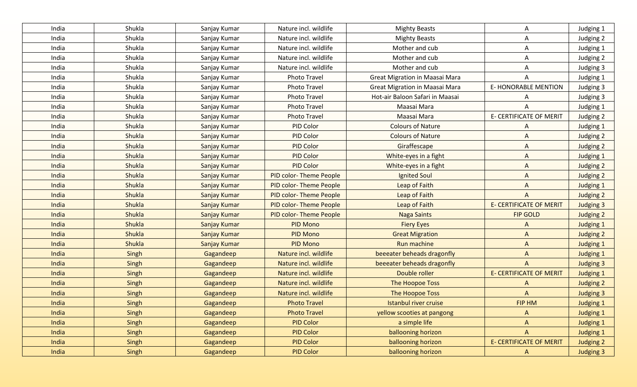| India | Shukla        | Sanjay Kumar        | Nature incl. wildlife         | <b>Mighty Beasts</b>            | A                              | Judging 1        |
|-------|---------------|---------------------|-------------------------------|---------------------------------|--------------------------------|------------------|
| India | Shukla        | Sanjay Kumar        | Nature incl. wildlife         | <b>Mighty Beasts</b>            | A                              | Judging 2        |
| India | Shukla        | Sanjay Kumar        | Nature incl. wildlife         | Mother and cub                  | A                              | Judging 1        |
| India | Shukla        | Sanjay Kumar        | Nature incl. wildlife         | Mother and cub                  | A                              | Judging 2        |
| India | Shukla        | Sanjay Kumar        | Nature incl. wildlife         | Mother and cub                  | A                              | Judging 3        |
| India | Shukla        | Sanjay Kumar        | <b>Photo Travel</b>           | Great Migration in Maasai Mara  | A                              | Judging 1        |
| India | Shukla        | Sanjay Kumar        | <b>Photo Travel</b>           | Great Migration in Maasai Mara  | E-HONORABLE MENTION            | Judging 3        |
| India | Shukla        | Sanjay Kumar        | <b>Photo Travel</b>           | Hot-air Baloon Safari in Maasai | A                              | Judging 3        |
| India | Shukla        | Sanjay Kumar        | <b>Photo Travel</b>           | Maasai Mara                     | A                              | Judging 1        |
| India | Shukla        | Sanjay Kumar        | <b>Photo Travel</b>           | Maasai Mara                     | E- CERTIFICATE OF MERIT        | Judging 2        |
| India | Shukla        | Sanjay Kumar        | PID Color                     | <b>Colours of Nature</b>        | A                              | Judging 1        |
| India | Shukla        | Sanjay Kumar        | PID Color                     | <b>Colours of Nature</b>        | $\mathsf{A}$                   | Judging 2        |
| India | Shukla        | Sanjay Kumar        | PID Color                     | Giraffescape                    | $\overline{A}$                 | Judging 2        |
| India | Shukla        | Sanjay Kumar        | <b>PID Color</b>              | White-eyes in a fight           | $\Lambda$                      | Judging 1        |
| India | Shukla        | Sanjay Kumar        | <b>PID Color</b>              | White-eyes in a fight           | $\mathsf{A}$                   | Judging 2        |
| India | Shukla        | Sanjay Kumar        | <b>PID color-Theme People</b> | Ignited Soul                    | $\mathsf{A}$                   | Judging 2        |
| India | Shukla        | Sanjay Kumar        | <b>PID color-Theme People</b> | Leap of Faith                   | $\mathsf{A}$                   | Judging 1        |
| India | Shukla        | Sanjay Kumar        | <b>PID color-Theme People</b> | Leap of Faith                   | $\mathsf{A}$                   | Judging 2        |
| India | <b>Shukla</b> | Sanjay Kumar        | <b>PID color-Theme People</b> | Leap of Faith                   | <b>E- CERTIFICATE OF MERIT</b> | <b>Judging 3</b> |
| India | <b>Shukla</b> | Sanjay Kumar        | <b>PID color-Theme People</b> | <b>Naga Saints</b>              | <b>FIP GOLD</b>                | Judging 2        |
| India | <b>Shukla</b> | Sanjay Kumar        | PID Mono                      | <b>Fiery Eyes</b>               | $\Lambda$                      | <b>Judging 1</b> |
| India | <b>Shukla</b> | Sanjay Kumar        | <b>PID Mono</b>               | <b>Great Migration</b>          | $\Lambda$                      | Judging 2        |
| India | Shukla        | <b>Sanjay Kumar</b> | <b>PID Mono</b>               | <b>Run machine</b>              | $\mathsf{A}$                   | <b>Judging 1</b> |
| India | Singh         | Gagandeep           | Nature incl. wildlife         | beeeater beheads dragonfly      | $\mathsf{A}$                   | <b>Judging 1</b> |
| India | Singh         | Gagandeep           | Nature incl. wildlife         | beeeater beheads dragonfly      | $\overline{A}$                 | <b>Judging 3</b> |
| India | Singh         | Gagandeep           | Nature incl. wildlife         | Double roller                   | <b>E- CERTIFICATE OF MERIT</b> | <b>Judging 1</b> |
| India | Singh         | Gagandeep           | Nature incl. wildlife         | The Hoopoe Toss                 | $\Lambda$                      | <b>Judging 2</b> |
| India | Singh         | Gagandeep           | Nature incl. wildlife         | <b>The Hoopoe Toss</b>          | $\overline{A}$                 | <b>Judging 3</b> |
| India | Singh         | Gagandeep           | <b>Photo Travel</b>           | Istanbul river cruise           | FIP HM                         | <b>Judging 1</b> |
| India | Singh         | Gagandeep           | <b>Photo Travel</b>           | yellow scooties at pangong      | $\Lambda$                      | Judging 1        |
| India | Singh         | Gagandeep           | <b>PID Color</b>              | a simple life                   | $\mathsf{A}$                   | <b>Judging 1</b> |
| India | Singh         | Gagandeep           | <b>PID Color</b>              | ballooning horizon              | $\mathsf{A}$                   | Judging 1        |
| India | Singh         | Gagandeep           | <b>PID Color</b>              | ballooning horizon              | <b>E- CERTIFICATE OF MERIT</b> | Judging 2        |
| India | Singh         | Gagandeep           | <b>PID Color</b>              | ballooning horizon              | $\mathsf{A}$                   | <b>Judging 3</b> |
|       |               |                     |                               |                                 |                                |                  |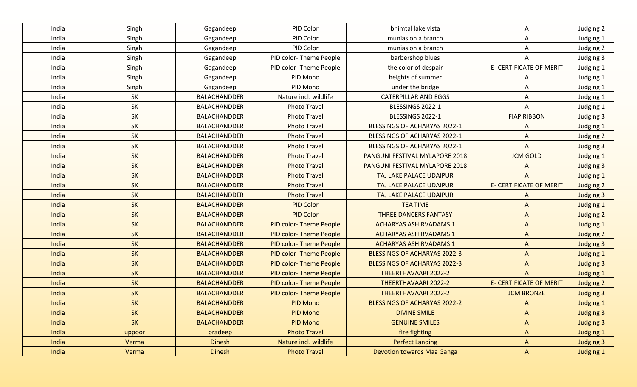| India | Singh     | Gagandeep           | PID Color                     | bhimtal lake vista                  | Α                              | Judging 2        |
|-------|-----------|---------------------|-------------------------------|-------------------------------------|--------------------------------|------------------|
| India | Singh     | Gagandeep           | PID Color                     | munias on a branch                  | Α                              | Judging 1        |
| India | Singh     | Gagandeep           | PID Color                     | munias on a branch                  | Α                              | Judging 2        |
| India | Singh     | Gagandeep           | PID color-Theme People        | barbershop blues                    | A                              | Judging 3        |
| India | Singh     | Gagandeep           | PID color-Theme People        | the color of despair                | <b>E- CERTIFICATE OF MERIT</b> | Judging 1        |
| India | Singh     | Gagandeep           | PID Mono                      | heights of summer                   | A                              | Judging 1        |
| India | Singh     | Gagandeep           | PID Mono                      | under the bridge                    | Α                              | Judging 1        |
| India | SK        | <b>BALACHANDDER</b> | Nature incl. wildlife         | <b>CATERPILLAR AND EGGS</b>         | Α                              | Judging 1        |
| India | SK        | <b>BALACHANDDER</b> | <b>Photo Travel</b>           | BLESSINGS 2022-1                    | A                              | Judging 1        |
| India | SK        | <b>BALACHANDDER</b> | <b>Photo Travel</b>           | BLESSINGS 2022-1                    | <b>FIAP RIBBON</b>             | Judging 3        |
| India | SK        | <b>BALACHANDDER</b> | <b>Photo Travel</b>           | BLESSINGS OF ACHARYAS 2022-1        | A                              | Judging 1        |
| India | SK        | <b>BALACHANDDER</b> | <b>Photo Travel</b>           | BLESSINGS OF ACHARYAS 2022-1        | A                              | Judging 2        |
| India | <b>SK</b> | <b>BALACHANDDER</b> | <b>Photo Travel</b>           | BLESSINGS OF ACHARYAS 2022-1        | A                              | Judging 3        |
| India | <b>SK</b> | <b>BALACHANDDER</b> | <b>Photo Travel</b>           | PANGUNI FESTIVAL MYLAPORE 2018      | <b>JCM GOLD</b>                | Judging 1        |
| India | SK        | <b>BALACHANDDER</b> | <b>Photo Travel</b>           | PANGUNI FESTIVAL MYLAPORE 2018      | A                              | Judging 3        |
| India | SK        | <b>BALACHANDDER</b> | <b>Photo Travel</b>           | TAJ LAKE PALACE UDAIPUR             | $\mathsf{A}$                   | <b>Judging 1</b> |
| India | <b>SK</b> | <b>BALACHANDDER</b> | <b>Photo Travel</b>           | TAJ LAKE PALACE UDAIPUR             | <b>E- CERTIFICATE OF MERIT</b> | Judging 2        |
| India | <b>SK</b> | <b>BALACHANDDER</b> | <b>Photo Travel</b>           | TAJ LAKE PALACE UDAIPUR             | $\Lambda$                      | <b>Judging 3</b> |
| India | <b>SK</b> | <b>BALACHANDDER</b> | <b>PID Color</b>              | <b>TEA TIME</b>                     | $\Lambda$                      | Judging 1        |
| India | <b>SK</b> | <b>BALACHANDDER</b> | <b>PID Color</b>              | <b>THREE DANCERS FANTASY</b>        | $\Lambda$                      | Judging 2        |
| India | SK        | <b>BALACHANDDER</b> | PID color-Theme People        | <b>ACHARYAS ASHIRVADAMS 1</b>       | $\Lambda$                      | <b>Judging 1</b> |
| India | <b>SK</b> | <b>BALACHANDDER</b> | <b>PID color-Theme People</b> | <b>ACHARYAS ASHIRVADAMS 1</b>       | $\Lambda$                      | Judging 2        |
| India | SK        | <b>BALACHANDDER</b> | <b>PID color-Theme People</b> | <b>ACHARYAS ASHIRVADAMS 1</b>       | $\mathsf{A}$                   | <b>Judging 3</b> |
| India | <b>SK</b> | <b>BALACHANDDER</b> | <b>PID color-Theme People</b> | <b>BLESSINGS OF ACHARYAS 2022-3</b> | $\Lambda$                      | <b>Judging 1</b> |
| India | SK        | <b>BALACHANDDER</b> | <b>PID color-Theme People</b> | <b>BLESSINGS OF ACHARYAS 2022-3</b> | $\Lambda$                      | <b>Judging 3</b> |
| India | SK        | <b>BALACHANDDER</b> | <b>PID color-Theme People</b> | THEERTHAVAARI 2022-2                | $\Lambda$                      | <b>Judging 1</b> |
| India | <b>SK</b> | <b>BALACHANDDER</b> | <b>PID color-Theme People</b> | THEERTHAVAARI 2022-2                | <b>E- CERTIFICATE OF MERIT</b> | <b>Judging 2</b> |
| India | <b>SK</b> | <b>BALACHANDDER</b> | PID color-Theme People        | THEERTHAVAARI 2022-2                | <b>JCM BRONZE</b>              | <b>Judging 3</b> |
| India | <b>SK</b> | <b>BALACHANDDER</b> | PID Mono                      | BLESSINGS OF ACHARYAS 2022-2        | A                              | <b>Judging 1</b> |
| India | SK        | <b>BALACHANDDER</b> | <b>PID Mono</b>               | <b>DIVINE SMILE</b>                 | $\Lambda$                      | <b>Judging 3</b> |
| India | <b>SK</b> | <b>BALACHANDDER</b> | PID Mono                      | <b>GENUINE SMILES</b>               | $\mathsf{A}$                   | <b>Judging 3</b> |
| India | uppoor    | pradeep             | <b>Photo Travel</b>           | fire fighting                       | $\mathsf{A}$                   | Judging 1        |
| India | Verma     | <b>Dinesh</b>       | Nature incl. wildlife         | <b>Perfect Landing</b>              | A                              | <b>Judging 3</b> |
| India | Verma     | <b>Dinesh</b>       | <b>Photo Travel</b>           | Devotion towards Maa Ganga          | $\mathsf{A}$                   | <b>Judging 1</b> |
|       |           |                     |                               |                                     |                                |                  |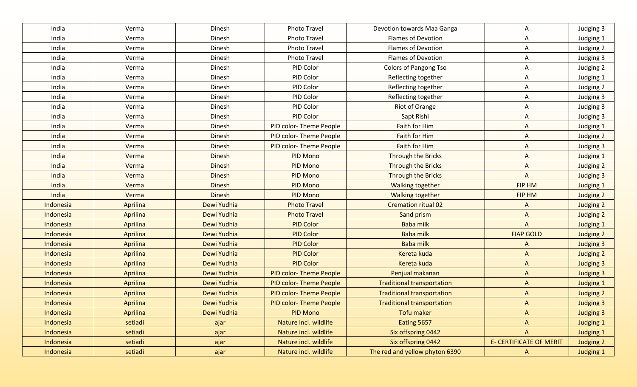| India     | Verma    | Dinesh        | Photo Travel                  | Devotion towards Maa Ganga        | A                              | Judging 3        |
|-----------|----------|---------------|-------------------------------|-----------------------------------|--------------------------------|------------------|
| India     | Verma    | Dinesh        | <b>Photo Travel</b>           | <b>Flames of Devotion</b>         | Α                              | Judging 1        |
| India     | Verma    | Dinesh        | <b>Photo Travel</b>           | <b>Flames of Devotion</b>         | A                              | Judging 2        |
| India     | Verma    | Dinesh        | <b>Photo Travel</b>           | <b>Flames of Devotion</b>         | Α                              | Judging 3        |
| India     | Verma    | Dinesh        | PID Color                     | <b>Colors of Pangong Tso</b>      | Α                              | Judging 2        |
| India     | Verma    | Dinesh        | PID Color                     | Reflecting together               | A                              | Judging 1        |
| India     | Verma    | Dinesh        | PID Color                     | Reflecting together               | A                              | Judging 2        |
| India     | Verma    | Dinesh        | PID Color                     | Reflecting together               | A                              | Judging 3        |
| India     | Verma    | Dinesh        | PID Color                     | Riot of Orange                    | A                              | Judging 3        |
| India     | Verma    | Dinesh        | PID Color                     | Sapt Rishi                        | A                              | Judging 3        |
| India     | Verma    | Dinesh        | PID color-Theme People        | Faith for Him                     | A                              | Judging 1        |
| India     | Verma    | Dinesh        | PID color-Theme People        | Faith for Him                     | A                              | Judging 2        |
| India     | Verma    | Dinesh        | PID color-Theme People        | Faith for Him                     | A                              | Judging 3        |
| India     | Verma    | Dinesh        | PID Mono                      | <b>Through the Bricks</b>         | $\mathsf{A}$                   | Judging 1        |
| India     | Verma    | <b>Dinesh</b> | <b>PID Mono</b>               | <b>Through the Bricks</b>         | $\mathsf{A}$                   | Judging 2        |
| India     | Verma    | <b>Dinesh</b> | PID Mono                      | <b>Through the Bricks</b>         | $\overline{A}$                 | Judging 3        |
| India     | Verma    | <b>Dinesh</b> | PID Mono                      | <b>Walking together</b>           | FIP HM                         | Judging 1        |
| India     | Verma    | <b>Dinesh</b> | PID Mono                      | <b>Walking together</b>           | FIP HM                         | Judging 2        |
| Indonesia | Aprilina | Dewi Yudhia   | <b>Photo Travel</b>           | <b>Cremation ritual 02</b>        | A                              | Judging 2        |
| Indonesia | Aprilina | Dewi Yudhia   | <b>Photo Travel</b>           | Sand prism                        | $\overline{A}$                 | Judging 2        |
| Indonesia | Aprilina | Dewi Yudhia   | <b>PID Color</b>              | <b>Baba milk</b>                  | $\mathsf{A}$                   | <b>Judging 1</b> |
| Indonesia | Aprilina | Dewi Yudhia   | <b>PID Color</b>              | <b>Baba milk</b>                  | <b>FIAP GOLD</b>               | Judging 2        |
| Indonesia | Aprilina | Dewi Yudhia   | <b>PID Color</b>              | <b>Baba milk</b>                  | $\Lambda$                      | <b>Judging 3</b> |
| Indonesia | Aprilina | Dewi Yudhia   | <b>PID Color</b>              | Kereta kuda                       | $\Lambda$                      | <b>Judging 2</b> |
| Indonesia | Aprilina | Dewi Yudhia   | <b>PID Color</b>              | Kereta kuda                       | $\Lambda$                      | <b>Judging 3</b> |
| Indonesia | Aprilina | Dewi Yudhia   | <b>PID color-Theme People</b> | Penjual makanan                   | $\Lambda$                      | <b>Judging 3</b> |
| Indonesia | Aprilina | Dewi Yudhia   | <b>PID color-Theme People</b> | <b>Traditional transportation</b> | $\mathsf{A}$                   | <b>Judging 1</b> |
| Indonesia | Aprilina | Dewi Yudhia   | <b>PID color-Theme People</b> | <b>Traditional transportation</b> | $\Lambda$                      | <b>Judging 2</b> |
| Indonesia | Aprilina | Dewi Yudhia   | <b>PID color-Theme People</b> | <b>Traditional transportation</b> | $\Lambda$                      | <b>Judging 3</b> |
| Indonesia | Aprilina | Dewi Yudhia   | <b>PID Mono</b>               | Tofu maker                        | $\Lambda$                      | <b>Judging 3</b> |
| Indonesia | setiadi  | ajar          | Nature incl. wildlife         | Eating 5657                       | $\mathsf{A}$                   | <b>Judging 1</b> |
| Indonesia | setiadi  | ajar          | Nature incl. wildlife         | Six offspring 0442                | $\Lambda$                      | Judging 1        |
| Indonesia | setiadi  | ajar          | Nature incl. wildlife         | Six offspring 0442                | <b>E- CERTIFICATE OF MERIT</b> | <b>Judging 2</b> |
| Indonesia | setiadi  | ajar          | Nature incl. wildlife         | The red and yellow phyton 6390    | $\mathsf{A}$                   | <b>Judging 1</b> |
|           |          |               |                               |                                   |                                |                  |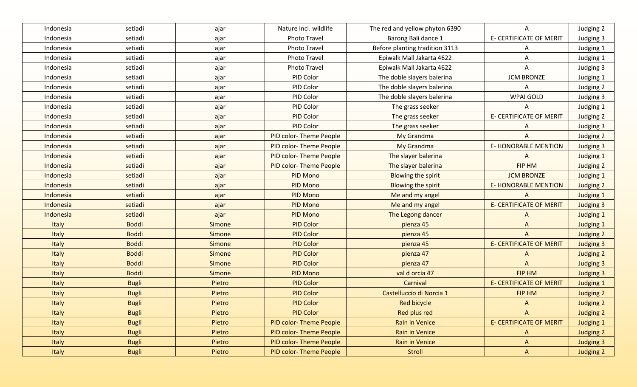| Indonesia    | setiadi      | ajar          | Nature incl. wildlife         | The red and yellow phyton 6390 | $\mathsf{A}$                   | Judging 2        |
|--------------|--------------|---------------|-------------------------------|--------------------------------|--------------------------------|------------------|
| Indonesia    | setiadi      | ajar          | <b>Photo Travel</b>           | Barong Bali dance 1            | <b>E- CERTIFICATE OF MERIT</b> | Judging 3        |
| Indonesia    | setiadi      | ajar          | <b>Photo Travel</b>           | Before planting tradition 3113 | A                              | Judging 1        |
| Indonesia    | setiadi      | ajar          | <b>Photo Travel</b>           | Epiwalk Mall Jakarta 4622      | A                              | Judging 1        |
| Indonesia    | setiadi      | ajar          | <b>Photo Travel</b>           | Epiwalk Mall Jakarta 4622      | A                              | Judging 3        |
| Indonesia    | setiadi      | ajar          | PID Color                     | The doble slayers balerina     | <b>JCM BRONZE</b>              | Judging 1        |
| Indonesia    | setiadi      | ajar          | PID Color                     | The doble slayers balerina     | A                              | Judging 2        |
| Indonesia    | setiadi      | ajar          | PID Color                     | The doble slayers balerina     | <b>WPAI GOLD</b>               | Judging 3        |
| Indonesia    | setiadi      | ajar          | PID Color                     | The grass seeker               | A                              | Judging 1        |
| Indonesia    | setiadi      | ajar          | PID Color                     | The grass seeker               | E- CERTIFICATE OF MERIT        | Judging 2        |
| Indonesia    | setiadi      | ajar          | PID Color                     | The grass seeker               | A                              | Judging 3        |
| Indonesia    | setiadi      | ajar          | PID color-Theme People        | My Grandma                     | A                              | Judging 2        |
| Indonesia    | setiadi      | ajar          | PID color-Theme People        | My Grandma                     | <b>E-HONORABLE MENTION</b>     | Judging 3        |
| Indonesia    | setiadi      | ajar          | PID color-Theme People        | The slayer balerina            | A                              | Judging 1        |
| Indonesia    | setiadi      | ajar          | PID color-Theme People        | The slayer balerina            | FIP HM                         | Judging 2        |
| Indonesia    | setiadi      | ajar          | PID Mono                      | Blowing the spirit             | <b>JCM BRONZE</b>              | Judging 1        |
| Indonesia    | setiadi      | ajar          | <b>PID Mono</b>               | <b>Blowing the spirit</b>      | <b>E- HONORABLE MENTION</b>    | Judging 2        |
| Indonesia    | setiadi      | ajar          | <b>PID Mono</b>               | Me and my angel                | $\overline{A}$                 | Judging 1        |
| Indonesia    | setiadi      | ajar          | <b>PID Mono</b>               | Me and my angel                | <b>E- CERTIFICATE OF MERIT</b> | Judging 3        |
| Indonesia    | setiadi      | ajar          | <b>PID Mono</b>               | The Legong dancer              | $\Lambda$                      | Judging 1        |
| Italy        | <b>Boddi</b> | <b>Simone</b> | <b>PID Color</b>              | pienza 45                      | $\Lambda$                      | <b>Judging 1</b> |
| Italy        | <b>Boddi</b> | Simone        | <b>PID Color</b>              | pienza 45                      | $\overline{A}$                 | Judging 2        |
| Italy        | <b>Boddi</b> | <b>Simone</b> | <b>PID Color</b>              | pienza 45                      | <b>E- CERTIFICATE OF MERIT</b> | <b>Judging 3</b> |
| Italy        | <b>Boddi</b> | Simone        | <b>PID Color</b>              | pienza 47                      | A                              | <b>Judging 2</b> |
| Italy        | <b>Boddi</b> | <b>Simone</b> | <b>PID Color</b>              | pienza 47                      | $\Delta$                       | <b>Judging 3</b> |
| Italy        | <b>Boddi</b> | <b>Simone</b> | <b>PID Mono</b>               | val d orcia 47                 | FIP HM                         | <b>Judging 3</b> |
| Italy        | <b>Bugli</b> | Pietro        | <b>PID Color</b>              | Carnival                       | <b>E- CERTIFICATE OF MERIT</b> | <b>Judging 1</b> |
| Italy        | <b>Bugli</b> | Pietro        | <b>PID Color</b>              | Castelluccio di Norcia 1       | FIP HM                         | <b>Judging 2</b> |
| Italy        | <b>Bugli</b> | Pietro        | <b>PID Color</b>              | Red bicycle                    | A                              | <b>Judging 2</b> |
| Italy        | <b>Bugli</b> | Pietro        | <b>PID Color</b>              | Red plus red                   | $\mathsf{A}$                   | Judging 2        |
| <b>Italy</b> | <b>Bugli</b> | Pietro        | <b>PID color-Theme People</b> | <b>Rain in Venice</b>          | <b>E- CERTIFICATE OF MERIT</b> | <b>Judging 1</b> |
| Italy        | <b>Bugli</b> | Pietro        | PID color-Theme People        | Rain in Venice                 | $\mathsf{A}$                   | Judging 2        |
| <b>Italy</b> | <b>Bugli</b> | Pietro        | PID color-Theme People        | Rain in Venice                 | $\mathsf{A}$                   | <b>Judging 3</b> |
| Italy        | <b>Bugli</b> | Pietro        | PID color-Theme People        | Stroll                         | $\mathsf{A}$                   | Judging 2        |
|              |              |               |                               |                                |                                |                  |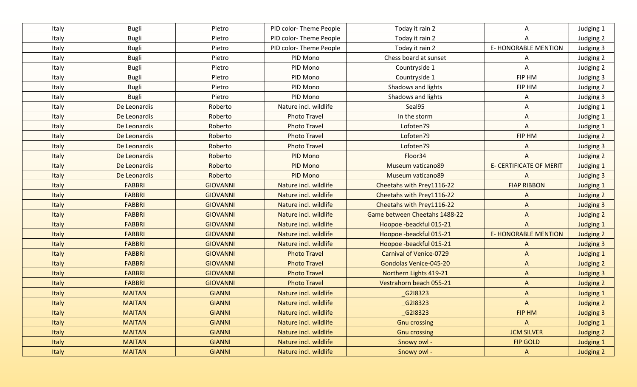| Italy        | <b>Bugli</b>  | Pietro          | PID color-Theme People | Today it rain 2                | A                              | Judging 1        |
|--------------|---------------|-----------------|------------------------|--------------------------------|--------------------------------|------------------|
| Italy        | <b>Bugli</b>  | Pietro          | PID color-Theme People | Today it rain 2                | A                              | Judging 2        |
| Italy        | <b>Bugli</b>  | Pietro          | PID color-Theme People | Today it rain 2                | <b>E-HONORABLE MENTION</b>     | Judging 3        |
| Italy        | <b>Bugli</b>  | Pietro          | PID Mono               | Chess board at sunset          | A                              | Judging 2        |
| Italy        | <b>Bugli</b>  | Pietro          | PID Mono               | Countryside 1                  | A                              | Judging 2        |
| Italy        | <b>Bugli</b>  | Pietro          | PID Mono               | Countryside 1                  | FIP HM                         | Judging 3        |
| Italy        | <b>Bugli</b>  | Pietro          | PID Mono               | Shadows and lights             | FIP HM                         | Judging 2        |
| Italy        | <b>Bugli</b>  | Pietro          | PID Mono               | Shadows and lights             | A                              | Judging 3        |
| Italy        | De Leonardis  | Roberto         | Nature incl. wildlife  | Seal95                         | A                              | Judging 1        |
| Italy        | De Leonardis  | Roberto         | <b>Photo Travel</b>    | In the storm                   | A                              | Judging 1        |
| Italy        | De Leonardis  | Roberto         | <b>Photo Travel</b>    | Lofoten79                      | A                              | Judging 1        |
| Italy        | De Leonardis  | Roberto         | <b>Photo Travel</b>    | Lofoten79                      | FIP HM                         | Judging 2        |
| Italy        | De Leonardis  | Roberto         | <b>Photo Travel</b>    | Lofoten79                      | A                              | Judging 3        |
| Italy        | De Leonardis  | Roberto         | PID Mono               | Floor34                        | A                              | Judging 2        |
| Italy        | De Leonardis  | Roberto         | <b>PID Mono</b>        | Museum vaticano89              | <b>E- CERTIFICATE OF MERIT</b> | Judging 1        |
| Italy        | De Leonardis  | Roberto         | PID Mono               | Museum vaticano89              | $\mathsf{A}$                   | <b>Judging 3</b> |
| Italy        | <b>FABBRI</b> | <b>GIOVANNI</b> | Nature incl. wildlife  | Cheetahs with Prey1116-22      | <b>FIAP RIBBON</b>             | Judging 1        |
| Italy        | <b>FABBRI</b> | <b>GIOVANNI</b> | Nature incl. wildlife  | Cheetahs with Prey1116-22      | $\mathsf{A}$                   | Judging 2        |
| Italy        | <b>FABBRI</b> | <b>GIOVANNI</b> | Nature incl. wildlife  | Cheetahs with Prey1116-22      | $\Lambda$                      | <b>Judging 3</b> |
| Italy        | <b>FABBRI</b> | <b>GIOVANNI</b> | Nature incl. wildlife  | Game between Cheetahs 1488-22  | $\overline{A}$                 | Judging 2        |
| Italy        | <b>FABBRI</b> | <b>GIOVANNI</b> | Nature incl. wildlife  | Hoopoe -beackful 015-21        | $\overline{A}$                 | <b>Judging 1</b> |
| Italy        | <b>FABBRI</b> | <b>GIOVANNI</b> | Nature incl. wildlife  | Hoopoe -beackful 015-21        | <b>E-HONORABLE MENTION</b>     | Judging 2        |
| Italy        | <b>FABBRI</b> | <b>GIOVANNI</b> | Nature incl. wildlife  | Hoopoe -beackful 015-21        | $\mathsf{A}$                   | <b>Judging 3</b> |
| Italy        | <b>FABBRI</b> | <b>GIOVANNI</b> | <b>Photo Travel</b>    | <b>Carnival of Venice-0729</b> | $\mathsf{A}$                   | <b>Judging 1</b> |
| Italy        | <b>FABBRI</b> | <b>GIOVANNI</b> | <b>Photo Travel</b>    | Gondolas Venice-045-20         | $\Lambda$                      | <b>Judging 2</b> |
| Italy        | <b>FABBRI</b> | <b>GIOVANNI</b> | <b>Photo Travel</b>    | Northern Lights 419-21         | $\Lambda$                      | <b>Judging 3</b> |
| Italy        | <b>FABBRI</b> | <b>GIOVANNI</b> | <b>Photo Travel</b>    | Vestrahorn beach 055-21        | $\Lambda$                      | <b>Judging 2</b> |
| Italy        | <b>MAITAN</b> | <b>GIANNI</b>   | Nature incl. wildlife  | G218323                        | $\Lambda$                      | <b>Judging 1</b> |
| <b>Italy</b> | <b>MAITAN</b> | <b>GIANNI</b>   | Nature incl. wildlife  | G2I8323                        | $\Lambda$                      | Judging 2        |
| Italy        | <b>MAITAN</b> | <b>GIANNI</b>   | Nature incl. wildlife  | G218323                        | FIP HM                         | <b>Judging 3</b> |
| Italy        | <b>MAITAN</b> | <b>GIANNI</b>   | Nature incl. wildlife  | <b>Gnu crossing</b>            | A                              | <b>Judging 1</b> |
| Italy        | <b>MAITAN</b> | <b>GIANNI</b>   | Nature incl. wildlife  | <b>Gnu crossing</b>            | <b>JCM SILVER</b>              | Judging 2        |
| Italy        | <b>MAITAN</b> | <b>GIANNI</b>   | Nature incl. wildlife  | Snowy owl -                    | <b>FIP GOLD</b>                | <b>Judging 1</b> |
| Italy        | <b>MAITAN</b> | <b>GIANNI</b>   | Nature incl. wildlife  | Snowy owl -                    | $\mathsf{A}$                   | Judging 2        |
|              |               |                 |                        |                                |                                |                  |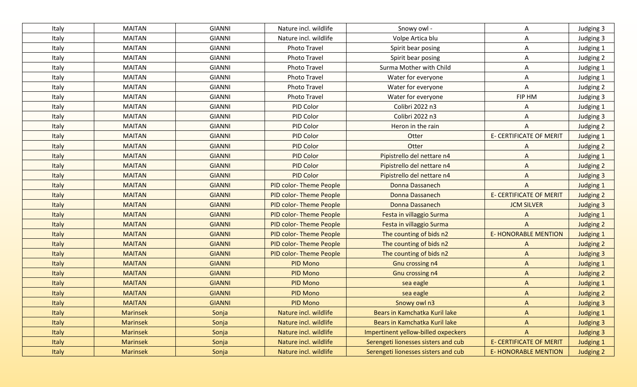| Italy        | <b>MAITAN</b>   | <b>GIANNI</b> | Nature incl. wildlife         | Snowy owl -                         | A                              | Judging 3        |
|--------------|-----------------|---------------|-------------------------------|-------------------------------------|--------------------------------|------------------|
| Italy        | <b>MAITAN</b>   | <b>GIANNI</b> | Nature incl. wildlife         | Volpe Artica blu                    | Α                              | Judging 3        |
| Italy        | <b>MAITAN</b>   | <b>GIANNI</b> | Photo Travel                  | Spirit bear posing                  | A                              | Judging 1        |
| Italy        | <b>MAITAN</b>   | <b>GIANNI</b> | <b>Photo Travel</b>           | Spirit bear posing                  | Α                              | Judging 2        |
| Italy        | <b>MAITAN</b>   | <b>GIANNI</b> | Photo Travel                  | Surma Mother with Child             | A                              | Judging 1        |
| Italy        | <b>MAITAN</b>   | <b>GIANNI</b> | Photo Travel                  | Water for everyone                  | A                              | Judging 1        |
| Italy        | MAITAN          | <b>GIANNI</b> | <b>Photo Travel</b>           | Water for everyone                  | A                              | Judging 2        |
| Italy        | <b>MAITAN</b>   | <b>GIANNI</b> | Photo Travel                  | Water for everyone                  | FIP HM                         | Judging 3        |
| Italy        | <b>MAITAN</b>   | <b>GIANNI</b> | PID Color                     | Colibri 2022 n3                     | A                              | Judging 1        |
| Italy        | <b>MAITAN</b>   | <b>GIANNI</b> | PID Color                     | Colibri 2022 n3                     | A                              | Judging 3        |
| Italy        | <b>MAITAN</b>   | <b>GIANNI</b> | PID Color                     | Heron in the rain                   | A                              | Judging 2        |
| Italy        | <b>MAITAN</b>   | <b>GIANNI</b> | PID Color                     | Otter                               | <b>E- CERTIFICATE OF MERIT</b> | Judging 1        |
| Italy        | <b>MAITAN</b>   | <b>GIANNI</b> | PID Color                     | Otter                               | A                              | Judging 2        |
| <b>Italy</b> | <b>MAITAN</b>   | <b>GIANNI</b> | <b>PID Color</b>              | Pipistrello del nettare n4          | $\mathsf{A}$                   | Judging 1        |
| Italy        | <b>MAITAN</b>   | <b>GIANNI</b> | <b>PID Color</b>              | Pipistrello del nettare n4          | $\Lambda$                      | Judging 2        |
| <b>Italy</b> | <b>MAITAN</b>   | <b>GIANNI</b> | <b>PID Color</b>              | Pipistrello del nettare n4          | A                              | <b>Judging 3</b> |
| <b>Italy</b> | <b>MAITAN</b>   | <b>GIANNI</b> | PID color-Theme People        | Donna Dassanech                     | $\mathsf{A}$                   | <b>Judging 1</b> |
| <b>Italy</b> | <b>MAITAN</b>   | <b>GIANNI</b> | PID color-Theme People        | Donna Dassanech                     | <b>E- CERTIFICATE OF MERIT</b> | Judging 2        |
| <b>Italy</b> | <b>MAITAN</b>   | <b>GIANNI</b> | PID color-Theme People        | Donna Dassanech                     | <b>JCM SILVER</b>              | <b>Judging 3</b> |
| <b>Italy</b> | <b>MAITAN</b>   | <b>GIANNI</b> | <b>PID color-Theme People</b> | Festa in villaggio Surma            | A                              | Judging 1        |
| <b>Italy</b> | <b>MAITAN</b>   | <b>GIANNI</b> | PID color-Theme People        | Festa in villaggio Surma            | A                              | Judging 2        |
| <b>Italy</b> | <b>MAITAN</b>   | <b>GIANNI</b> | <b>PID color-Theme People</b> | The counting of bids n2             | <b>E- HONORABLE MENTION</b>    | <b>Judging 1</b> |
| <b>Italy</b> | <b>MAITAN</b>   | <b>GIANNI</b> | <b>PID color-Theme People</b> | The counting of bids n2             | $\Lambda$                      | <b>Judging 2</b> |
| <b>Italy</b> | <b>MAITAN</b>   | <b>GIANNI</b> | <b>PID color-Theme People</b> | The counting of bids n2             | $\Lambda$                      | <b>Judging 3</b> |
| <b>Italy</b> | <b>MAITAN</b>   | <b>GIANNI</b> | <b>PID Mono</b>               | Gnu crossing n4                     | $\mathsf{A}$                   | <b>Judging 1</b> |
| <b>Italy</b> | <b>MAITAN</b>   | <b>GIANNI</b> | <b>PID Mono</b>               | Gnu crossing n4                     | $\Lambda$                      | <b>Judging 2</b> |
| <b>Italy</b> | <b>MAITAN</b>   | <b>GIANNI</b> | <b>PID Mono</b>               | sea eagle                           | $\mathsf{A}$                   | <b>Judging 1</b> |
| <b>Italy</b> | <b>MAITAN</b>   | <b>GIANNI</b> | <b>PID Mono</b>               | sea eagle                           | $\Lambda$                      | <b>Judging 2</b> |
| <b>Italy</b> | <b>MAITAN</b>   | <b>GIANNI</b> | <b>PID Mono</b>               | Snowy owl n3                        | $\Lambda$                      | <b>Judging 3</b> |
| <b>Italy</b> | <b>Marinsek</b> | Sonja         | Nature incl. wildlife         | Bears in Kamchatka Kuril lake       | $\Lambda$                      | Judging 1        |
| <b>Italy</b> | Marinsek        | Sonja         | Nature incl. wildlife         | Bears in Kamchatka Kuril lake       | $\mathsf{A}$                   | <b>Judging 3</b> |
| <b>Italy</b> | Marinsek        | Sonja         | Nature incl. wildlife         | Impertinent yellow-billed oxpeckers | $\Lambda$                      | <b>Judging 3</b> |
| <b>Italy</b> | <b>Marinsek</b> | Sonja         | Nature incl. wildlife         | Serengeti lionesses sisters and cub | <b>E- CERTIFICATE OF MERIT</b> | <b>Judging 1</b> |
| Italy        | Marinsek        | Sonja         | Nature incl. wildlife         | Serengeti lionesses sisters and cub | <b>E- HONORABLE MENTION</b>    | Judging 2        |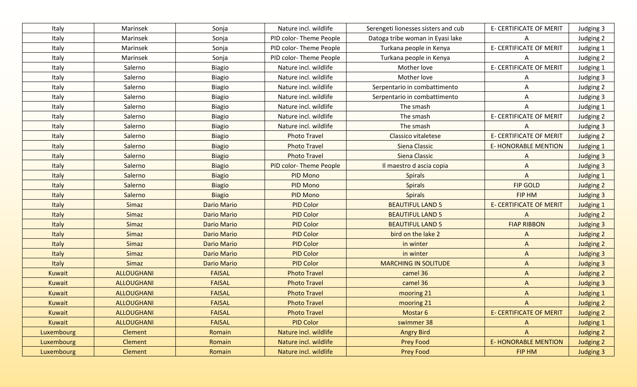| Italy         | Marinsek          | Sonja              | Nature incl. wildlife  | Serengeti lionesses sisters and cub | <b>E- CERTIFICATE OF MERIT</b> | Judging 3        |
|---------------|-------------------|--------------------|------------------------|-------------------------------------|--------------------------------|------------------|
| Italy         | Marinsek          | Sonja              | PID color-Theme People | Datoga tribe woman in Eyasi lake    | A                              | Judging 2        |
| Italy         | Marinsek          | Sonja              | PID color-Theme People | Turkana people in Kenya             | <b>E- CERTIFICATE OF MERIT</b> | Judging 1        |
| Italy         | Marinsek          | Sonja              | PID color-Theme People | Turkana people in Kenya             | A                              | Judging 2        |
| Italy         | Salerno           | <b>Biagio</b>      | Nature incl. wildlife  | Mother love                         | <b>E- CERTIFICATE OF MERIT</b> | Judging 1        |
| Italy         | Salerno           | <b>Biagio</b>      | Nature incl. wildlife  | Mother love                         | A                              | Judging 3        |
| Italy         | Salerno           | <b>Biagio</b>      | Nature incl. wildlife  | Serpentario in combattimento        | A                              | Judging 2        |
| Italy         | Salerno           | <b>Biagio</b>      | Nature incl. wildlife  | Serpentario in combattimento        | Α                              | Judging 3        |
| Italy         | Salerno           | <b>Biagio</b>      | Nature incl. wildlife  | The smash                           | A                              | Judging 1        |
| Italy         | Salerno           | <b>Biagio</b>      | Nature incl. wildlife  | The smash                           | E- CERTIFICATE OF MERIT        | Judging 2        |
| Italy         | Salerno           | <b>Biagio</b>      | Nature incl. wildlife  | The smash                           | A                              | Judging 3        |
| Italy         | Salerno           | <b>Biagio</b>      | <b>Photo Travel</b>    | <b>Classico vitaletese</b>          | <b>E- CERTIFICATE OF MERIT</b> | Judging 2        |
| Italy         | Salerno           | <b>Biagio</b>      | <b>Photo Travel</b>    | Siena Classic                       | <b>E-HONORABLE MENTION</b>     | Judging 1        |
| Italy         | Salerno           | <b>Biagio</b>      | <b>Photo Travel</b>    | Siena Classic                       | A                              | Judging 3        |
| Italy         | Salerno           | <b>Biagio</b>      | PID color-Theme People | Il maestro d ascia copia            | $\mathsf{A}$                   | <b>Judging 3</b> |
| Italy         | Salerno           | <b>Biagio</b>      | PID Mono               | <b>Spirals</b>                      | $\mathsf{A}$                   | Judging 1        |
| Italy         | Salerno           | <b>Biagio</b>      | PID Mono               | <b>Spirals</b>                      | <b>FIP GOLD</b>                | Judging 2        |
| Italy         | Salerno           | <b>Biagio</b>      | PID Mono               | <b>Spirals</b>                      | <b>FIP HM</b>                  | Judging 3        |
| Italy         | Simaz             | <b>Dario Mario</b> | <b>PID Color</b>       | <b>BEAUTIFUL LAND 5</b>             | <b>E- CERTIFICATE OF MERIT</b> | <b>Judging 1</b> |
| Italy         | Simaz             | <b>Dario Mario</b> | <b>PID Color</b>       | <b>BEAUTIFUL LAND 5</b>             | $\mathsf{A}$                   | Judging 2        |
| Italy         | Simaz             | <b>Dario Mario</b> | <b>PID Color</b>       | <b>BEAUTIFUL LAND 5</b>             | <b>FIAP RIBBON</b>             | <b>Judging 3</b> |
| Italy         | Simaz             | <b>Dario Mario</b> | <b>PID Color</b>       | bird on the lake 2                  | $\Lambda$                      | <b>Judging 2</b> |
| Italy         | Simaz             | <b>Dario Mario</b> | <b>PID Color</b>       | in winter                           | $\Lambda$                      | <b>Judging 2</b> |
| Italy         | <b>Simaz</b>      | <b>Dario Mario</b> | <b>PID Color</b>       | in winter                           | $\Lambda$                      | <b>Judging 3</b> |
| Italy         | Simaz             | <b>Dario Mario</b> | <b>PID Color</b>       | <b>MARCHING IN SOLITUDE</b>         | $\mathsf{A}$                   | <b>Judging 3</b> |
| <b>Kuwait</b> | <b>ALLOUGHANI</b> | <b>FAISAL</b>      | <b>Photo Travel</b>    | camel 36                            | $\Lambda$                      | <b>Judging 2</b> |
| Kuwait        | <b>ALLOUGHANI</b> | <b>FAISAL</b>      | <b>Photo Travel</b>    | camel 36                            | $\Lambda$                      | <b>Judging 3</b> |
| Kuwait        | <b>ALLOUGHANI</b> | <b>FAISAL</b>      | <b>Photo Travel</b>    | mooring 21                          | $\mathsf{A}$                   | <b>Judging 1</b> |
| <b>Kuwait</b> | <b>ALLOUGHANI</b> | <b>FAISAL</b>      | <b>Photo Travel</b>    | mooring 21                          | A                              | <b>Judging 2</b> |
| Kuwait        | <b>ALLOUGHANI</b> | <b>FAISAL</b>      | <b>Photo Travel</b>    | Mostar 6                            | <b>E- CERTIFICATE OF MERIT</b> | Judging 2        |
| Kuwait        | <b>ALLOUGHANI</b> | <b>FAISAL</b>      | <b>PID Color</b>       | swimmer 38                          | A                              | <b>Judging 1</b> |
| Luxembourg    | Clement           | Romain             | Nature incl. wildlife  | <b>Angry Bird</b>                   | $\mathsf{A}$                   | Judging 2        |
| Luxembourg    | Clement           | Romain             | Nature incl. wildlife  | <b>Prey Food</b>                    | <b>E- HONORABLE MENTION</b>    | Judging 2        |
| Luxembourg    | Clement           | Romain             | Nature incl. wildlife  | <b>Prey Food</b>                    | FIP HM                         | Judging 3        |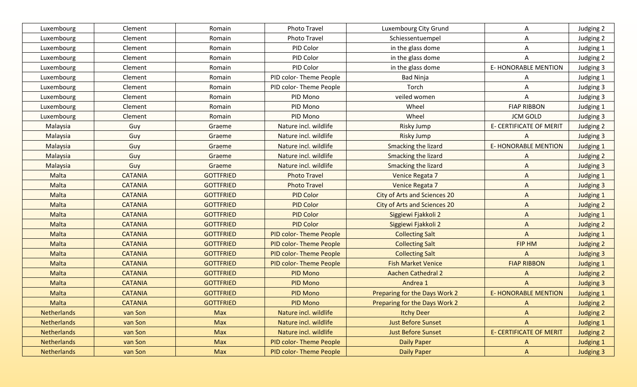| Luxembourg         | Clement        | Romain           | Photo Travel                  | Luxembourg City Grund               | A                              | Judging 2        |
|--------------------|----------------|------------------|-------------------------------|-------------------------------------|--------------------------------|------------------|
| Luxembourg         | Clement        | Romain           | <b>Photo Travel</b>           | Schiessentuempel                    | A                              | Judging 2        |
| Luxembourg         | Clement        | Romain           | PID Color                     | in the glass dome                   | A                              | Judging 1        |
| Luxembourg         | Clement        | Romain           | PID Color                     | in the glass dome                   | A                              | Judging 2        |
| Luxembourg         | Clement        | Romain           | PID Color                     | in the glass dome                   | <b>E- HONORABLE MENTION</b>    | Judging 3        |
| Luxembourg         | Clement        | Romain           | PID color-Theme People        | <b>Bad Ninja</b>                    | A                              | Judging 1        |
| Luxembourg         | Clement        | Romain           | PID color-Theme People        | Torch                               | A                              | Judging 3        |
| Luxembourg         | Clement        | Romain           | PID Mono                      | veiled women                        | A                              | Judging 3        |
| Luxembourg         | Clement        | Romain           | <b>PID Mono</b>               | Wheel                               | <b>FIAP RIBBON</b>             | Judging 1        |
| Luxembourg         | Clement        | Romain           | PID Mono                      | Wheel                               | <b>JCM GOLD</b>                | Judging 3        |
| Malaysia           | Guy            | Graeme           | Nature incl. wildlife         | <b>Risky Jump</b>                   | E- CERTIFICATE OF MERIT        | Judging 2        |
| Malaysia           | Guy            | Graeme           | Nature incl. wildlife         | <b>Risky Jump</b>                   | A                              | Judging 3        |
| Malaysia           | Guy            | Graeme           | Nature incl. wildlife         | Smacking the lizard                 | <b>E-HONORABLE MENTION</b>     | Judging 1        |
| Malaysia           | Guy            | Graeme           | Nature incl. wildlife         | Smacking the lizard                 | A                              | Judging 2        |
| Malaysia           | Guy            | Graeme           | Nature incl. wildlife         | Smacking the lizard                 | $\bigwedge$                    | Judging 3        |
| Malta              | <b>CATANIA</b> | <b>GOTTFRIED</b> | <b>Photo Travel</b>           | Venice Regata 7                     | $\mathsf{A}$                   | Judging 1        |
| Malta              | <b>CATANIA</b> | <b>GOTTFRIED</b> | <b>Photo Travel</b>           | Venice Regata 7                     | $\Lambda$                      | Judging 3        |
| Malta              | <b>CATANIA</b> | <b>GOTTFRIED</b> | <b>PID Color</b>              | <b>City of Arts and Sciences 20</b> | $\overline{A}$                 | Judging 1        |
| Malta              | <b>CATANIA</b> | <b>GOTTFRIED</b> | <b>PID Color</b>              | <b>City of Arts and Sciences 20</b> | $\Lambda$                      | Judging 2        |
| Malta              | <b>CATANIA</b> | <b>GOTTFRIED</b> | <b>PID Color</b>              | Siggiewi Fjakkoli 2                 | $\overline{A}$                 | Judging 1        |
| Malta              | <b>CATANIA</b> | <b>GOTTFRIED</b> | <b>PID Color</b>              | Siggiewi Fjakkoli 2                 | $\Lambda$                      | Judging 2        |
| Malta              | <b>CATANIA</b> | <b>GOTTFRIED</b> | <b>PID color-Theme People</b> | <b>Collecting Salt</b>              | $\Lambda$                      | <b>Judging 1</b> |
| Malta              | <b>CATANIA</b> | <b>GOTTFRIED</b> | <b>PID color-Theme People</b> | <b>Collecting Salt</b>              | FIP HM                         | Judging 2        |
| Malta              | <b>CATANIA</b> | <b>GOTTFRIED</b> | <b>PID color-Theme People</b> | <b>Collecting Salt</b>              | $\Lambda$                      | <b>Judging 3</b> |
| Malta              | <b>CATANIA</b> | <b>GOTTFRIED</b> | <b>PID color-Theme People</b> | <b>Fish Market Venice</b>           | <b>FIAP RIBBON</b>             | <b>Judging 1</b> |
| Malta              | <b>CATANIA</b> | <b>GOTTFRIED</b> | <b>PID Mono</b>               | <b>Aachen Cathedral 2</b>           | A                              | <b>Judging 2</b> |
| Malta              | <b>CATANIA</b> | <b>GOTTFRIED</b> | <b>PID Mono</b>               | Andrea 1                            | $\Lambda$                      | <b>Judging 3</b> |
| <b>Malta</b>       | <b>CATANIA</b> | <b>GOTTFRIED</b> | <b>PID Mono</b>               | Preparing for the Days Work 2       | <b>E-HONORABLE MENTION</b>     | <b>Judging 1</b> |
| Malta              | <b>CATANIA</b> | <b>GOTTFRIED</b> | <b>PID Mono</b>               | Preparing for the Days Work 2       | A                              | Judging 2        |
| <b>Netherlands</b> | van Son        | <b>Max</b>       | Nature incl. wildlife         | <b>Itchy Deer</b>                   | $\mathsf{A}$                   | Judging 2        |
| <b>Netherlands</b> | van Son        | Max              | Nature incl. wildlife         | <b>Just Before Sunset</b>           | $\mathsf{A}$                   | Judging 1        |
| <b>Netherlands</b> | van Son        | <b>Max</b>       | Nature incl. wildlife         | <b>Just Before Sunset</b>           | <b>E- CERTIFICATE OF MERIT</b> | Judging 2        |
| Netherlands        | van Son        | Max              | PID color-Theme People        | <b>Daily Paper</b>                  | $\mathsf{A}$                   | Judging 1        |
| Netherlands        | van Son        | <b>Max</b>       | PID color-Theme People        | <b>Daily Paper</b>                  | $\mathsf{A}$                   | Judging 3        |
|                    |                |                  |                               |                                     |                                |                  |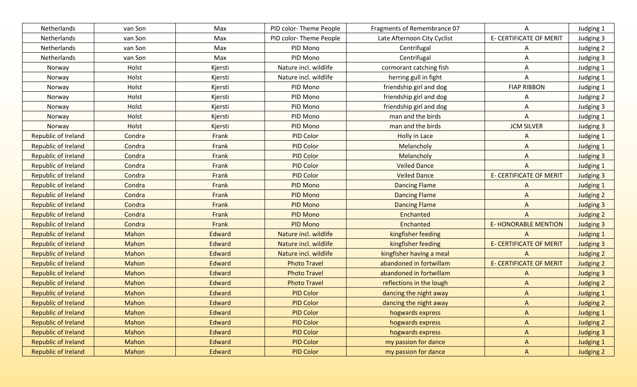| Netherlands                | van Son | Max           | PID color-Theme People | Fragments of Remembrance 07 | A                              | Judging 1        |
|----------------------------|---------|---------------|------------------------|-----------------------------|--------------------------------|------------------|
| Netherlands                | van Son | Max           | PID color-Theme People | Late Afternoon City Cyclist | <b>E- CERTIFICATE OF MERIT</b> | Judging 3        |
| Netherlands                | van Son | Max           | PID Mono               | Centrifugal                 | A                              | Judging 2        |
| Netherlands                | van Son | Max           | PID Mono               | Centrifugal                 | A                              | Judging 3        |
| Norway                     | Holst   | Kjersti       | Nature incl. wildlife  | cormorant catching fish     | A                              | Judging 1        |
| Norway                     | Holst   | Kjersti       | Nature incl. wildlife  | herring gull in fight       | A                              | Judging 1        |
| Norway                     | Holst   | Kjersti       | PID Mono               | friendship girl and dog     | <b>FIAP RIBBON</b>             | Judging 1        |
| Norway                     | Holst   | Kjersti       | PID Mono               | friendship girl and dog     | A                              | Judging 2        |
| Norway                     | Holst   | Kjersti       | PID Mono               | friendship girl and dog     | A                              | Judging 3        |
| Norway                     | Holst   | Kjersti       | PID Mono               | man and the birds           | A                              | Judging 1        |
| Norway                     | Holst   | Kjersti       | PID Mono               | man and the birds           | <b>JCM SILVER</b>              | Judging 3        |
| Republic of Ireland        | Condra  | Frank         | PID Color              | Holly in Lace               | A                              | Judging 1        |
| Republic of Ireland        | Condra  | Frank         | PID Color              | Melancholy                  | A                              | Judging 1        |
| Republic of Ireland        | Condra  | Frank         | <b>PID Color</b>       | Melancholy                  | A                              | Judging 3        |
| <b>Republic of Ireland</b> | Condra  | Frank         | <b>PID Color</b>       | <b>Veiled Dance</b>         | A                              | <b>Judging 1</b> |
| <b>Republic of Ireland</b> | Condra  | Frank         | <b>PID Color</b>       | <b>Veiled Dance</b>         | <b>E- CERTIFICATE OF MERIT</b> | Judging 3        |
| <b>Republic of Ireland</b> | Condra  | Frank         | PID Mono               | <b>Dancing Flame</b>        | A                              | <b>Judging 1</b> |
| <b>Republic of Ireland</b> | Condra  | Frank         | <b>PID Mono</b>        | <b>Dancing Flame</b>        | $\Lambda$                      | <b>Judging 2</b> |
| <b>Republic of Ireland</b> | Condra  | Frank         | <b>PID Mono</b>        | <b>Dancing Flame</b>        | $\Lambda$                      | <b>Judging 3</b> |
| <b>Republic of Ireland</b> | Condra  | Frank         | <b>PID Mono</b>        | Enchanted                   | $\mathsf{A}$                   | Judging 2        |
| <b>Republic of Ireland</b> | Condra  | Frank         | <b>PID Mono</b>        | Enchanted                   | <b>E- HONORABLE MENTION</b>    | <b>Judging 3</b> |
| <b>Republic of Ireland</b> | Mahon   | Edward        | Nature incl. wildlife  | kingfisher feeding          | $\overline{A}$                 | <b>Judging 1</b> |
| <b>Republic of Ireland</b> | Mahon   | Edward        | Nature incl. wildlife  | kingfisher feeding          | <b>E- CERTIFICATE OF MERIT</b> | <b>Judging 3</b> |
| <b>Republic of Ireland</b> | Mahon   | Edward        | Nature incl. wildlife  | kingfisher having a meal    | A                              | <b>Judging 2</b> |
| <b>Republic of Ireland</b> | Mahon   | Edward        | <b>Photo Travel</b>    | abandoned in fortwillam     | <b>E- CERTIFICATE OF MERIT</b> | <b>Judging 2</b> |
| <b>Republic of Ireland</b> | Mahon   | Edward        | <b>Photo Travel</b>    | abandoned in fortwillam     | A                              | <b>Judging 3</b> |
| <b>Republic of Ireland</b> | Mahon   | Edward        | <b>Photo Travel</b>    | reflections in the lough    | $\mathsf{A}$                   | <b>Judging 2</b> |
| <b>Republic of Ireland</b> | Mahon   | <b>Edward</b> | <b>PID Color</b>       | dancing the night away      | $\Lambda$                      | <b>Judging 1</b> |
| <b>Republic of Ireland</b> | Mahon   | Edward        | <b>PID Color</b>       | dancing the night away      | $\Lambda$                      | <b>Judging 2</b> |
| <b>Republic of Ireland</b> | Mahon   | Edward        | <b>PID Color</b>       | hogwards express            | $\mathsf{A}$                   | <b>Judging 1</b> |
| Republic of Ireland        | Mahon   | Edward        | <b>PID Color</b>       | hogwards express            | $\mathsf{A}$                   | Judging 2        |
| Republic of Ireland        | Mahon   | Edward        | <b>PID Color</b>       | hogwards express            | $\mathsf{A}$                   | Judging 3        |
| <b>Republic of Ireland</b> | Mahon   | Edward        | <b>PID Color</b>       | my passion for dance        | A                              | <b>Judging 1</b> |
| <b>Republic of Ireland</b> | Mahon   | Edward        | <b>PID Color</b>       | my passion for dance        | $\mathsf{A}$                   | Judging 2        |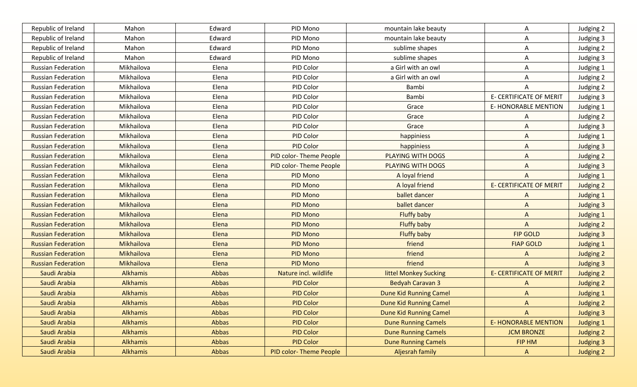| Republic of Ireland       | Mahon           | Edward | PID Mono               | mountain lake beauty          | Α                              | Judging 2        |
|---------------------------|-----------------|--------|------------------------|-------------------------------|--------------------------------|------------------|
| Republic of Ireland       | Mahon           | Edward | PID Mono               | mountain lake beauty          | Α                              | Judging 3        |
| Republic of Ireland       | Mahon           | Edward | PID Mono               | sublime shapes                | A                              | Judging 2        |
| Republic of Ireland       | Mahon           | Edward | PID Mono               | sublime shapes                | Α                              | Judging 3        |
| <b>Russian Federation</b> | Mikhailova      | Elena  | PID Color              | a Girl with an owl            | A                              | Judging 1        |
| <b>Russian Federation</b> | Mikhailova      | Elena  | PID Color              | a Girl with an owl            | Α                              | Judging 2        |
| <b>Russian Federation</b> | Mikhailova      | Elena  | PID Color              | Bambi                         | A                              | Judging 2        |
| <b>Russian Federation</b> | Mikhailova      | Elena  | PID Color              | Bambi                         | <b>E- CERTIFICATE OF MERIT</b> | Judging 3        |
| <b>Russian Federation</b> | Mikhailova      | Elena  | PID Color              | Grace                         | <b>E- HONORABLE MENTION</b>    | Judging 1        |
| <b>Russian Federation</b> | Mikhailova      | Elena  | PID Color              | Grace                         | A                              | Judging 2        |
| <b>Russian Federation</b> | Mikhailova      | Elena  | PID Color              | Grace                         | A                              | Judging 3        |
| <b>Russian Federation</b> | Mikhailova      | Elena  | PID Color              | happiniess                    | A                              | <b>Judging 1</b> |
| <b>Russian Federation</b> | Mikhailova      | Elena  | PID Color              | happiniess                    | A                              | Judging 3        |
| <b>Russian Federation</b> | Mikhailova      | Elena  | PID color-Theme People | PLAYING WITH DOGS             | A                              | Judging 2        |
| <b>Russian Federation</b> | Mikhailova      | Elena  | PID color-Theme People | <b>PLAYING WITH DOGS</b>      | A                              | Judging 3        |
| <b>Russian Federation</b> | Mikhailova      | Elena  | <b>PID Mono</b>        | A loyal friend                | $\overline{A}$                 | <b>Judging 1</b> |
| <b>Russian Federation</b> | Mikhailova      | Elena  | PID Mono               | A loyal friend                | <b>E- CERTIFICATE OF MERIT</b> | Judging 2        |
| <b>Russian Federation</b> | Mikhailova      | Elena  | <b>PID Mono</b>        | ballet dancer                 | $\Lambda$                      | <b>Judging 1</b> |
| <b>Russian Federation</b> | Mikhailova      | Elena  | <b>PID Mono</b>        | ballet dancer                 | $\mathsf{A}$                   | <b>Judging 3</b> |
| <b>Russian Federation</b> | Mikhailova      | Elena  | <b>PID Mono</b>        | <b>Fluffy baby</b>            | $\mathsf{A}$                   | Judging 1        |
| <b>Russian Federation</b> | Mikhailova      | Elena  | <b>PID Mono</b>        | <b>Fluffy baby</b>            | $\mathsf{A}$                   | Judging 2        |
| <b>Russian Federation</b> | Mikhailova      | Elena  | <b>PID Mono</b>        | <b>Fluffy baby</b>            | <b>FIP GOLD</b>                | <b>Judging 3</b> |
| <b>Russian Federation</b> | Mikhailova      | Elena  | <b>PID Mono</b>        | friend                        | <b>FIAP GOLD</b>               | <b>Judging 1</b> |
| <b>Russian Federation</b> | Mikhailova      | Elena  | <b>PID Mono</b>        | friend                        | A                              | Judging 2        |
| <b>Russian Federation</b> | Mikhailova      | Elena  | <b>PID Mono</b>        | friend                        | $\overline{A}$                 | <b>Judging 3</b> |
| Saudi Arabia              | Alkhamis        | Abbas  | Nature incl. wildlife  | littel Monkey Sucking         | <b>E- CERTIFICATE OF MERIT</b> | Judging 2        |
| Saudi Arabia              | Alkhamis        | Abbas  | <b>PID Color</b>       | <b>Bedyah Caravan 3</b>       | $\Lambda$                      | Judging 2        |
| Saudi Arabia              | <b>Alkhamis</b> | Abbas  | <b>PID Color</b>       | <b>Dune Kid Running Camel</b> | $\Lambda$                      | <b>Judging 1</b> |
| Saudi Arabia              | <b>Alkhamis</b> | Abbas  | <b>PID Color</b>       | <b>Dune Kid Running Camel</b> | $\Lambda$                      | <b>Judging 2</b> |
| Saudi Arabia              | Alkhamis        | Abbas  | <b>PID Color</b>       | <b>Dune Kid Running Camel</b> | $\mathsf{A}$                   | <b>Judging 3</b> |
| Saudi Arabia              | Alkhamis        | Abbas  | <b>PID Color</b>       | <b>Dune Running Camels</b>    | <b>E- HONORABLE MENTION</b>    | <b>Judging 1</b> |
| Saudi Arabia              | Alkhamis        | Abbas  | <b>PID Color</b>       | <b>Dune Running Camels</b>    | <b>JCM BRONZE</b>              | Judging 2        |
| Saudi Arabia              | Alkhamis        | Abbas  | <b>PID Color</b>       | <b>Dune Running Camels</b>    | FIP HM                         | <b>Judging 3</b> |
| Saudi Arabia              | Alkhamis        | Abbas  | PID color-Theme People | Aljesrah family               | $\mathsf{A}$                   | <b>Judging 2</b> |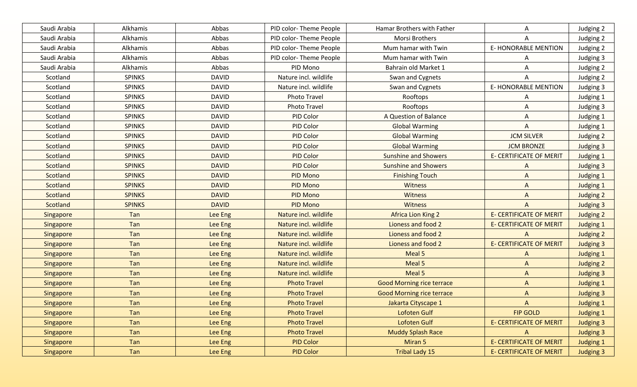| Saudi Arabia | Alkhamis      | Abbas        | PID color-Theme People | Hamar Brothers with Father       | A                              | Judging 2        |
|--------------|---------------|--------------|------------------------|----------------------------------|--------------------------------|------------------|
| Saudi Arabia | Alkhamis      | Abbas        | PID color-Theme People | Morsi Brothers                   | A                              | Judging 2        |
| Saudi Arabia | Alkhamis      | Abbas        | PID color-Theme People | Mum hamar with Twin              | <b>E-HONORABLE MENTION</b>     | Judging 2        |
| Saudi Arabia | Alkhamis      | Abbas        | PID color-Theme People | Mum hamar with Twin              | A                              | Judging 3        |
| Saudi Arabia | Alkhamis      | Abbas        | PID Mono               | Bahrain old Market 1             | Α                              | Judging 2        |
| Scotland     | <b>SPINKS</b> | <b>DAVID</b> | Nature incl. wildlife  | Swan and Cygnets                 | A                              | Judging 2        |
| Scotland     | <b>SPINKS</b> | <b>DAVID</b> | Nature incl. wildlife  | Swan and Cygnets                 | <b>E- HONORABLE MENTION</b>    | Judging 3        |
| Scotland     | <b>SPINKS</b> | <b>DAVID</b> | Photo Travel           | Rooftops                         | Α                              | Judging 1        |
| Scotland     | <b>SPINKS</b> | <b>DAVID</b> | Photo Travel           | Rooftops                         | Α                              | Judging 3        |
| Scotland     | <b>SPINKS</b> | <b>DAVID</b> | PID Color              | A Question of Balance            | Α                              | Judging 1        |
| Scotland     | <b>SPINKS</b> | <b>DAVID</b> | PID Color              | <b>Global Warming</b>            | A                              | Judging 1        |
| Scotland     | <b>SPINKS</b> | <b>DAVID</b> | PID Color              | <b>Global Warming</b>            | <b>JCM SILVER</b>              | Judging 2        |
| Scotland     | <b>SPINKS</b> | <b>DAVID</b> | PID Color              | <b>Global Warming</b>            | <b>JCM BRONZE</b>              | Judging 3        |
| Scotland     | <b>SPINKS</b> | <b>DAVID</b> | <b>PID Color</b>       | <b>Sunshine and Showers</b>      | <b>E- CERTIFICATE OF MERIT</b> | Judging 1        |
| Scotland     | <b>SPINKS</b> | <b>DAVID</b> | <b>PID Color</b>       | <b>Sunshine and Showers</b>      | $\Lambda$                      | <b>Judging 3</b> |
| Scotland     | <b>SPINKS</b> | <b>DAVID</b> | <b>PID Mono</b>        | <b>Finishing Touch</b>           | $\mathsf{A}$                   | Judging 1        |
| Scotland     | <b>SPINKS</b> | <b>DAVID</b> | PID Mono               | Witness                          | $\mathsf{A}$                   | Judging 1        |
| Scotland     | <b>SPINKS</b> | <b>DAVID</b> | PID Mono               | Witness                          | $\mathsf{A}$                   | Judging 2        |
| Scotland     | <b>SPINKS</b> | <b>DAVID</b> | PID Mono               | <b>Witness</b>                   | A                              | <b>Judging 3</b> |
| Singapore    | Tan           | Lee Eng      | Nature incl. wildlife  | <b>Africa Lion King 2</b>        | <b>E- CERTIFICATE OF MERIT</b> | Judging 2        |
| Singapore    | Tan           | Lee Eng      | Nature incl. wildlife  | Lioness and food 2               | <b>E- CERTIFICATE OF MERIT</b> | <b>Judging 1</b> |
| Singapore    | Tan           | Lee Eng      | Nature incl. wildlife  | Lioness and food 2               | $\Lambda$                      | Judging 2        |
| Singapore    | Tan           | Lee Eng      | Nature incl. wildlife  | Lioness and food 2               | <b>E- CERTIFICATE OF MERIT</b> | <b>Judging 3</b> |
| Singapore    | Tan           | Lee Eng      | Nature incl. wildlife  | Meal 5                           | $\Lambda$                      | <b>Judging 1</b> |
| Singapore    | Tan           | Lee Eng      | Nature incl. wildlife  | Meal 5                           | $\Lambda$                      | <b>Judging 2</b> |
| Singapore    | Tan           | Lee Eng      | Nature incl. wildlife  | Meal 5                           | $\Lambda$                      | <b>Judging 3</b> |
| Singapore    | Tan           | Lee Eng      | <b>Photo Travel</b>    | <b>Good Morning rice terrace</b> | $\mathsf{A}$                   | <b>Judging 1</b> |
| Singapore    | Tan           | Lee Eng      | <b>Photo Travel</b>    | <b>Good Morning rice terrace</b> | $\Lambda$                      | <b>Judging 3</b> |
| Singapore    | Tan           | Lee Eng      | <b>Photo Travel</b>    | Jakarta Cityscape 1              | $\Lambda$                      | Judging 1        |
| Singapore    | Tan           | Lee Eng      | <b>Photo Travel</b>    | Lofoten Gulf                     | <b>FIP GOLD</b>                | <b>Judging 1</b> |
| Singapore    | Tan           | Lee Eng      | <b>Photo Travel</b>    | Lofoten Gulf                     | <b>E- CERTIFICATE OF MERIT</b> | <b>Judging 3</b> |
| Singapore    | Tan           | Lee Eng      | <b>Photo Travel</b>    | <b>Muddy Splash Race</b>         | $\mathsf{A}$                   | <b>Judging 3</b> |
| Singapore    | Tan           | Lee Eng      | <b>PID Color</b>       | Miran 5                          | <b>E- CERTIFICATE OF MERIT</b> | <b>Judging 1</b> |
| Singapore    | Tan           | Lee Eng      | <b>PID Color</b>       | <b>Tribal Lady 15</b>            | <b>E- CERTIFICATE OF MERIT</b> | <b>Judging 3</b> |
|              |               |              |                        |                                  |                                |                  |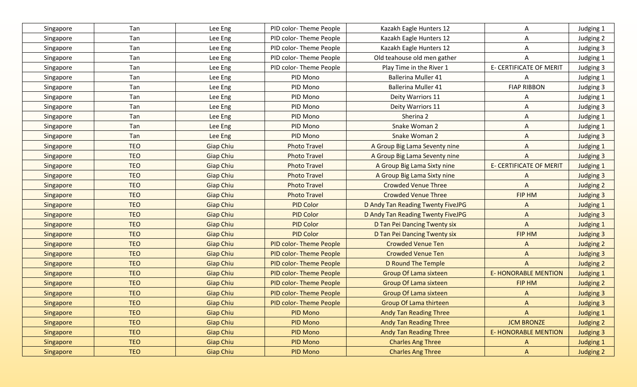| Singapore | Tan        | Lee Eng          | PID color-Theme People         | Kazakh Eagle Hunters 12           | A                              | Judging 1        |
|-----------|------------|------------------|--------------------------------|-----------------------------------|--------------------------------|------------------|
| Singapore | Tan        | Lee Eng          | PID color-Theme People         | Kazakh Eagle Hunters 12           | A                              | Judging 2        |
| Singapore | Tan        | Lee Eng          | PID color-Theme People         | Kazakh Eagle Hunters 12           | A                              | Judging 3        |
| Singapore | Tan        | Lee Eng          | PID color-Theme People         | Old teahouse old men gather       | A                              | Judging 1        |
| Singapore | Tan        | Lee Eng          | PID color-Theme People         | Play Time in the River 1          | <b>E- CERTIFICATE OF MERIT</b> | Judging 3        |
| Singapore | Tan        | Lee Eng          | PID Mono                       | <b>Ballerina Muller 41</b>        | A                              | Judging 1        |
| Singapore | Tan        | Lee Eng          | PID Mono                       | <b>Ballerina Muller 41</b>        | <b>FIAP RIBBON</b>             | Judging 3        |
| Singapore | Tan        | Lee Eng          | PID Mono                       | Deity Warriors 11                 | A                              | Judging 1        |
| Singapore | Tan        | Lee Eng          | PID Mono                       | Deity Warriors 11                 | A                              | Judging 3        |
| Singapore | Tan        | Lee Eng          | PID Mono                       | Sherina 2                         | A                              | Judging 1        |
| Singapore | Tan        | Lee Eng          | PID Mono                       | Snake Woman 2                     | A                              | Judging 1        |
| Singapore | Tan        | Lee Eng          | PID Mono                       | Snake Woman 2                     | A                              | Judging 3        |
| Singapore | <b>TEO</b> | <b>Giap Chiu</b> | <b>Photo Travel</b>            | A Group Big Lama Seventy nine     | $\overline{A}$                 | Judging 1        |
| Singapore | <b>TEO</b> | <b>Giap Chiu</b> | <b>Photo Travel</b>            | A Group Big Lama Seventy nine     | A                              | Judging 3        |
| Singapore | <b>TEO</b> | <b>Giap Chiu</b> | <b>Photo Travel</b>            | A Group Big Lama Sixty nine       | <b>E- CERTIFICATE OF MERIT</b> | Judging 1        |
| Singapore | <b>TEO</b> | <b>Giap Chiu</b> | <b>Photo Travel</b>            | A Group Big Lama Sixty nine       | $\Lambda$                      | Judging 3        |
| Singapore | <b>TEO</b> | <b>Giap Chiu</b> | <b>Photo Travel</b>            | <b>Crowded Venue Three</b>        | $\overline{A}$                 | Judging 2        |
| Singapore | <b>TEO</b> | <b>Giap Chiu</b> | <b>Photo Travel</b>            | <b>Crowded Venue Three</b>        | FIP HM                         | <b>Judging 3</b> |
| Singapore | <b>TEO</b> | <b>Giap Chiu</b> | <b>PID Color</b>               | D Andy Tan Reading Twenty FiveJPG | $\Lambda$                      | Judging 1        |
| Singapore | <b>TEO</b> | <b>Giap Chiu</b> | <b>PID Color</b>               | D Andy Tan Reading Twenty FiveJPG | $\mathsf{A}$                   | <b>Judging 3</b> |
| Singapore | <b>TEO</b> | <b>Giap Chiu</b> | <b>PID Color</b>               | D Tan Pei Dancing Twenty six      | $\mathsf{A}$                   | <b>Judging 1</b> |
| Singapore | <b>TEO</b> | <b>Giap Chiu</b> | <b>PID Color</b>               | D Tan Pei Dancing Twenty six      | FIP HM                         | <b>Judging 3</b> |
| Singapore | <b>TEO</b> | <b>Giap Chiu</b> | <b>PID color-Theme People</b>  | <b>Crowded Venue Ten</b>          | $\mathsf{A}$                   | Judging 2        |
| Singapore | <b>TEO</b> | <b>Giap Chiu</b> | <b>PID color-Theme People</b>  | <b>Crowded Venue Ten</b>          | $\Lambda$                      | <b>Judging 3</b> |
| Singapore | <b>TEO</b> | <b>Giap Chiu</b> | PID color-Theme People         | <b>D Round The Temple</b>         | $\Lambda$                      | Judging 2        |
| Singapore | <b>TEO</b> | <b>Giap Chiu</b> | PID color-Theme People         | <b>Group Of Lama sixteen</b>      | <b>E-HONORABLE MENTION</b>     | <b>Judging 1</b> |
| Singapore | <b>TEO</b> | <b>Giap Chiu</b> | <b>PID color- Theme People</b> | <b>Group Of Lama sixteen</b>      | FIP HM                         | Judging 2        |
| Singapore | <b>TEO</b> | <b>Giap Chiu</b> | PID color-Theme People         | <b>Group Of Lama sixteen</b>      | $\wedge$                       | <b>Judging 3</b> |
| Singapore | <b>TEO</b> | <b>Giap Chiu</b> | PID color-Theme People         | Group Of Lama thirteen            | $\Lambda$                      | <b>Judging 3</b> |
| Singapore | <b>TEO</b> | <b>Giap Chiu</b> | <b>PID Mono</b>                | <b>Andy Tan Reading Three</b>     | $\mathsf{A}$                   | Judging 1        |
| Singapore | <b>TEO</b> | <b>Giap Chiu</b> | <b>PID Mono</b>                | <b>Andy Tan Reading Three</b>     | <b>JCM BRONZE</b>              | Judging 2        |
| Singapore | <b>TEO</b> | <b>Giap Chiu</b> | PID Mono                       | <b>Andy Tan Reading Three</b>     | <b>E- HONORABLE MENTION</b>    | <b>Judging 3</b> |
| Singapore | <b>TEO</b> | <b>Giap Chiu</b> | PID Mono                       | <b>Charles Ang Three</b>          | $\mathsf{A}$                   | Judging 1        |
| Singapore | <b>TEO</b> | <b>Giap Chiu</b> | <b>PID Mono</b>                | <b>Charles Ang Three</b>          | $\mathsf{A}$                   | Judging 2        |
|           |            |                  |                                |                                   |                                |                  |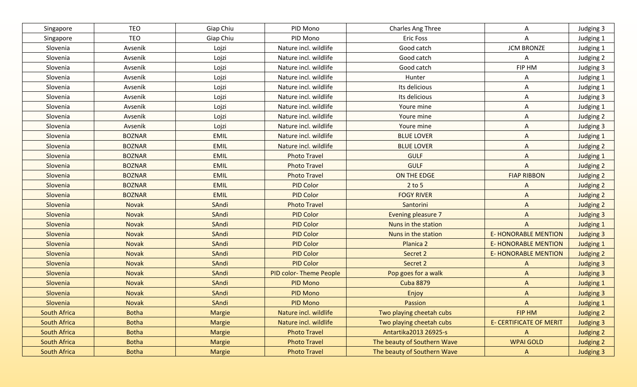| Singapore           | <b>TEO</b>    | Giap Chiu     | PID Mono                      | Charles Ang Three           | A                              | Judging 3        |
|---------------------|---------------|---------------|-------------------------------|-----------------------------|--------------------------------|------------------|
| Singapore           | <b>TEO</b>    | Giap Chiu     | PID Mono                      | <b>Eric Foss</b>            | Α                              | Judging 1        |
| Slovenia            | Avsenik       | Lojzi         | Nature incl. wildlife         | Good catch                  | <b>JCM BRONZE</b>              | Judging 1        |
| Slovenia            | Avsenik       | Lojzi         | Nature incl. wildlife         | Good catch                  | A                              | Judging 2        |
| Slovenia            | Avsenik       | Lojzi         | Nature incl. wildlife         | Good catch                  | FIP HM                         | Judging 3        |
| Slovenia            | Avsenik       | Lojzi         | Nature incl. wildlife         | Hunter                      | A                              | Judging 1        |
| Slovenia            | Avsenik       | Lojzi         | Nature incl. wildlife         | Its delicious               | A                              | Judging 1        |
| Slovenia            | Avsenik       | Lojzi         | Nature incl. wildlife         | Its delicious               | A                              | Judging 3        |
| Slovenia            | Avsenik       | Lojzi         | Nature incl. wildlife         | Youre mine                  | Α                              | Judging 1        |
| Slovenia            | Avsenik       | Lojzi         | Nature incl. wildlife         | Youre mine                  | A                              | Judging 2        |
| Slovenia            | Avsenik       | Lojzi         | Nature incl. wildlife         | Youre mine                  | A                              | Judging 3        |
| Slovenia            | <b>BOZNAR</b> | <b>EMIL</b>   | Nature incl. wildlife         | <b>BLUE LOVER</b>           | A                              | Judging 1        |
| Slovenia            | <b>BOZNAR</b> | <b>EMIL</b>   | Nature incl. wildlife         | <b>BLUE LOVER</b>           | A                              | Judging 2        |
| Slovenia            | <b>BOZNAR</b> | <b>EMIL</b>   | <b>Photo Travel</b>           | <b>GULF</b>                 | A                              | Judging 1        |
| Slovenia            | <b>BOZNAR</b> | <b>EMIL</b>   | <b>Photo Travel</b>           | <b>GULF</b>                 | $\overline{A}$                 | Judging 2        |
| Slovenia            | <b>BOZNAR</b> | <b>EMIL</b>   | <b>Photo Travel</b>           | ON THE EDGE                 | <b>FIAP RIBBON</b>             | Judging 2        |
| Slovenia            | <b>BOZNAR</b> | <b>EMIL</b>   | <b>PID Color</b>              | $2$ to 5                    | $\mathsf{A}$                   | Judging 2        |
| Slovenia            | <b>BOZNAR</b> | <b>EMIL</b>   | <b>PID Color</b>              | <b>FOGY RIVER</b>           | $\mathsf{A}$                   | <b>Judging 2</b> |
| Slovenia            | Novak         | SAndi         | <b>Photo Travel</b>           | Santorini                   | $\mathsf{A}$                   | Judging 2        |
| Slovenia            | <b>Novak</b>  | SAndi         | <b>PID Color</b>              | <b>Evening pleasure 7</b>   | $\overline{A}$                 | Judging 3        |
| Slovenia            | Novak         | SAndi         | <b>PID Color</b>              | Nuns in the station         | $\mathsf{A}$                   | <b>Judging 1</b> |
| Slovenia            | <b>Novak</b>  | SAndi         | <b>PID Color</b>              | Nuns in the station         | <b>E- HONORABLE MENTION</b>    | <b>Judging 3</b> |
| Slovenia            | <b>Novak</b>  | SAndi         | <b>PID Color</b>              | Planica <sub>2</sub>        | <b>E- HONORABLE MENTION</b>    | <b>Judging 1</b> |
| Slovenia            | <b>Novak</b>  | SAndi         | <b>PID Color</b>              | Secret 2                    | <b>E- HONORABLE MENTION</b>    | <b>Judging 2</b> |
| Slovenia            | <b>Novak</b>  | SAndi         | <b>PID Color</b>              | Secret 2                    | $\Lambda$                      | <b>Judging 3</b> |
| Slovenia            | <b>Novak</b>  | SAndi         | <b>PID color-Theme People</b> | Pop goes for a walk         | $\Lambda$                      | <b>Judging 3</b> |
| Slovenia            | <b>Novak</b>  | SAndi         | <b>PID Mono</b>               | <b>Cuba 8879</b>            | $\mathsf{A}$                   | <b>Judging 1</b> |
| Slovenia            | <b>Novak</b>  | SAndi         | <b>PID Mono</b>               | Enjoy                       | $\Lambda$                      | <b>Judging 3</b> |
| Slovenia            | <b>Novak</b>  | SAndi         | <b>PID Mono</b>               | Passion                     | $\Lambda$                      | Judging 1        |
| <b>South Africa</b> | <b>Botha</b>  | <b>Margie</b> | Nature incl. wildlife         | Two playing cheetah cubs    | FIP HM                         | Judging 2        |
| <b>South Africa</b> | <b>Botha</b>  | Margie        | Nature incl. wildlife         | Two playing cheetah cubs    | <b>E- CERTIFICATE OF MERIT</b> | <b>Judging 3</b> |
| <b>South Africa</b> | <b>Botha</b>  | <b>Margie</b> | <b>Photo Travel</b>           | Antartika2013 26925-s       | $\mathsf{A}$                   | Judging 2        |
| <b>South Africa</b> | <b>Botha</b>  | <b>Margie</b> | <b>Photo Travel</b>           | The beauty of Southern Wave | <b>WPAI GOLD</b>               | Judging 2        |
| South Africa        | <b>Botha</b>  | Margie        | <b>Photo Travel</b>           | The beauty of Southern Wave | $\mathsf{A}$                   | Judging 3        |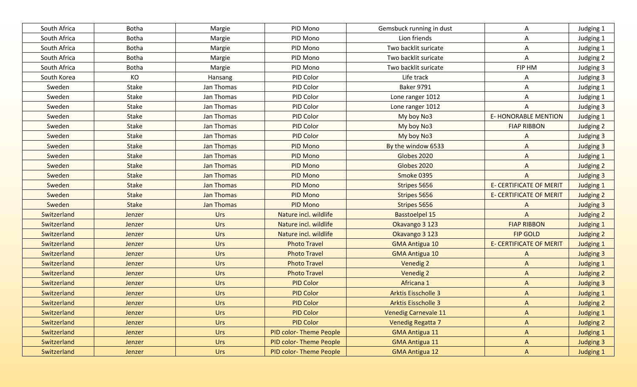| South Africa | Botha        | Margie            | PID Mono               | Gemsbuck running in dust    | Α                              | Judging 1        |
|--------------|--------------|-------------------|------------------------|-----------------------------|--------------------------------|------------------|
| South Africa | Botha        | Margie            | PID Mono               | Lion friends                | Α                              | Judging 1        |
| South Africa | Botha        | Margie            | PID Mono               | Two backlit suricate        | Α                              | Judging 1        |
| South Africa | Botha        | Margie            | PID Mono               | Two backlit suricate        | A                              | Judging 2        |
| South Africa | <b>Botha</b> | Margie            | PID Mono               | Two backlit suricate        | FIP HM                         | Judging 3        |
| South Korea  | KO           | Hansang           | PID Color              | Life track                  | Α                              | Judging 3        |
| Sweden       | Stake        | Jan Thomas        | PID Color              | <b>Baker 9791</b>           | Α                              | Judging 1        |
| Sweden       | Stake        | Jan Thomas        | PID Color              | Lone ranger 1012            | Α                              | Judging 1        |
| Sweden       | Stake        | Jan Thomas        | PID Color              | Lone ranger 1012            | A                              | Judging 3        |
| Sweden       | Stake        | Jan Thomas        | PID Color              | My boy No3                  | <b>E- HONORABLE MENTION</b>    | Judging 1        |
| Sweden       | Stake        | Jan Thomas        | PID Color              | My boy No3                  | <b>FIAP RIBBON</b>             | Judging 2        |
| Sweden       | <b>Stake</b> | Jan Thomas        | PID Color              | My boy No3                  | A                              | Judging 3        |
| Sweden       | <b>Stake</b> | Jan Thomas        | PID Mono               | By the window 6533          | A                              | Judging 3        |
| Sweden       | <b>Stake</b> | Jan Thomas        | PID Mono               | Globes 2020                 | A                              | Judging 1        |
| Sweden       | <b>Stake</b> | Jan Thomas        | PID Mono               | Globes 2020                 | $\Lambda$                      | Judging 2        |
| Sweden       | <b>Stake</b> | <b>Jan Thomas</b> | PID Mono               | Smoke 0395                  | $\mathsf{A}$                   | <b>Judging 3</b> |
| Sweden       | <b>Stake</b> | Jan Thomas        | PID Mono               | Stripes 5656                | <b>E- CERTIFICATE OF MERIT</b> | Judging 1        |
| Sweden       | <b>Stake</b> | <b>Jan Thomas</b> | PID Mono               | Stripes 5656                | <b>E- CERTIFICATE OF MERIT</b> | Judging 2        |
| Sweden       | <b>Stake</b> | <b>Jan Thomas</b> | PID Mono               | Stripes 5656                | $\Lambda$                      | <b>Judging 3</b> |
| Switzerland  | Jenzer       | Urs               | Nature incl. wildlife  | <b>Basstoelpel 15</b>       | $\mathsf{A}$                   | Judging 2        |
| Switzerland  | Jenzer       | <b>Urs</b>        | Nature incl. wildlife  | Okavango 3 123              | <b>FIAP RIBBON</b>             | <b>Judging 1</b> |
| Switzerland  | Jenzer       | <b>Urs</b>        | Nature incl. wildlife  | Okavango 3 123              | <b>FIP GOLD</b>                | Judging 2        |
| Switzerland  | Jenzer       | Urs               | <b>Photo Travel</b>    | <b>GMA Antigua 10</b>       | <b>E- CERTIFICATE OF MERIT</b> | <b>Judging 1</b> |
| Switzerland  | Jenzer       | <b>Urs</b>        | <b>Photo Travel</b>    | <b>GMA Antigua 10</b>       | $\Lambda$                      | <b>Judging 3</b> |
| Switzerland  | Jenzer       | Urs               | <b>Photo Travel</b>    | <b>Venedig 2</b>            | $\mathsf{A}$                   | <b>Judging 1</b> |
| Switzerland  | Jenzer       | <b>Urs</b>        | <b>Photo Travel</b>    | Venedig 2                   | $\Lambda$                      | <b>Judging 2</b> |
| Switzerland  | Jenzer       | <b>Urs</b>        | <b>PID Color</b>       | Africana 1                  | $\mathsf{A}$                   | <b>Judging 3</b> |
| Switzerland  | Jenzer       | Urs               | <b>PID Color</b>       | <b>Arktis Eisscholle 3</b>  | $\Lambda$                      | <b>Judging 1</b> |
| Switzerland  | Jenzer       | Urs               | <b>PID Color</b>       | <b>Arktis Eisscholle 3</b>  | $\Lambda$                      | <b>Judging 2</b> |
| Switzerland  | Jenzer       | Urs               | <b>PID Color</b>       | <b>Venedig Carnevale 11</b> | $\mathsf{A}$                   | <b>Judging 1</b> |
| Switzerland  | Jenzer       | Urs               | <b>PID Color</b>       | <b>Venedig Regatta 7</b>    | $\mathsf{A}$                   | Judging 2        |
| Switzerland  | Jenzer       | Urs               | PID color-Theme People | <b>GMA Antigua 11</b>       | A                              | Judging 1        |
| Switzerland  | Jenzer       | <b>Urs</b>        | PID color-Theme People | <b>GMA Antigua 11</b>       | A                              | <b>Judging 3</b> |
| Switzerland  | Jenzer       | Urs               | PID color-Theme People | <b>GMA Antigua 12</b>       | $\mathsf{A}$                   | <b>Judging 1</b> |
|              |              |                   |                        |                             |                                |                  |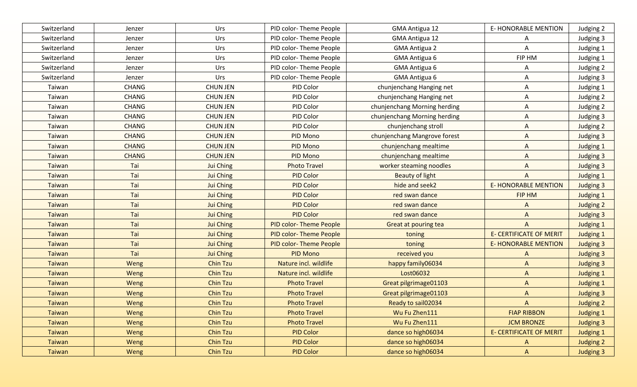| Switzerland   | Jenzer       | Urs              | PID color-Theme People        | <b>GMA Antigua 12</b>        | <b>E-HONORABLE MENTION</b>     | Judging 2        |
|---------------|--------------|------------------|-------------------------------|------------------------------|--------------------------------|------------------|
| Switzerland   | Jenzer       | Urs              | PID color-Theme People        | <b>GMA Antigua 12</b>        | A                              | Judging 3        |
| Switzerland   | Jenzer       | Urs              | PID color-Theme People        | <b>GMA Antigua 2</b>         | Α                              | Judging 1        |
| Switzerland   | Jenzer       | Urs              | PID color-Theme People        | GMA Antigua 6                | FIP HM                         | Judging 1        |
| Switzerland   | Jenzer       | Urs              | PID color-Theme People        | <b>GMA Antigua 6</b>         | A                              | Judging 2        |
| Switzerland   | Jenzer       | Urs              | PID color-Theme People        | GMA Antigua 6                | A                              | Judging 3        |
| Taiwan        | <b>CHANG</b> | <b>CHUN JEN</b>  | PID Color                     | chunjenchang Hanging net     | Α                              | Judging 1        |
| Taiwan        | <b>CHANG</b> | <b>CHUN JEN</b>  | PID Color                     | chunjenchang Hanging net     | A                              | Judging 2        |
| Taiwan        | <b>CHANG</b> | <b>CHUN JEN</b>  | PID Color                     | chunjenchang Morning herding | Α                              | Judging 2        |
| Taiwan        | <b>CHANG</b> | <b>CHUN JEN</b>  | PID Color                     | chunjenchang Morning herding | A                              | Judging 3        |
| Taiwan        | <b>CHANG</b> | <b>CHUN JEN</b>  | PID Color                     | chunjenchang stroll          | A                              | Judging 2        |
| Taiwan        | <b>CHANG</b> | <b>CHUN JEN</b>  | PID Mono                      | chunjenchang Mangrove forest | A                              | Judging 3        |
| Taiwan        | <b>CHANG</b> | <b>CHUN JEN</b>  | PID Mono                      | chunjenchang mealtime        | A                              | Judging 1        |
| Taiwan        | <b>CHANG</b> | <b>CHUN JEN</b>  | PID Mono                      | chunjenchang mealtime        | A                              | Judging 3        |
| Taiwan        | Tai          | Jui Ching        | <b>Photo Travel</b>           | worker steaming noodles      | $\Lambda$                      | <b>Judging 3</b> |
| Taiwan        | Tai          | Jui Ching        | <b>PID Color</b>              | Beauty of light              | $\mathsf{A}$                   | Judging 1        |
| Taiwan        | Tai          | Jui Ching        | <b>PID Color</b>              | hide and seek2               | <b>E- HONORABLE MENTION</b>    | <b>Judging 3</b> |
| Taiwan        | Tai          | <b>Jui Ching</b> | <b>PID Color</b>              | red swan dance               | FIP HM                         | <b>Judging 1</b> |
| Taiwan        | Tai          | <b>Jui Ching</b> | <b>PID Color</b>              | red swan dance               | A                              | Judging 2        |
| Taiwan        | Tai          | Jui Ching        | <b>PID Color</b>              | red swan dance               | $\Lambda$                      | <b>Judging 3</b> |
| Taiwan        | Tai          | <b>Jui Ching</b> | PID color-Theme People        | Great at pouring tea         | $\mathsf{A}$                   | <b>Judging 1</b> |
| Taiwan        | Tai          | <b>Jui Ching</b> | <b>PID color-Theme People</b> | toning                       | <b>E- CERTIFICATE OF MERIT</b> | <b>Judging 1</b> |
| <b>Taiwan</b> | Tai          | <b>Jui Ching</b> | <b>PID color-Theme People</b> | toning                       | <b>E- HONORABLE MENTION</b>    | <b>Judging 3</b> |
| <b>Taiwan</b> | Tai          | <b>Jui Ching</b> | <b>PID Mono</b>               | received you                 | A                              | <b>Judging 3</b> |
| <b>Taiwan</b> | Weng         | <b>Chin Tzu</b>  | Nature incl. wildlife         | happy family06034            | $\mathsf{A}$                   | <b>Judging 3</b> |
| <b>Taiwan</b> | Weng         | <b>Chin Tzu</b>  | Nature incl. wildlife         | Lost06032                    | $\Lambda$                      | <b>Judging 1</b> |
| <b>Taiwan</b> | Weng         | <b>Chin Tzu</b>  | <b>Photo Travel</b>           | Great pilgrimage01103        | $\Lambda$                      | <b>Judging 1</b> |
| <b>Taiwan</b> | Weng         | <b>Chin Tzu</b>  | <b>Photo Travel</b>           | Great pilgrimage01103        | $\mathsf{A}$                   | <b>Judging 3</b> |
| <b>Taiwan</b> | Weng         | <b>Chin Tzu</b>  | <b>Photo Travel</b>           | Ready to sail02034           | A                              | Judging 2        |
| <b>Taiwan</b> | Weng         | <b>Chin Tzu</b>  | <b>Photo Travel</b>           | Wu Fu Zhen111                | <b>FIAP RIBBON</b>             | Judging 1        |
| <b>Taiwan</b> | Weng         | <b>Chin Tzu</b>  | <b>Photo Travel</b>           | Wu Fu Zhen111                | <b>JCM BRONZE</b>              | <b>Judging 3</b> |
| <b>Taiwan</b> | Weng         | <b>Chin Tzu</b>  | <b>PID Color</b>              | dance so high06034           | <b>E- CERTIFICATE OF MERIT</b> | Judging 1        |
| Taiwan        | Weng         | <b>Chin Tzu</b>  | <b>PID Color</b>              | dance so high06034           | $\mathsf{A}$                   | Judging 2        |
| Taiwan        | Weng         | <b>Chin Tzu</b>  | <b>PID Color</b>              | dance so high06034           | $\mathsf{A}$                   | <b>Judging 3</b> |
|               |              |                  |                               |                              |                                |                  |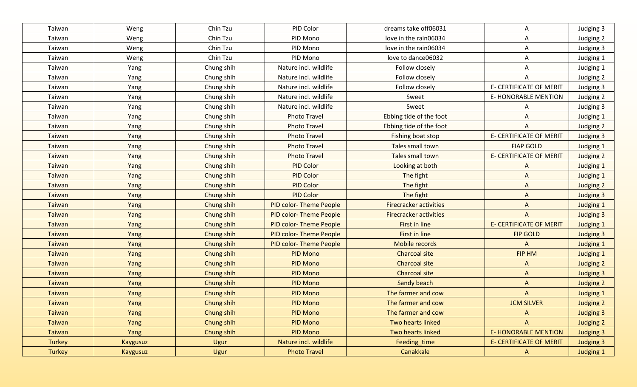| Taiwan        | Weng     | Chin Tzu          | PID Color                     | dreams take off06031          | A                              | Judging 3        |
|---------------|----------|-------------------|-------------------------------|-------------------------------|--------------------------------|------------------|
| Taiwan        | Weng     | Chin Tzu          | PID Mono                      | love in the rain06034         | A                              | Judging 2        |
| Taiwan        | Weng     | Chin Tzu          | PID Mono                      | love in the rain06034         | Α                              | Judging 3        |
| Taiwan        | Weng     | Chin Tzu          | PID Mono                      | love to dance06032            | Α                              | Judging 1        |
| Taiwan        | Yang     | Chung shih        | Nature incl. wildlife         | Follow closely                | A                              | Judging 1        |
| Taiwan        | Yang     | Chung shih        | Nature incl. wildlife         | Follow closely                | A                              | Judging 2        |
| Taiwan        | Yang     | Chung shih        | Nature incl. wildlife         | Follow closely                | E- CERTIFICATE OF MERIT        | Judging 3        |
| Taiwan        | Yang     | Chung shih        | Nature incl. wildlife         | Sweet                         | <b>E-HONORABLE MENTION</b>     | Judging 2        |
| Taiwan        | Yang     | Chung shih        | Nature incl. wildlife         | Sweet                         | A                              | Judging 3        |
| Taiwan        | Yang     | Chung shih        | <b>Photo Travel</b>           | Ebbing tide of the foot       | A                              | Judging 1        |
| Taiwan        | Yang     | Chung shih        | <b>Photo Travel</b>           | Ebbing tide of the foot       | A                              | Judging 2        |
| Taiwan        | Yang     | Chung shih        | <b>Photo Travel</b>           | <b>Fishing boat stop</b>      | <b>E- CERTIFICATE OF MERIT</b> | Judging 3        |
| Taiwan        | Yang     | Chung shih        | <b>Photo Travel</b>           | Tales small town              | <b>FIAP GOLD</b>               | Judging 1        |
| Taiwan        | Yang     | Chung shih        | <b>Photo Travel</b>           | Tales small town              | <b>E- CERTIFICATE OF MERIT</b> | Judging 2        |
| Taiwan        | Yang     | Chung shih        | <b>PID Color</b>              | Looking at both               | A                              | Judging 1        |
| Taiwan        | Yang     | Chung shih        | <b>PID Color</b>              | The fight                     | $\mathsf{A}$                   | <b>Judging 1</b> |
| Taiwan        | Yang     | Chung shih        | <b>PID Color</b>              | The fight                     | $\mathsf{A}$                   | Judging 2        |
| Taiwan        | Yang     | Chung shih        | <b>PID Color</b>              | The fight                     | $\mathsf{A}$                   | <b>Judging 3</b> |
| Taiwan        | Yang     | Chung shih        | <b>PID color-Theme People</b> | <b>Firecracker activities</b> | $\mathsf{A}$                   | <b>Judging 1</b> |
| Taiwan        | Yang     | Chung shih        | <b>PID color-Theme People</b> | <b>Firecracker activities</b> | $\mathsf{A}$                   | <b>Judging 3</b> |
| Taiwan        | Yang     | Chung shih        | <b>PID color-Theme People</b> | First in line                 | <b>E- CERTIFICATE OF MERIT</b> | <b>Judging 1</b> |
| <b>Taiwan</b> | Yang     | Chung shih        | <b>PID color-Theme People</b> | First in line                 | <b>FIP GOLD</b>                | <b>Judging 3</b> |
| Taiwan        | Yang     | Chung shih        | PID color-Theme People        | Mobile records                | A                              | <b>Judging 1</b> |
| <b>Taiwan</b> | Yang     | Chung shih        | <b>PID Mono</b>               | <b>Charcoal site</b>          | <b>FIP HM</b>                  | <b>Judging 1</b> |
| <b>Taiwan</b> | Yang     | <b>Chung shih</b> | <b>PID Mono</b>               | <b>Charcoal site</b>          | $\Lambda$                      | Judging 2        |
| <b>Taiwan</b> | Yang     | Chung shih        | <b>PID Mono</b>               | Charcoal site                 | $\Lambda$                      | <b>Judging 3</b> |
| <b>Taiwan</b> | Yang     | Chung shih        | <b>PID Mono</b>               | Sandy beach                   | $\mathsf{A}$                   | Judging 2        |
| <b>Taiwan</b> | Yang     | Chung shih        | <b>PID Mono</b>               | The farmer and cow            | $\mathsf{A}$                   | <b>Judging 1</b> |
| <b>Taiwan</b> | Yang     | Chung shih        | <b>PID Mono</b>               | The farmer and cow            | <b>JCM SILVER</b>              | <b>Judging 2</b> |
| <b>Taiwan</b> | Yang     | Chung shih        | <b>PID Mono</b>               | The farmer and cow            | $\mathsf{A}$                   | <b>Judging 3</b> |
| <b>Taiwan</b> | Yang     | Chung shih        | <b>PID Mono</b>               | Two hearts linked             | $\mathsf{A}$                   | Judging 2        |
| <b>Taiwan</b> | Yang     | Chung shih        | <b>PID Mono</b>               | Two hearts linked             | <b>E- HONORABLE MENTION</b>    | <b>Judging 3</b> |
| <b>Turkey</b> | Kaygusuz | Ugur              | Nature incl. wildlife         | Feeding_time                  | <b>E- CERTIFICATE OF MERIT</b> | <b>Judging 3</b> |
| <b>Turkey</b> | Kaygusuz | Ugur              | <b>Photo Travel</b>           | Canakkale                     | $\mathsf{A}$                   | <b>Judging 1</b> |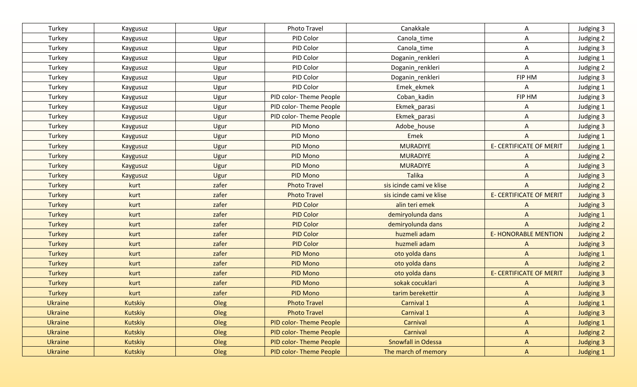| Turkey         | Kaygusuz        | Ugur  | Photo Travel           | Canakkale                 | Α                              | Judging 3        |
|----------------|-----------------|-------|------------------------|---------------------------|--------------------------------|------------------|
| Turkey         | Kaygusuz        | Ugur  | PID Color              | Canola_time               | A                              | Judging 2        |
| Turkey         | Kaygusuz        | Ugur  | PID Color              | Canola_time               | A                              | Judging 3        |
| Turkey         | Kaygusuz        | Ugur  | PID Color              | Doganin_renkleri          | Α                              | Judging 1        |
| Turkey         | Kaygusuz        | Ugur  | PID Color              | Doganin_renkleri          | Α                              | Judging 2        |
| Turkey         | Kaygusuz        | Ugur  | PID Color              | Doganin_renkleri          | FIP HM                         | Judging 3        |
| Turkey         | Kaygusuz        | Ugur  | PID Color              | Emek_ekmek                | A                              | Judging 1        |
| Turkey         | Kaygusuz        | Ugur  | PID color-Theme People | Coban kadin               | FIP HM                         | Judging 3        |
| Turkey         | Kaygusuz        | Ugur  | PID color-Theme People | Ekmek_parasi              | Α                              | Judging 1        |
| Turkey         | Kaygusuz        | Ugur  | PID color-Theme People | Ekmek_parasi              | A                              | Judging 3        |
| Turkey         | Kaygusuz        | Ugur  | PID Mono               | Adobe_house               | A                              | Judging 3        |
| Turkey         | <b>Kaygusuz</b> | Ugur  | PID Mono               | Emek                      | A                              | Judging 1        |
| Turkey         | <b>Kaygusuz</b> | Ugur  | PID Mono               | <b>MURADIYE</b>           | <b>E- CERTIFICATE OF MERIT</b> | Judging 1        |
| Turkey         | Kaygusuz        | Ugur  | PID Mono               | <b>MURADIYE</b>           | A                              | Judging 2        |
| Turkey         | Kaygusuz        | Ugur  | PID Mono               | <b>MURADIYE</b>           | $\mathsf{A}$                   | <b>Judging 3</b> |
| Turkey         | <b>Kaygusuz</b> | Ugur  | PID Mono               | <b>Talika</b>             | $\mathsf{A}$                   | <b>Judging 3</b> |
| <b>Turkey</b>  | kurt            | zafer | <b>Photo Travel</b>    | sis icinde cami ve klise  | $\mathsf{A}$                   | Judging 2        |
| <b>Turkey</b>  | kurt            | zafer | <b>Photo Travel</b>    | sis icinde cami ve klise  | <b>E- CERTIFICATE OF MERIT</b> | <b>Judging 3</b> |
| <b>Turkey</b>  | kurt            | zafer | <b>PID Color</b>       | alin teri emek            | A                              | <b>Judging 3</b> |
| <b>Turkey</b>  | kurt            | zafer | <b>PID Color</b>       | demiryolunda dans         | $\mathsf{A}$                   | Judging 1        |
| <b>Turkey</b>  | kurt            | zafer | <b>PID Color</b>       | demiryolunda dans         | $\mathsf{A}$                   | <b>Judging 2</b> |
| <b>Turkey</b>  | kurt            | zafer | <b>PID Color</b>       | huzmeli adam              | <b>E- HONORABLE MENTION</b>    | Judging 2        |
| <b>Turkey</b>  | kurt            | zafer | <b>PID Color</b>       | huzmeli adam              | $\mathsf{A}$                   | <b>Judging 3</b> |
| <b>Turkey</b>  | kurt            | zafer | <b>PID Mono</b>        | oto yolda dans            | $\Lambda$                      | <b>Judging 1</b> |
| <b>Turkey</b>  | kurt            | zafer | <b>PID Mono</b>        | oto yolda dans            | $\overline{A}$                 | <b>Judging 2</b> |
| <b>Turkey</b>  | kurt            | zafer | <b>PID Mono</b>        | oto yolda dans            | <b>E- CERTIFICATE OF MERIT</b> | <b>Judging 3</b> |
| <b>Turkey</b>  | kurt            | zafer | <b>PID Mono</b>        | sokak cocuklari           | $\Lambda$                      | <b>Judging 3</b> |
| <b>Turkey</b>  | kurt            | zafer | <b>PID Mono</b>        | tarim berekettir          | $\overline{A}$                 | <b>Judging 3</b> |
| <b>Ukraine</b> | <b>Kutskiy</b>  | Oleg  | <b>Photo Travel</b>    | Carnival 1                | A                              | <b>Judging 1</b> |
| <b>Ukraine</b> | Kutskiy         | Oleg  | <b>Photo Travel</b>    | Carnival 1                | $\mathsf{A}$                   | <b>Judging 3</b> |
| <b>Ukraine</b> | Kutskiy         | Oleg  | PID color-Theme People | Carnival                  | $\mathsf{A}$                   | <b>Judging 1</b> |
| <b>Ukraine</b> | Kutskiy         | Oleg  | PID color-Theme People | Carnival                  | A                              | Judging 2        |
| <b>Ukraine</b> | Kutskiy         | Oleg  | PID color-Theme People | <b>Snowfall in Odessa</b> | $\mathsf{A}$                   | <b>Judging 3</b> |
| Ukraine        | Kutskiy         | Oleg  | PID color-Theme People | The march of memory       | $\mathsf{A}$                   | Judging 1        |
|                |                 |       |                        |                           |                                |                  |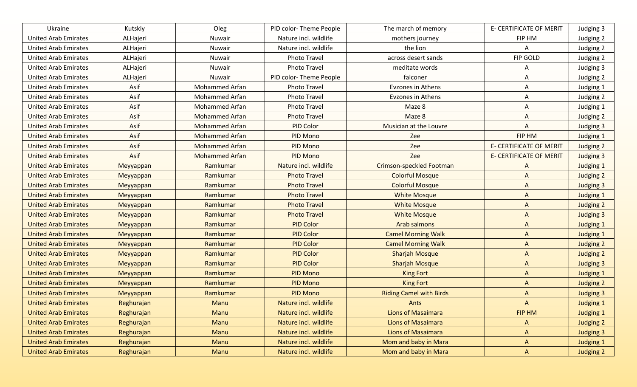| Ukraine                     | Kutskiy    | Oleg                  | PID color-Theme People | The march of memory            | <b>E- CERTIFICATE OF MERIT</b> | Judging 3        |
|-----------------------------|------------|-----------------------|------------------------|--------------------------------|--------------------------------|------------------|
| <b>United Arab Emirates</b> | ALHajeri   | Nuwair                | Nature incl. wildlife  | mothers journey                | FIP HM                         | Judging 2        |
| <b>United Arab Emirates</b> | ALHajeri   | Nuwair                | Nature incl. wildlife  | the lion                       | Α                              | Judging 2        |
| <b>United Arab Emirates</b> | ALHajeri   | Nuwair                | <b>Photo Travel</b>    | across desert sands            | FIP GOLD                       | Judging 2        |
| <b>United Arab Emirates</b> | ALHajeri   | Nuwair                | Photo Travel           | meditate words                 | Α                              | Judging 3        |
| <b>United Arab Emirates</b> | ALHajeri   | Nuwair                | PID color-Theme People | falconer                       | Α                              | Judging 2        |
| <b>United Arab Emirates</b> | Asif       | <b>Mohammed Arfan</b> | <b>Photo Travel</b>    | <b>Evzones in Athens</b>       | A                              | Judging 1        |
| <b>United Arab Emirates</b> | Asif       | Mohammed Arfan        | Photo Travel           | Evzones in Athens              | Α                              | Judging 2        |
| <b>United Arab Emirates</b> | Asif       | Mohammed Arfan        | <b>Photo Travel</b>    | Maze 8                         | A                              | Judging 1        |
| <b>United Arab Emirates</b> | Asif       | <b>Mohammed Arfan</b> | <b>Photo Travel</b>    | Maze 8                         | A                              | Judging 2        |
| <b>United Arab Emirates</b> | Asif       | <b>Mohammed Arfan</b> | PID Color              | Musician at the Louvre         | A                              | Judging 3        |
| <b>United Arab Emirates</b> | Asif       | <b>Mohammed Arfan</b> | PID Mono               | Zee                            | FIP HM                         | Judging 1        |
| <b>United Arab Emirates</b> | Asif       | <b>Mohammed Arfan</b> | PID Mono               | Zee                            | <b>E- CERTIFICATE OF MERIT</b> | Judging 2        |
| <b>United Arab Emirates</b> | Asif       | <b>Mohammed Arfan</b> | PID Mono               | Zee                            | <b>E- CERTIFICATE OF MERIT</b> | Judging 3        |
| <b>United Arab Emirates</b> | Meyyappan  | Ramkumar              | Nature incl. wildlife  | Crimson-speckled Footman       | A                              | <b>Judging 1</b> |
| <b>United Arab Emirates</b> | Meyyappan  | Ramkumar              | <b>Photo Travel</b>    | <b>Colorful Mosque</b>         | $\Lambda$                      | Judging 2        |
| <b>United Arab Emirates</b> | Meyyappan  | Ramkumar              | <b>Photo Travel</b>    | <b>Colorful Mosque</b>         | A                              | <b>Judging 3</b> |
| <b>United Arab Emirates</b> | Meyyappan  | Ramkumar              | <b>Photo Travel</b>    | <b>White Mosque</b>            | $\Lambda$                      | <b>Judging 1</b> |
| <b>United Arab Emirates</b> | Meyyappan  | Ramkumar              | <b>Photo Travel</b>    | <b>White Mosque</b>            | $\mathsf{A}$                   | Judging 2        |
| <b>United Arab Emirates</b> | Meyyappan  | Ramkumar              | <b>Photo Travel</b>    | <b>White Mosque</b>            | $\Lambda$                      | Judging 3        |
| <b>United Arab Emirates</b> | Meyyappan  | Ramkumar              | <b>PID Color</b>       | Arab salmons                   | $\Lambda$                      | <b>Judging 1</b> |
| <b>United Arab Emirates</b> | Meyyappan  | Ramkumar              | <b>PID Color</b>       | <b>Camel Morning Walk</b>      | $\mathsf{A}$                   | <b>Judging 1</b> |
| <b>United Arab Emirates</b> | Meyyappan  | Ramkumar              | <b>PID Color</b>       | <b>Camel Morning Walk</b>      | $\mathsf{A}$                   | Judging 2        |
| <b>United Arab Emirates</b> | Meyyappan  | Ramkumar              | <b>PID Color</b>       | <b>Sharjah Mosque</b>          | $\mathsf{A}$                   | Judging 2        |
| <b>United Arab Emirates</b> | Meyyappan  | Ramkumar              | <b>PID Color</b>       | <b>Sharjah Mosque</b>          | $\Lambda$                      | <b>Judging 3</b> |
| <b>United Arab Emirates</b> | Meyyappan  | Ramkumar              | <b>PID Mono</b>        | <b>King Fort</b>               | $\Lambda$                      | <b>Judging 1</b> |
| <b>United Arab Emirates</b> | Meyyappan  | Ramkumar              | <b>PID Mono</b>        | <b>King Fort</b>               | $\Lambda$                      | <b>Judging 2</b> |
| <b>United Arab Emirates</b> | Meyyappan  | Ramkumar              | <b>PID Mono</b>        | <b>Riding Camel with Birds</b> | $\Lambda$                      | <b>Judging 3</b> |
| <b>United Arab Emirates</b> | Reghurajan | Manu                  | Nature incl. wildlife  | Ants                           | A                              | <b>Judging 1</b> |
| <b>United Arab Emirates</b> | Reghurajan | Manu                  | Nature incl. wildlife  | <b>Lions of Masaimara</b>      | FIP HM                         | <b>Judging 1</b> |
| <b>United Arab Emirates</b> | Reghurajan | Manu                  | Nature incl. wildlife  | <b>Lions of Masaimara</b>      | A                              | Judging 2        |
| <b>United Arab Emirates</b> | Reghurajan | Manu                  | Nature incl. wildlife  | <b>Lions of Masaimara</b>      | $\mathsf{A}$                   | Judging 3        |
| <b>United Arab Emirates</b> | Reghurajan | Manu                  | Nature incl. wildlife  | Mom and baby in Mara           | A                              | <b>Judging 1</b> |
| <b>United Arab Emirates</b> | Reghurajan | Manu                  | Nature incl. wildlife  | Mom and baby in Mara           | A                              | Judging 2        |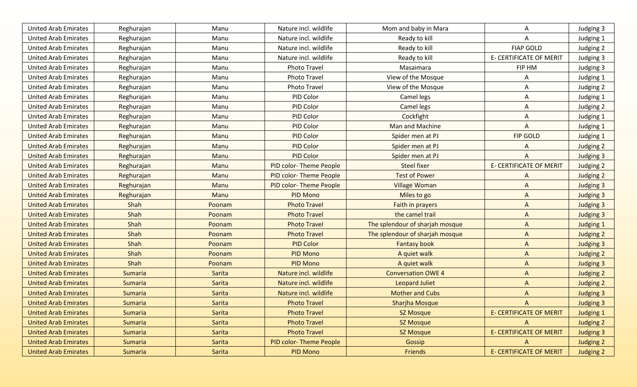| <b>United Arab Emirates</b> | Reghurajan     | Manu   | Nature incl. wildlife  | Mom and baby in Mara            | A                              | Judging 3        |
|-----------------------------|----------------|--------|------------------------|---------------------------------|--------------------------------|------------------|
| <b>United Arab Emirates</b> | Reghurajan     | Manu   | Nature incl. wildlife  | Ready to kill                   | A                              | Judging 1        |
| <b>United Arab Emirates</b> | Reghurajan     | Manu   | Nature incl. wildlife  | Ready to kill                   | <b>FIAP GOLD</b>               | Judging 2        |
| <b>United Arab Emirates</b> | Reghurajan     | Manu   | Nature incl. wildlife  | Ready to kill                   | E- CERTIFICATE OF MERIT        | Judging 3        |
| <b>United Arab Emirates</b> | Reghurajan     | Manu   | Photo Travel           | Masaimara                       | FIP HM                         | Judging 3        |
| <b>United Arab Emirates</b> | Reghurajan     | Manu   | Photo Travel           | View of the Mosque              | A                              | Judging 1        |
| <b>United Arab Emirates</b> | Reghurajan     | Manu   | Photo Travel           | View of the Mosque              | A                              | Judging 2        |
| <b>United Arab Emirates</b> | Reghurajan     | Manu   | PID Color              | Camel legs                      | Α                              | Judging 1        |
| <b>United Arab Emirates</b> | Reghurajan     | Manu   | PID Color              | Camel legs                      | A                              | Judging 2        |
| <b>United Arab Emirates</b> | Reghurajan     | Manu   | PID Color              | Cockfight                       | A                              | Judging 1        |
| <b>United Arab Emirates</b> | Reghurajan     | Manu   | PID Color              | Man and Machine                 | A                              | Judging 1        |
| <b>United Arab Emirates</b> | Reghurajan     | Manu   | PID Color              | Spider men at PJ                | <b>FIP GOLD</b>                | Judging 1        |
| <b>United Arab Emirates</b> | Reghurajan     | Manu   | PID Color              | Spider men at PJ                | A                              | Judging 2        |
| <b>United Arab Emirates</b> | Reghurajan     | Manu   | <b>PID Color</b>       | Spider men at PJ                | A                              | Judging 3        |
| <b>United Arab Emirates</b> | Reghurajan     | Manu   | PID color-Theme People | <b>Steel fixer</b>              | <b>E- CERTIFICATE OF MERIT</b> | Judging 2        |
| <b>United Arab Emirates</b> | Reghurajan     | Manu   | PID color-Theme People | <b>Test of Power</b>            | A                              | Judging 2        |
| <b>United Arab Emirates</b> | Reghurajan     | Manu   | PID color-Theme People | <b>Village Woman</b>            | $\mathsf{A}$                   | <b>Judging 3</b> |
| <b>United Arab Emirates</b> | Reghurajan     | Manu   | PID Mono               | Miles to go                     | $\Lambda$                      | <b>Judging 3</b> |
| <b>United Arab Emirates</b> | Shah           | Poonam | <b>Photo Travel</b>    | Faith in prayers                | $\mathsf{A}$                   | <b>Judging 3</b> |
| <b>United Arab Emirates</b> | Shah           | Poonam | <b>Photo Travel</b>    | the camel trail                 | $\Lambda$                      | Judging 3        |
| <b>United Arab Emirates</b> | Shah           | Poonam | <b>Photo Travel</b>    | The splendour of sharjah mosque | $\Lambda$                      | <b>Judging 1</b> |
| <b>United Arab Emirates</b> | Shah           | Poonam | <b>Photo Travel</b>    | The splendour of sharjah mosque | $\mathsf{A}$                   | Judging 2        |
| <b>United Arab Emirates</b> | Shah           | Poonam | <b>PID Color</b>       | <b>Fantasy book</b>             | $\mathsf{A}$                   | <b>Judging 3</b> |
| <b>United Arab Emirates</b> | Shah           | Poonam | <b>PID Mono</b>        | A quiet walk                    | $\mathsf{A}$                   | Judging 2        |
| <b>United Arab Emirates</b> | Shah           | Poonam | <b>PID Mono</b>        | A quiet walk                    | $\Lambda$                      | <b>Judging 3</b> |
| <b>United Arab Emirates</b> | Sumaria        | Sarita | Nature incl. wildlife  | <b>Conversation OWE 4</b>       | $\Lambda$                      | Judging 2        |
| <b>United Arab Emirates</b> | <b>Sumaria</b> | Sarita | Nature incl. wildlife  | <b>Leopard Juliet</b>           | $\Lambda$                      | <b>Judging 2</b> |
| <b>United Arab Emirates</b> | <b>Sumaria</b> | Sarita | Nature incl. wildlife  | <b>Mother and Cubs</b>          | $\Lambda$                      | <b>Judging 3</b> |
| <b>United Arab Emirates</b> | <b>Sumaria</b> | Sarita | <b>Photo Travel</b>    | <b>Sharjha Mosque</b>           | $\Lambda$                      | <b>Judging 3</b> |
| <b>United Arab Emirates</b> | Sumaria        | Sarita | <b>Photo Travel</b>    | <b>SZ Mosque</b>                | <b>E- CERTIFICATE OF MERIT</b> | <b>Judging 1</b> |
| <b>United Arab Emirates</b> | <b>Sumaria</b> | Sarita | <b>Photo Travel</b>    | SZ Mosque                       | $\mathsf{A}$                   | Judging 2        |
| <b>United Arab Emirates</b> | Sumaria        | Sarita | <b>Photo Travel</b>    | SZ Mosque                       | <b>E- CERTIFICATE OF MERIT</b> | <b>Judging 3</b> |
| <b>United Arab Emirates</b> | Sumaria        | Sarita | PID color-Theme People | Gossip                          | A                              | Judging 2        |
| <b>United Arab Emirates</b> | Sumaria        | Sarita | <b>PID Mono</b>        | Friends                         | <b>E- CERTIFICATE OF MERIT</b> | Judging 2        |
|                             |                |        |                        |                                 |                                |                  |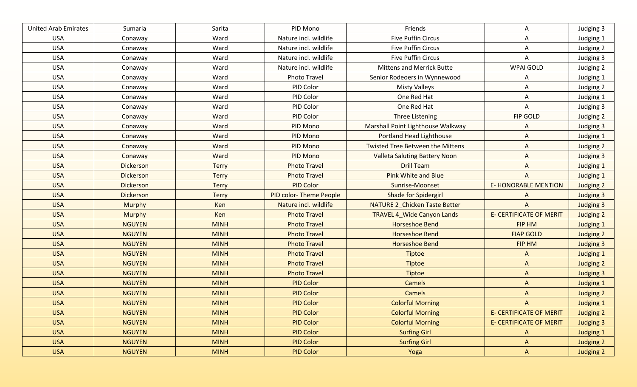| <b>United Arab Emirates</b> | Sumaria          | Sarita       | PID Mono               | Friends                              | Α                              | Judging 3        |
|-----------------------------|------------------|--------------|------------------------|--------------------------------------|--------------------------------|------------------|
| <b>USA</b>                  | Conaway          | Ward         | Nature incl. wildlife  | <b>Five Puffin Circus</b>            | Α                              | Judging 1        |
| <b>USA</b>                  | Conaway          | Ward         | Nature incl. wildlife  | <b>Five Puffin Circus</b>            | Α                              | Judging 2        |
| <b>USA</b>                  | Conaway          | Ward         | Nature incl. wildlife  | <b>Five Puffin Circus</b>            | Α                              | Judging 3        |
| <b>USA</b>                  | Conaway          | Ward         | Nature incl. wildlife  | <b>Mittens and Merrick Butte</b>     | WPAI GOLD                      | Judging 2        |
| <b>USA</b>                  | Conaway          | Ward         | Photo Travel           | Senior Rodeoers in Wynnewood         | Α                              | Judging 1        |
| <b>USA</b>                  | Conaway          | Ward         | PID Color              | <b>Misty Valleys</b>                 | Α                              | Judging 2        |
| <b>USA</b>                  | Conaway          | Ward         | PID Color              | One Red Hat                          | A                              | Judging 1        |
| <b>USA</b>                  | Conaway          | Ward         | PID Color              | One Red Hat                          | A                              | Judging 3        |
| <b>USA</b>                  | Conaway          | Ward         | PID Color              | Three Listening                      | <b>FIP GOLD</b>                | Judging 2        |
| <b>USA</b>                  | Conaway          | Ward         | PID Mono               | Marshall Point Lighthouse Walkway    | A                              | Judging 3        |
| <b>USA</b>                  | Conaway          | Ward         | PID Mono               | Portland Head Lighthouse             | A                              | Judging 1        |
| <b>USA</b>                  | Conaway          | Ward         | PID Mono               | Twisted Tree Between the Mittens     | A                              | Judging 2        |
| <b>USA</b>                  | Conaway          | Ward         | PID Mono               | <b>Valleta Saluting Battery Noon</b> | A                              | Judging 3        |
| <b>USA</b>                  | Dickerson        | <b>Terry</b> | <b>Photo Travel</b>    | <b>Drill Team</b>                    | $\mathsf{A}$                   | <b>Judging 1</b> |
| <b>USA</b>                  | <b>Dickerson</b> | <b>Terry</b> | <b>Photo Travel</b>    | <b>Pink White and Blue</b>           | $\mathsf{A}$                   | <b>Judging 1</b> |
| <b>USA</b>                  | <b>Dickerson</b> | <b>Terry</b> | <b>PID Color</b>       | Sunrise-Moonset                      | <b>E- HONORABLE MENTION</b>    | Judging 2        |
| <b>USA</b>                  | <b>Dickerson</b> | <b>Terry</b> | PID color-Theme People | <b>Shade for Spidergirl</b>          | $\Lambda$                      | Judging 3        |
| <b>USA</b>                  | <b>Murphy</b>    | Ken          | Nature incl. wildlife  | NATURE 2_Chicken Taste Better        | $\overline{A}$                 | <b>Judging 3</b> |
| <b>USA</b>                  | <b>Murphy</b>    | Ken          | <b>Photo Travel</b>    | <b>TRAVEL 4_Wide Canyon Lands</b>    | <b>E- CERTIFICATE OF MERIT</b> | Judging 2        |
| <b>USA</b>                  | <b>NGUYEN</b>    | <b>MINH</b>  | <b>Photo Travel</b>    | Horseshoe Bend                       | FIP HM                         | <b>Judging 1</b> |
| <b>USA</b>                  | <b>NGUYEN</b>    | <b>MINH</b>  | <b>Photo Travel</b>    | <b>Horseshoe Bend</b>                | <b>FIAP GOLD</b>               | Judging 2        |
| <b>USA</b>                  | <b>NGUYEN</b>    | <b>MINH</b>  | <b>Photo Travel</b>    | Horseshoe Bend                       | FIP HM                         | <b>Judging 3</b> |
| <b>USA</b>                  | <b>NGUYEN</b>    | <b>MINH</b>  | <b>Photo Travel</b>    | <b>Tiptoe</b>                        | $\Lambda$                      | <b>Judging 1</b> |
| <b>USA</b>                  | <b>NGUYEN</b>    | <b>MINH</b>  | <b>Photo Travel</b>    | Tiptoe                               | $\mathsf{A}$                   | <b>Judging 2</b> |
| <b>USA</b>                  | <b>NGUYEN</b>    | <b>MINH</b>  | <b>Photo Travel</b>    | <b>Tiptoe</b>                        | $\mathsf{A}$                   | <b>Judging 3</b> |
| <b>USA</b>                  | <b>NGUYEN</b>    | <b>MINH</b>  | <b>PID Color</b>       | <b>Camels</b>                        | $\mathsf{A}$                   | <b>Judging 1</b> |
| <b>USA</b>                  | <b>NGUYEN</b>    | <b>MINH</b>  | <b>PID Color</b>       | Camels                               | $\mathsf{A}$                   | <b>Judging 2</b> |
| <b>USA</b>                  | <b>NGUYEN</b>    | <b>MINH</b>  | <b>PID Color</b>       | <b>Colorful Morning</b>              | $\Lambda$                      | <b>Judging 1</b> |
| <b>USA</b>                  | <b>NGUYEN</b>    | <b>MINH</b>  | <b>PID Color</b>       | <b>Colorful Morning</b>              | <b>E- CERTIFICATE OF MERIT</b> | Judging 2        |
| <b>USA</b>                  | <b>NGUYEN</b>    | <b>MINH</b>  | <b>PID Color</b>       | <b>Colorful Morning</b>              | <b>E- CERTIFICATE OF MERIT</b> | <b>Judging 3</b> |
| <b>USA</b>                  | <b>NGUYEN</b>    | <b>MINH</b>  | <b>PID Color</b>       | <b>Surfing Girl</b>                  | A                              | Judging 1        |
| <b>USA</b>                  | <b>NGUYEN</b>    | <b>MINH</b>  | <b>PID Color</b>       | <b>Surfing Girl</b>                  | $\mathsf{A}$                   | Judging 2        |
| <b>USA</b>                  | <b>NGUYEN</b>    | <b>MINH</b>  | <b>PID Color</b>       | Yoga                                 | $\mathsf{A}$                   | Judging 2        |
|                             |                  |              |                        |                                      |                                |                  |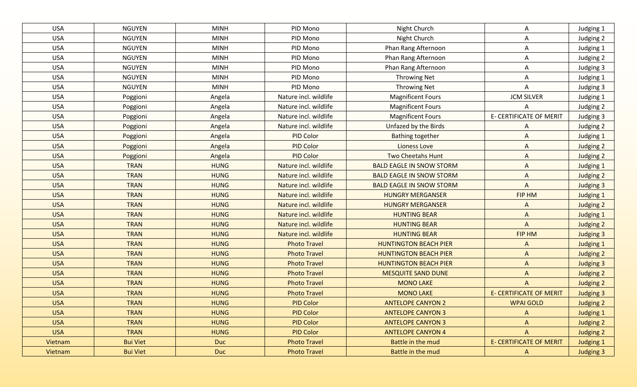| <b>USA</b> | <b>NGUYEN</b>   | <b>MINH</b> | PID Mono              | Night Church                    | Α                              | Judging 1        |
|------------|-----------------|-------------|-----------------------|---------------------------------|--------------------------------|------------------|
| <b>USA</b> | <b>NGUYEN</b>   | <b>MINH</b> | PID Mono              | Night Church                    | Α                              | Judging 2        |
| <b>USA</b> | <b>NGUYEN</b>   | <b>MINH</b> | PID Mono              | Phan Rang Afternoon             | A                              | Judging 1        |
| <b>USA</b> | <b>NGUYEN</b>   | <b>MINH</b> | PID Mono              | Phan Rang Afternoon             | Α                              | Judging 2        |
| <b>USA</b> | <b>NGUYEN</b>   | <b>MINH</b> | PID Mono              | Phan Rang Afternoon             | A                              | Judging 3        |
| <b>USA</b> | <b>NGUYEN</b>   | <b>MINH</b> | PID Mono              | <b>Throwing Net</b>             | A                              | Judging 1        |
| <b>USA</b> | <b>NGUYEN</b>   | <b>MINH</b> | PID Mono              | Throwing Net                    | Α                              | Judging 3        |
| <b>USA</b> | Poggioni        | Angela      | Nature incl. wildlife | <b>Magnificent Fours</b>        | <b>JCM SILVER</b>              | Judging 1        |
| <b>USA</b> | Poggioni        | Angela      | Nature incl. wildlife | <b>Magnificent Fours</b>        | A                              | Judging 2        |
| <b>USA</b> | Poggioni        | Angela      | Nature incl. wildlife | <b>Magnificent Fours</b>        | E- CERTIFICATE OF MERIT        | Judging 3        |
| <b>USA</b> | Poggioni        | Angela      | Nature incl. wildlife | Unfazed by the Birds            | A                              | Judging 2        |
| <b>USA</b> | Poggioni        | Angela      | PID Color             | <b>Bathing together</b>         | A                              | <b>Judging 1</b> |
| <b>USA</b> | Poggioni        | Angela      | <b>PID Color</b>      | <b>Lioness Love</b>             | A                              | Judging 2        |
| <b>USA</b> | Poggioni        | Angela      | PID Color             | <b>Two Cheetahs Hunt</b>        | A                              | Judging 2        |
| <b>USA</b> | <b>TRAN</b>     | <b>HUNG</b> | Nature incl. wildlife | <b>BALD EAGLE IN SNOW STORM</b> | $\boldsymbol{\mathsf{A}}$      | Judging 1        |
| <b>USA</b> | <b>TRAN</b>     | <b>HUNG</b> | Nature incl. wildlife | <b>BALD EAGLE IN SNOW STORM</b> | $\mathsf{A}$                   | Judging 2        |
| <b>USA</b> | <b>TRAN</b>     | <b>HUNG</b> | Nature incl. wildlife | <b>BALD EAGLE IN SNOW STORM</b> | $\mathsf{A}$                   | <b>Judging 3</b> |
| <b>USA</b> | <b>TRAN</b>     | <b>HUNG</b> | Nature incl. wildlife | <b>HUNGRY MERGANSER</b>         | FIP HM                         | Judging 1        |
| <b>USA</b> | <b>TRAN</b>     | <b>HUNG</b> | Nature incl. wildlife | <b>HUNGRY MERGANSER</b>         | $\Lambda$                      | Judging 2        |
| <b>USA</b> | <b>TRAN</b>     | <b>HUNG</b> | Nature incl. wildlife | <b>HUNTING BEAR</b>             | $\Lambda$                      | Judging 1        |
| <b>USA</b> | <b>TRAN</b>     | <b>HUNG</b> | Nature incl. wildlife | <b>HUNTING BEAR</b>             | $\mathsf{A}$                   | Judging 2        |
| <b>USA</b> | <b>TRAN</b>     | <b>HUNG</b> | Nature incl. wildlife | <b>HUNTING BEAR</b>             | FIP HM                         | <b>Judging 3</b> |
| <b>USA</b> | <b>TRAN</b>     | <b>HUNG</b> | <b>Photo Travel</b>   | <b>HUNTINGTON BEACH PIER</b>    | A                              | <b>Judging 1</b> |
| <b>USA</b> | <b>TRAN</b>     | <b>HUNG</b> | <b>Photo Travel</b>   | <b>HUNTINGTON BEACH PIER</b>    | $\Lambda$                      | Judging 2        |
| <b>USA</b> | <b>TRAN</b>     | <b>HUNG</b> | <b>Photo Travel</b>   | <b>HUNTINGTON BEACH PIER</b>    | $\Lambda$                      | <b>Judging 3</b> |
| <b>USA</b> | <b>TRAN</b>     | <b>HUNG</b> | <b>Photo Travel</b>   | <b>MESQUITE SAND DUNE</b>       | $\Lambda$                      | <b>Judging 2</b> |
| <b>USA</b> | <b>TRAN</b>     | <b>HUNG</b> | <b>Photo Travel</b>   | <b>MONO LAKE</b>                | $\mathsf{A}$                   | Judging 2        |
| <b>USA</b> | <b>TRAN</b>     | <b>HUNG</b> | <b>Photo Travel</b>   | <b>MONO LAKE</b>                | <b>E- CERTIFICATE OF MERIT</b> | <b>Judging 3</b> |
| <b>USA</b> | <b>TRAN</b>     | <b>HUNG</b> | <b>PID Color</b>      | <b>ANTELOPE CANYON 2</b>        | <b>WPAI GOLD</b>               | <b>Judging 2</b> |
| <b>USA</b> | <b>TRAN</b>     | <b>HUNG</b> | <b>PID Color</b>      | <b>ANTELOPE CANYON 3</b>        | $\mathsf{A}$                   | <b>Judging 1</b> |
| <b>USA</b> | <b>TRAN</b>     | <b>HUNG</b> | <b>PID Color</b>      | <b>ANTELOPE CANYON 3</b>        | $\mathsf{A}$                   | Judging 2        |
| <b>USA</b> | <b>TRAN</b>     | <b>HUNG</b> | <b>PID Color</b>      | <b>ANTELOPE CANYON 4</b>        | $\Lambda$                      | Judging 2        |
| Vietnam    | <b>Bui Viet</b> | Duc         | <b>Photo Travel</b>   | Battle in the mud               | <b>E- CERTIFICATE OF MERIT</b> | <b>Judging 1</b> |
| Vietnam    | <b>Bui Viet</b> | <b>Duc</b>  | <b>Photo Travel</b>   | Battle in the mud               | $\mathsf{A}$                   | <b>Judging 3</b> |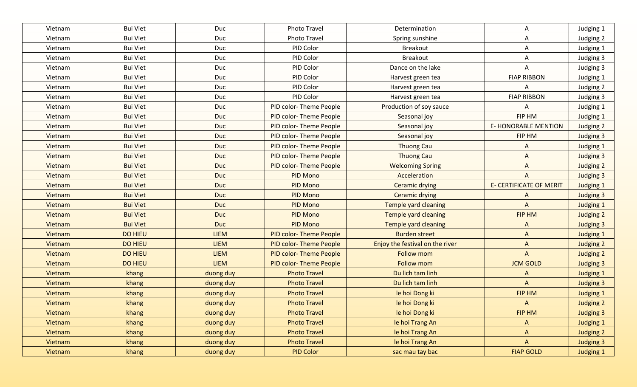| Vietnam | <b>Bui Viet</b> | Duc         | Photo Travel                  | Determination                   | A                              | Judging 1        |
|---------|-----------------|-------------|-------------------------------|---------------------------------|--------------------------------|------------------|
| Vietnam | <b>Bui Viet</b> | Duc         | <b>Photo Travel</b>           | Spring sunshine                 | A                              | Judging 2        |
| Vietnam | <b>Bui Viet</b> | Duc         | PID Color                     | <b>Breakout</b>                 | A                              | Judging 1        |
| Vietnam | <b>Bui Viet</b> | Duc         | PID Color                     | <b>Breakout</b>                 | A                              | Judging 3        |
| Vietnam | <b>Bui Viet</b> | Duc         | PID Color                     | Dance on the lake               | A                              | Judging 3        |
| Vietnam | <b>Bui Viet</b> | Duc         | PID Color                     | Harvest green tea               | <b>FIAP RIBBON</b>             | Judging 1        |
| Vietnam | <b>Bui Viet</b> | Duc         | PID Color                     | Harvest green tea               | А                              | Judging 2        |
| Vietnam | <b>Bui Viet</b> | Duc         | PID Color                     | Harvest green tea               | <b>FIAP RIBBON</b>             | Judging 3        |
| Vietnam | <b>Bui Viet</b> | Duc         | PID color-Theme People        | Production of soy sauce         | A                              | Judging 1        |
| Vietnam | <b>Bui Viet</b> | Duc         | PID color-Theme People        | Seasonal joy                    | FIP HM                         | Judging 1        |
| Vietnam | <b>Bui Viet</b> | Duc         | PID color-Theme People        | Seasonal joy                    | <b>E- HONORABLE MENTION</b>    | Judging 2        |
| Vietnam | <b>Bui Viet</b> | Duc         | PID color-Theme People        | Seasonal joy                    | FIP HM                         | Judging 3        |
| Vietnam | <b>Bui Viet</b> | Duc         | PID color-Theme People        | Thuong Cau                      | A                              | Judging 1        |
| Vietnam | <b>Bui Viet</b> | Duc         | PID color-Theme People        | <b>Thuong Cau</b>               | $\Lambda$                      | Judging 3        |
| Vietnam | <b>Bui Viet</b> | Duc         | PID color-Theme People        | <b>Welcoming Spring</b>         | $\mathsf{A}$                   | Judging 2        |
| Vietnam | <b>Bui Viet</b> | <b>Duc</b>  | PID Mono                      | Acceleration                    | $\mathsf{A}$                   | <b>Judging 3</b> |
| Vietnam | <b>Bui Viet</b> | <b>Duc</b>  | PID Mono                      | <b>Ceramic drying</b>           | <b>E- CERTIFICATE OF MERIT</b> | <b>Judging 1</b> |
| Vietnam | <b>Bui Viet</b> | <b>Duc</b>  | PID Mono                      | <b>Ceramic drying</b>           | $\Lambda$                      | Judging 3        |
| Vietnam | <b>Bui Viet</b> | <b>Duc</b>  | PID Mono                      | <b>Temple yard cleaning</b>     | $\bigwedge$                    | Judging 1        |
| Vietnam | <b>Bui Viet</b> | <b>Duc</b>  | PID Mono                      | <b>Temple yard cleaning</b>     | FIP HM                         | Judging 2        |
| Vietnam | <b>Bui Viet</b> | <b>Duc</b>  | PID Mono                      | <b>Temple yard cleaning</b>     | A                              | Judging 3        |
| Vietnam | <b>DO HIEU</b>  | <b>LIEM</b> | <b>PID color-Theme People</b> | <b>Burden street</b>            | $\mathsf{A}$                   | <b>Judging 1</b> |
| Vietnam | <b>DO HIEU</b>  | <b>LIEM</b> | <b>PID color-Theme People</b> | Enjoy the festival on the river | $\mathsf{A}$                   | Judging 2        |
| Vietnam | <b>DO HIEU</b>  | <b>LIEM</b> | <b>PID color-Theme People</b> | <b>Follow mom</b>               | $\mathsf{A}$                   | <b>Judging 2</b> |
| Vietnam | <b>DO HIEU</b>  | <b>LIEM</b> | <b>PID color-Theme People</b> | <b>Follow mom</b>               | <b>JCM GOLD</b>                | <b>Judging 3</b> |
| Vietnam | khang           | duong duy   | <b>Photo Travel</b>           | Du lich tam linh                | A                              | <b>Judging 1</b> |
| Vietnam | khang           | duong duy   | <b>Photo Travel</b>           | Du lich tam linh                | $\overline{A}$                 | <b>Judging 3</b> |
| Vietnam | khang           | duong duy   | <b>Photo Travel</b>           | le hoi Dong ki                  | FIP HM                         | <b>Judging 1</b> |
| Vietnam | khang           | duong duy   | <b>Photo Travel</b>           | le hoi Dong ki                  | $\Lambda$                      | Judging 2        |
| Vietnam | khang           | duong duy   | <b>Photo Travel</b>           | le hoi Dong ki                  | FIP HM                         | Judging 3        |
| Vietnam | khang           | duong duy   | <b>Photo Travel</b>           | le hoi Trang An                 | $\mathsf{A}$                   | <b>Judging 1</b> |
| Vietnam | khang           | duong duy   | <b>Photo Travel</b>           | le hoi Trang An                 | $\mathsf{A}$                   | Judging 2        |
| Vietnam | khang           | duong duy   | <b>Photo Travel</b>           | le hoi Trang An                 | $\mathsf{A}$                   | <b>Judging 3</b> |
| Vietnam | khang           | duong duy   | <b>PID Color</b>              | sac mau tay bac                 | <b>FIAP GOLD</b>               | <b>Judging 1</b> |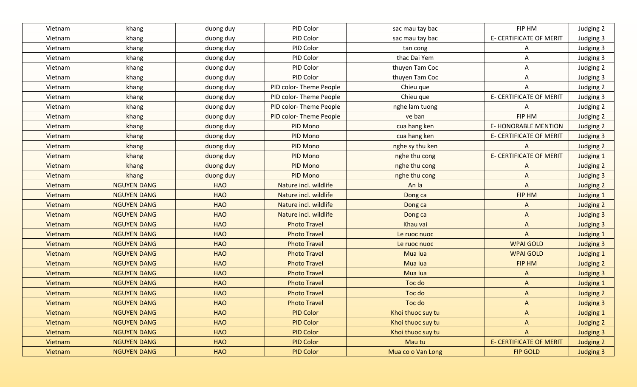| Vietnam | khang              | duong duy  | PID Color              | sac mau tay bac   | FIP HM                         | Judging 2        |
|---------|--------------------|------------|------------------------|-------------------|--------------------------------|------------------|
| Vietnam | khang              | duong duy  | PID Color              | sac mau tay bac   | <b>E- CERTIFICATE OF MERIT</b> | Judging 3        |
| Vietnam | khang              | duong duy  | PID Color              | tan cong          | A                              | Judging 3        |
| Vietnam | khang              | duong duy  | PID Color              | thac Dai Yem      | Α                              | Judging 3        |
| Vietnam | khang              | duong duy  | PID Color              | thuyen Tam Coc    | Α                              | Judging 2        |
| Vietnam | khang              | duong duy  | PID Color              | thuyen Tam Coc    | A                              | Judging 3        |
| Vietnam | khang              | duong duy  | PID color-Theme People | Chieu que         | Α                              | Judging 2        |
| Vietnam | khang              | duong duy  | PID color-Theme People | Chieu que         | <b>E- CERTIFICATE OF MERIT</b> | Judging 3        |
| Vietnam | khang              | duong duy  | PID color-Theme People | nghe lam tuong    | A                              | Judging 2        |
| Vietnam | khang              | duong duy  | PID color-Theme People | ve ban            | FIP HM                         | Judging 2        |
| Vietnam | khang              | duong duy  | PID Mono               | cua hang ken      | <b>E-HONORABLE MENTION</b>     | Judging 2        |
| Vietnam | khang              | duong duy  | PID Mono               | cua hang ken      | <b>E- CERTIFICATE OF MERIT</b> | Judging 3        |
| Vietnam | khang              | duong duy  | PID Mono               | nghe sy thu ken   | A                              | Judging 2        |
| Vietnam | khang              | duong duy  | PID Mono               | nghe thu cong     | <b>E- CERTIFICATE OF MERIT</b> | Judging 1        |
| Vietnam | khang              | duong duy  | PID Mono               | nghe thu cong     | A                              | Judging 2        |
| Vietnam | khang              | duong duy  | <b>PID Mono</b>        | nghe thu cong     | $\mathsf{A}$                   | <b>Judging 3</b> |
| Vietnam | <b>NGUYEN DANG</b> | <b>HAO</b> | Nature incl. wildlife  | An la             | $\overline{A}$                 | Judging 2        |
| Vietnam | <b>NGUYEN DANG</b> | <b>HAO</b> | Nature incl. wildlife  | Dong ca           | FIP HM                         | <b>Judging 1</b> |
| Vietnam | <b>NGUYEN DANG</b> | <b>HAO</b> | Nature incl. wildlife  | Dong ca           | $\Lambda$                      | Judging 2        |
| Vietnam | <b>NGUYEN DANG</b> | <b>HAO</b> | Nature incl. wildlife  | Dong ca           | $\mathsf{A}$                   | <b>Judging 3</b> |
| Vietnam | <b>NGUYEN DANG</b> | <b>HAO</b> | <b>Photo Travel</b>    | Khau vai          | $\mathsf{A}$                   | <b>Judging 3</b> |
| Vietnam | <b>NGUYEN DANG</b> | <b>HAO</b> | <b>Photo Travel</b>    | Le ruoc nuoc      | $\mathsf{A}$                   | <b>Judging 1</b> |
| Vietnam | <b>NGUYEN DANG</b> | <b>HAO</b> | <b>Photo Travel</b>    | Le ruoc nuoc      | <b>WPAI GOLD</b>               | <b>Judging 3</b> |
| Vietnam | <b>NGUYEN DANG</b> | <b>HAO</b> | <b>Photo Travel</b>    | Mua lua           | <b>WPAI GOLD</b>               | <b>Judging 1</b> |
| Vietnam | <b>NGUYEN DANG</b> | <b>HAO</b> | <b>Photo Travel</b>    | Mua lua           | FIP HM                         | <b>Judging 2</b> |
| Vietnam | <b>NGUYEN DANG</b> | <b>HAO</b> | <b>Photo Travel</b>    | Mua lua           | $\Lambda$                      | <b>Judging 3</b> |
| Vietnam | <b>NGUYEN DANG</b> | <b>HAO</b> | <b>Photo Travel</b>    | Toc do            | $\mathsf{A}$                   | <b>Judging 1</b> |
| Vietnam | <b>NGUYEN DANG</b> | <b>HAO</b> | <b>Photo Travel</b>    | Toc do            | $\Lambda$                      | <b>Judging 2</b> |
| Vietnam | <b>NGUYEN DANG</b> | <b>HAO</b> | <b>Photo Travel</b>    | Toc do            | $\Lambda$                      | <b>Judging 3</b> |
| Vietnam | <b>NGUYEN DANG</b> | <b>HAO</b> | <b>PID Color</b>       | Khoi thuoc suy tu | $\mathsf{A}$                   | <b>Judging 1</b> |
| Vietnam | <b>NGUYEN DANG</b> | <b>HAO</b> | <b>PID Color</b>       | Khoi thuoc suy tu | $\mathsf{A}$                   | Judging 2        |
| Vietnam | <b>NGUYEN DANG</b> | <b>HAO</b> | <b>PID Color</b>       | Khoi thuoc suy tu | $\mathsf{A}$                   | <b>Judging 3</b> |
| Vietnam | <b>NGUYEN DANG</b> | <b>HAO</b> | <b>PID Color</b>       | Mau tu            | <b>E- CERTIFICATE OF MERIT</b> | <b>Judging 2</b> |
| Vietnam | <b>NGUYEN DANG</b> | <b>HAO</b> | <b>PID Color</b>       | Mua co o Van Long | <b>FIP GOLD</b>                | <b>Judging 3</b> |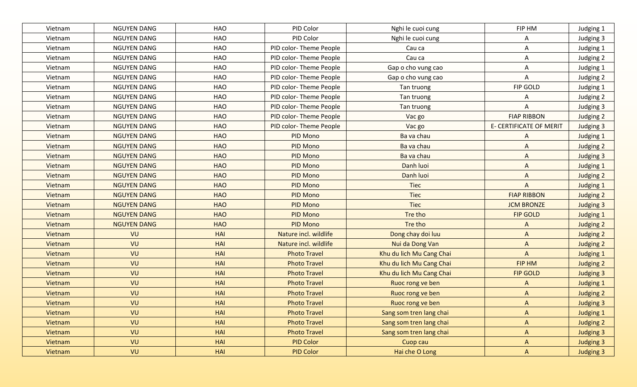| Vietnam | <b>NGUYEN DANG</b> | <b>HAO</b> | PID Color              | Nghi le cuoi cung        | FIP HM                         | Judging 1        |
|---------|--------------------|------------|------------------------|--------------------------|--------------------------------|------------------|
| Vietnam | <b>NGUYEN DANG</b> | <b>HAO</b> | PID Color              | Nghi le cuoi cung        | A                              | Judging 3        |
| Vietnam | <b>NGUYEN DANG</b> | <b>HAO</b> | PID color-Theme People | Cau ca                   | A                              | Judging 1        |
| Vietnam | <b>NGUYEN DANG</b> | HAO        | PID color-Theme People | Cau ca                   | Α                              | Judging 2        |
| Vietnam | <b>NGUYEN DANG</b> | HAO        | PID color-Theme People | Gap o cho vung cao       | A                              | Judging 1        |
| Vietnam | <b>NGUYEN DANG</b> | HAO        | PID color-Theme People | Gap o cho vung cao       | A                              | Judging 2        |
| Vietnam | <b>NGUYEN DANG</b> | <b>HAO</b> | PID color-Theme People | Tan truong               | FIP GOLD                       | Judging 1        |
| Vietnam | <b>NGUYEN DANG</b> | <b>HAO</b> | PID color-Theme People | Tan truong               | Α                              | Judging 2        |
| Vietnam | <b>NGUYEN DANG</b> | <b>HAO</b> | PID color-Theme People | Tan truong               | A                              | Judging 3        |
| Vietnam | <b>NGUYEN DANG</b> | <b>HAO</b> | PID color-Theme People | Vac go                   | <b>FIAP RIBBON</b>             | Judging 2        |
| Vietnam | <b>NGUYEN DANG</b> | HAO        | PID color-Theme People | Vac go                   | <b>E- CERTIFICATE OF MERIT</b> | Judging 3        |
| Vietnam | <b>NGUYEN DANG</b> | <b>HAO</b> | PID Mono               | Ba va chau               | A                              | Judging 1        |
| Vietnam | <b>NGUYEN DANG</b> | <b>HAO</b> | PID Mono               | Ba va chau               | A                              | Judging 2        |
| Vietnam | <b>NGUYEN DANG</b> | <b>HAO</b> | PID Mono               | Ba va chau               | $\mathsf{A}$                   | Judging 3        |
| Vietnam | <b>NGUYEN DANG</b> | <b>HAO</b> | PID Mono               | Danh luoi                | A                              | Judging 1        |
| Vietnam | <b>NGUYEN DANG</b> | <b>HAO</b> | PID Mono               | Danh luoi                | $\mathsf{A}$                   | Judging 2        |
| Vietnam | <b>NGUYEN DANG</b> | <b>HAO</b> | PID Mono               | <b>Tiec</b>              | $\mathsf{A}$                   | <b>Judging 1</b> |
| Vietnam | <b>NGUYEN DANG</b> | <b>HAO</b> | <b>PID Mono</b>        | <b>Tiec</b>              | <b>FIAP RIBBON</b>             | Judging 2        |
| Vietnam | <b>NGUYEN DANG</b> | <b>HAO</b> | PID Mono               | <b>Tiec</b>              | <b>JCM BRONZE</b>              | <b>Judging 3</b> |
| Vietnam | <b>NGUYEN DANG</b> | <b>HAO</b> | <b>PID Mono</b>        | Tre tho                  | <b>FIP GOLD</b>                | Judging 1        |
| Vietnam | <b>NGUYEN DANG</b> | <b>HAO</b> | PID Mono               | Tre tho                  | A                              | Judging 2        |
| Vietnam | VU                 | <b>HAI</b> | Nature incl. wildlife  | Dong chay doi luu        | $\mathsf{A}$                   | Judging 2        |
| Vietnam | VU                 | <b>HAI</b> | Nature incl. wildlife  | Nui da Dong Van          | $\mathsf{A}$                   | Judging 2        |
| Vietnam | VU                 | <b>HAI</b> | <b>Photo Travel</b>    | Khu du lich Mu Cang Chai | $\mathsf{A}$                   | <b>Judging 1</b> |
| Vietnam | VU                 | <b>HAI</b> | <b>Photo Travel</b>    | Khu du lich Mu Cang Chai | FIP HM                         | <b>Judging 2</b> |
| Vietnam | VU                 | <b>HAI</b> | <b>Photo Travel</b>    | Khu du lich Mu Cang Chai | <b>FIP GOLD</b>                | <b>Judging 3</b> |
| Vietnam | VU                 | <b>HAI</b> | <b>Photo Travel</b>    | Ruoc rong ve ben         | $\Lambda$                      | <b>Judging 1</b> |
| Vietnam | VU                 | <b>HAI</b> | <b>Photo Travel</b>    | Ruoc rong ve ben         | $\Lambda$                      | <b>Judging 2</b> |
| Vietnam | VU                 | <b>HAI</b> | <b>Photo Travel</b>    | Ruoc rong ve ben         | $\Lambda$                      | <b>Judging 3</b> |
| Vietnam | VU                 | <b>HAI</b> | <b>Photo Travel</b>    | Sang som tren lang chai  | $\mathsf{A}$                   | <b>Judging 1</b> |
| Vietnam | VU                 | HAI        | <b>Photo Travel</b>    | Sang som tren lang chai  | $\mathsf{A}$                   | Judging 2        |
| Vietnam | VU                 | <b>HAI</b> | <b>Photo Travel</b>    | Sang som tren lang chai  | $\mathsf{A}$                   | <b>Judging 3</b> |
| Vietnam | VU                 | <b>HAI</b> | <b>PID Color</b>       | Cuop cau                 | A                              | <b>Judging 3</b> |
| Vietnam | VU                 | <b>HAI</b> | <b>PID Color</b>       | Hai che O Long           | $\mathsf{A}$                   | <b>Judging 3</b> |
|         |                    |            |                        |                          |                                |                  |